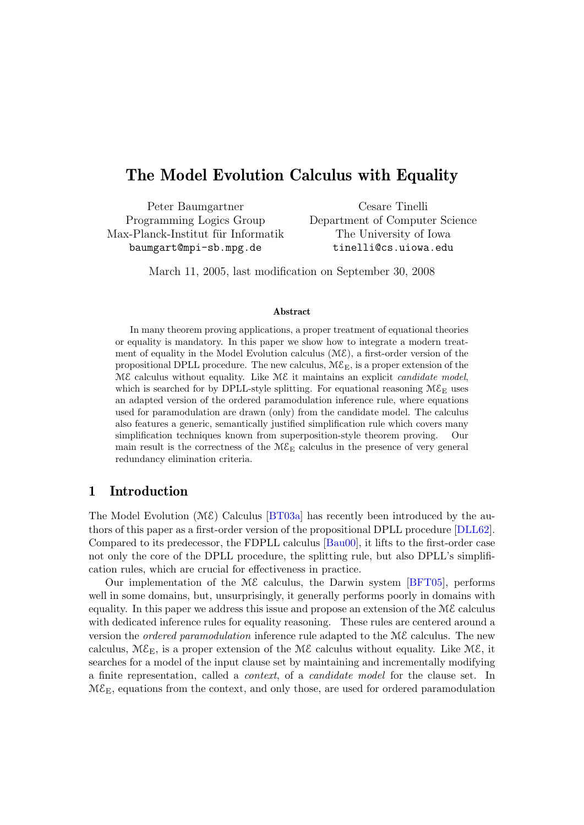# The Model Evolution Calculus with Equality

Peter Baumgartner Programming Logics Group Max-Planck-Institut für Informatik baumgart@mpi-sb.mpg.de

Cesare Tinelli Department of Computer Science The University of Iowa tinelli@cs.uiowa.edu

March 11, 2005, last modification on September 30, 2008

#### Abstract

In many theorem proving applications, a proper treatment of equational theories or equality is mandatory. In this paper we show how to integrate a modern treatment of equality in the Model Evolution calculus  $(\mathcal{M}\mathcal{E})$ , a first-order version of the propositional DPLL procedure. The new calculus,  $M\mathcal{E}_F$ , is a proper extension of the  $M\mathcal{E}$  calculus without equality. Like  $M\mathcal{E}$  it maintains an explicit *candidate model*, which is searched for by DPLL-style splitting. For equational reasoning  $M\mathcal{E}_E$  uses an adapted version of the ordered paramodulation inference rule, where equations used for paramodulation are drawn (only) from the candidate model. The calculus also features a generic, semantically justified simplification rule which covers many simplification techniques known from superposition-style theorem proving. Our main result is the correctness of the  $M\mathcal{E}_E$  calculus in the presence of very general redundancy elimination criteria.

## 1 Introduction

The Model Evolution  $(ME)$  Calculus [\[BT03a\]](#page-23-0) has recently been introduced by the authors of this paper as a first-order version of the propositional DPLL procedure [\[DLL62\]](#page-24-0). Compared to its predecessor, the FDPLL calculus [\[Bau00\]](#page-23-1), it lifts to the first-order case not only the core of the DPLL procedure, the splitting rule, but also DPLL's simplification rules, which are crucial for effectiveness in practice.

Our implementation of the  $M\mathcal{E}$  calculus, the Darwin system [\[BFT05\]](#page-23-2), performs well in some domains, but, unsurprisingly, it generally performs poorly in domains with equality. In this paper we address this issue and propose an extension of the  $M\mathcal{E}$  calculus with dedicated inference rules for equality reasoning. These rules are centered around a version the *ordered paramodulation* inference rule adapted to the  $M\mathcal{E}$  calculus. The new calculus,  $M\mathcal{E}_{E}$ , is a proper extension of the  $M\mathcal{E}$  calculus without equality. Like  $M\mathcal{E}$ , it searches for a model of the input clause set by maintaining and incrementally modifying a finite representation, called a context, of a candidate model for the clause set. In  $ME<sub>E</sub>$ , equations from the context, and only those, are used for ordered paramodulation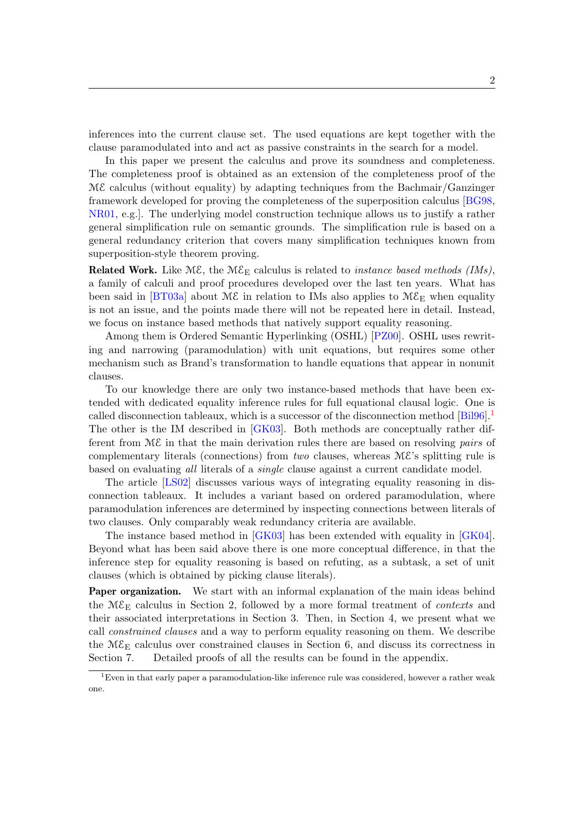inferences into the current clause set. The used equations are kept together with the clause paramodulated into and act as passive constraints in the search for a model.

In this paper we present the calculus and prove its soundness and completeness. The completeness proof is obtained as an extension of the completeness proof of the  $M\mathcal{E}$  calculus (without equality) by adapting techniques from the Bachmair/Ganzinger framework developed for proving the completeness of the superposition calculus [\[BG98,](#page-23-3) [NR01,](#page-24-1) e.g.]. The underlying model construction technique allows us to justify a rather general simplification rule on semantic grounds. The simplification rule is based on a general redundancy criterion that covers many simplification techniques known from superposition-style theorem proving.

**Related Work.** Like  $M\mathcal{E}$ , the  $M\mathcal{E}_E$  calculus is related to *instance based methods (IMs)*, a family of calculi and proof procedures developed over the last ten years. What has been said in [\[BT03a\]](#page-23-0) about  $M\mathcal{E}$  in relation to IMs also applies to  $M\mathcal{E}_E$  when equality is not an issue, and the points made there will not be repeated here in detail. Instead, we focus on instance based methods that natively support equality reasoning.

Among them is Ordered Semantic Hyperlinking (OSHL) [\[PZ00\]](#page-24-2). OSHL uses rewriting and narrowing (paramodulation) with unit equations, but requires some other mechanism such as Brand's transformation to handle equations that appear in nonunit clauses.

To our knowledge there are only two instance-based methods that have been extended with dedicated equality inference rules for full equational clausal logic. One is called disconnection tableaux, which is a successor of the disconnection method [\[Bil96\]](#page-23-4).<sup>[1](#page-1-0)</sup> The other is the IM described in [\[GK03\]](#page-24-3). Both methods are conceptually rather different from  $M\mathcal{E}$  in that the main derivation rules there are based on resolving pairs of complementary literals (connections) from two clauses, whereas  $M\mathcal{E}$ 's splitting rule is based on evaluating all literals of a single clause against a current candidate model.

The article [\[LS02\]](#page-24-4) discusses various ways of integrating equality reasoning in disconnection tableaux. It includes a variant based on ordered paramodulation, where paramodulation inferences are determined by inspecting connections between literals of two clauses. Only comparably weak redundancy criteria are available.

The instance based method in [\[GK03\]](#page-24-3) has been extended with equality in [\[GK04\]](#page-24-5). Beyond what has been said above there is one more conceptual difference, in that the inference step for equality reasoning is based on refuting, as a subtask, a set of unit clauses (which is obtained by picking clause literals).

Paper organization. We start with an informal explanation of the main ideas behind the  $M\mathcal{E}_E$  calculus in Section 2, followed by a more formal treatment of *contexts* and their associated interpretations in Section 3. Then, in Section 4, we present what we call constrained clauses and a way to perform equality reasoning on them. We describe the  $M\mathcal{E}_E$  calculus over constrained clauses in Section 6, and discuss its correctness in Section 7. Detailed proofs of all the results can be found in the appendix.

<span id="page-1-0"></span><sup>1</sup>Even in that early paper a paramodulation-like inference rule was considered, however a rather weak one.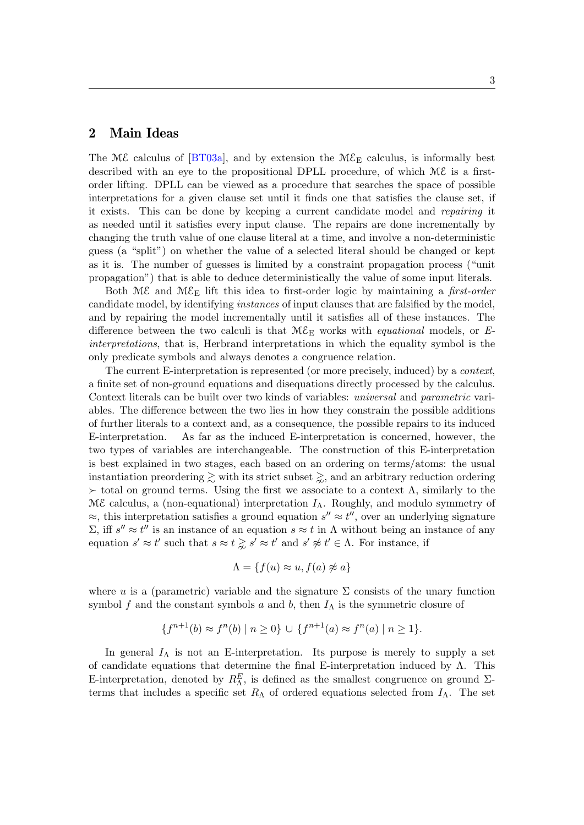## <span id="page-2-0"></span>2 Main Ideas

The ME calculus of [\[BT03a\]](#page-23-0), and by extension the  $ME<sub>E</sub>$  calculus, is informally best described with an eye to the propositional DPLL procedure, of which  $M\mathcal{E}$  is a firstorder lifting. DPLL can be viewed as a procedure that searches the space of possible interpretations for a given clause set until it finds one that satisfies the clause set, if it exists. This can be done by keeping a current candidate model and repairing it as needed until it satisfies every input clause. The repairs are done incrementally by changing the truth value of one clause literal at a time, and involve a non-deterministic guess (a "split") on whether the value of a selected literal should be changed or kept as it is. The number of guesses is limited by a constraint propagation process ("unit propagation") that is able to deduce deterministically the value of some input literals.

Both ME and  $M\mathcal{E}_E$  lift this idea to first-order logic by maintaining a first-order candidate model, by identifying instances of input clauses that are falsified by the model, and by repairing the model incrementally until it satisfies all of these instances. The difference between the two calculi is that  $M\mathcal{E}_E$  works with *equational* models, or Einterpretations, that is, Herbrand interpretations in which the equality symbol is the only predicate symbols and always denotes a congruence relation.

The current E-interpretation is represented (or more precisely, induced) by a *context*. a finite set of non-ground equations and disequations directly processed by the calculus. Context literals can be built over two kinds of variables: universal and parametric variables. The difference between the two lies in how they constrain the possible additions of further literals to a context and, as a consequence, the possible repairs to its induced E-interpretation. As far as the induced E-interpretation is concerned, however, the two types of variables are interchangeable. The construction of this E-interpretation is best explained in two stages, each based on an ordering on terms/atoms: the usual instantiation preordering  $\gtrsim$  with its strict subset  $\gtrsim$ , and an arbitrary reduction ordering  $\geq$  total on ground terms. Using the first we associate to a context  $\Lambda$ , similarly to the  $Mε$  calculus, a (non-equational) interpretation  $I<sub>Λ</sub>$ . Roughly, and modulo symmetry of  $\approx$ , this interpretation satisfies a ground equation  $s'' \approx t''$ , over an underlying signature  $Σ$ , iff s'' ≈ t'' is an instance of an equation s ≈ t in Λ without being an instance of any equation  $s' \approx t'$  such that  $s \approx t \gtrsim s' \approx t'$  and  $s' \not\approx t' \in \Lambda$ . For instance, if

$$
\Lambda = \{ f(u) \approx u, f(a) \not\approx a \}
$$

where u is a (parametric) variable and the signature  $\Sigma$  consists of the unary function symbol f and the constant symbols a and b, then  $I_{\Lambda}$  is the symmetric closure of

$$
\{f^{n+1}(b) \approx f^n(b) \mid n \ge 0\} \cup \{f^{n+1}(a) \approx f^n(a) \mid n \ge 1\}.
$$

In general  $I_{\Lambda}$  is not an E-interpretation. Its purpose is merely to supply a set of candidate equations that determine the final E-interpretation induced by  $\Lambda$ . This E-interpretation, denoted by  $R_{\Lambda}^{E}$ , is defined as the smallest congruence on ground  $\Sigma$ terms that includes a specific set  $R_{\Lambda}$  of ordered equations selected from  $I_{\Lambda}$ . The set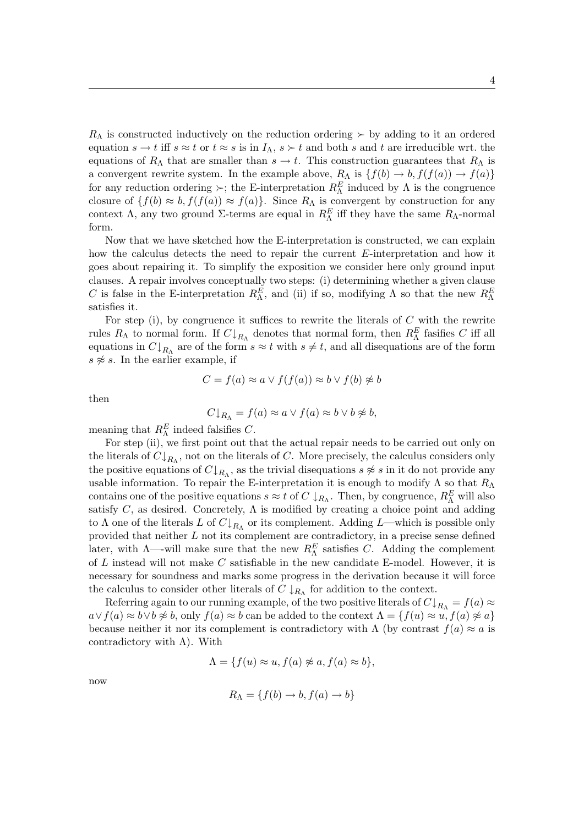$R_{\Lambda}$  is constructed inductively on the reduction ordering  $\succ$  by adding to it an ordered equation  $s \to t$  iff  $s \approx t$  or  $t \approx s$  is in  $I_\Lambda$ ,  $s \succ t$  and both s and t are irreducible wrt. the equations of  $R_{\Lambda}$  that are smaller than  $s \to t$ . This construction guarantees that  $R_{\Lambda}$  is a convergent rewrite system. In the example above,  $R_{\Lambda}$  is  $\{f(b) \to b, f(f(a)) \to f(a)\}\$ for any reduction ordering  $\succ$ ; the E-interpretation  $R_{\Lambda}^{E}$  induced by  $\Lambda$  is the congruence closure of  $\{f(b) \approx b, f(f(a)) \approx f(a)\}$ . Since  $R_{\Lambda}$  is convergent by construction for any context  $\Lambda$ , any two ground  $\Sigma$ -terms are equal in  $R_{\Lambda}^{E}$  iff they have the same  $R_{\Lambda}$ -normal form.

Now that we have sketched how the E-interpretation is constructed, we can explain how the calculus detects the need to repair the current E-interpretation and how it goes about repairing it. To simplify the exposition we consider here only ground input clauses. A repair involves conceptually two steps: (i) determining whether a given clause C is false in the E-interpretation  $R_{\Lambda}^{E}$ , and (ii) if so, modifying  $\Lambda$  so that the new  $R_{\Lambda}^{E}$ satisfies it.

For step (i), by congruence it suffices to rewrite the literals of C with the rewrite rules  $R_{\Lambda}$  to normal form. If  $C \downarrow_{R_{\Lambda}}$  denotes that normal form, then  $R_{\Lambda}^{E}$  fasifies C iff all equations in  $C \downarrow_{R_{\Lambda}}$  are of the form  $s \approx t$  with  $s \neq t$ , and all disequations are of the form  $s \not\approx s$ . In the earlier example, if

$$
C = f(a) \approx a \vee f(f(a)) \approx b \vee f(b) \not\approx b
$$

then

$$
C\downarrow_{R_{\Lambda}} = f(a) \approx a \vee f(a) \approx b \vee b \not\approx b,
$$

meaning that  $R_{\Lambda}^{E}$  indeed falsifies C.

For step (ii), we first point out that the actual repair needs to be carried out only on the literals of  $C \downarrow_{R_{\Lambda}}$ , not on the literals of C. More precisely, the calculus considers only the positive equations of  $C \downarrow_{R_{\Lambda}}$ , as the trivial disequations  $s \not\approx s$  in it do not provide any usable information. To repair the E-interpretation it is enough to modify  $\Lambda$  so that  $R_{\Lambda}$ contains one of the positive equations  $s \approx t$  of  $C \downarrow_{R_{\Lambda}}$ . Then, by congruence,  $R_{\Lambda}^{E}$  will also satisfy C, as desired. Concretely,  $\Lambda$  is modified by creating a choice point and adding to  $\Lambda$  one of the literals  $L$  of  $C\downarrow_{R_{\Lambda}}$  or its complement. Adding  $L$ —which is possible only provided that neither  $L$  not its complement are contradictory, in a precise sense defined later, with  $\Lambda$ —-will make sure that the new  $R_{\Lambda}^{E}$  satisfies C. Adding the complement of L instead will not make C satisfiable in the new candidate E-model. However, it is necessary for soundness and marks some progress in the derivation because it will force the calculus to consider other literals of  $C \downarrow_{R_{\Lambda}}$  for addition to the context.

Referring again to our running example, of the two positive literals of  $C\downarrow_{R_{\Lambda}} = f(a) \approx$  $a \vee f(a) \approx b \vee b \not\approx b$ , only  $f(a) \approx b$  can be added to the context  $\Lambda = \{f(u) \approx u, f(a) \not\approx a\}$ because neither it nor its complement is contradictory with  $\Lambda$  (by contrast  $f(a) \approx a$  is contradictory with  $\Lambda$ ). With

$$
\Lambda = \{ f(u) \approx u, f(a) \not\approx a, f(a) \approx b \},
$$

now

$$
R_{\Lambda} = \{f(b) \to b, f(a) \to b\}
$$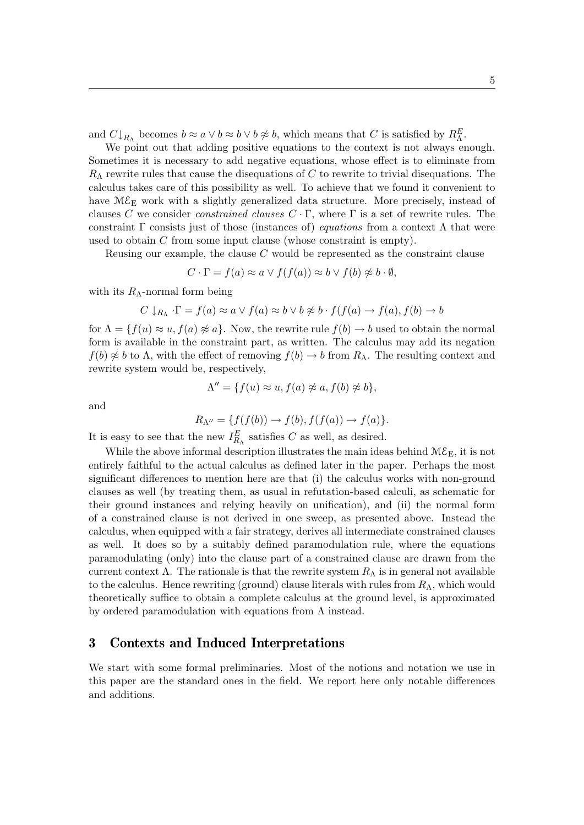and  $C \downarrow_{R_{\Lambda}}$  becomes  $b \approx a \vee b \approx b \vee b \not\approx b$ , which means that C is satisfied by  $R_{\Lambda}^E$ .

We point out that adding positive equations to the context is not always enough. Sometimes it is necessary to add negative equations, whose effect is to eliminate from  $R_{\Lambda}$  rewrite rules that cause the disequations of C to rewrite to trivial disequations. The calculus takes care of this possibility as well. To achieve that we found it convenient to have  $ME_E$  work with a slightly generalized data structure. More precisely, instead of clauses C we consider *constrained clauses*  $C \cdot \Gamma$ , where  $\Gamma$  is a set of rewrite rules. The constraint Γ consists just of those (instances of) *equations* from a context  $\Lambda$  that were used to obtain  $C$  from some input clause (whose constraint is empty).

Reusing our example, the clause C would be represented as the constraint clause

$$
C \cdot \Gamma = f(a) \approx a \vee f(f(a)) \approx b \vee f(b) \not\approx b \cdot \emptyset,
$$

with its  $R_{\Lambda}$ -normal form being

$$
C \downarrow_{R_{\Lambda}} \cdot \Gamma = f(a) \approx a \lor f(a) \approx b \lor b \not\approx b \cdot f(f(a) \to f(a), f(b) \to b
$$

for  $\Lambda = \{f(u) \approx u, f(a) \not\approx a\}$ . Now, the rewrite rule  $f(b) \to b$  used to obtain the normal form is available in the constraint part, as written. The calculus may add its negation  $f(b) \not\approx b$  to  $\Lambda$ , with the effect of removing  $f(b) \to b$  from  $R_{\Lambda}$ . The resulting context and rewrite system would be, respectively,

$$
\Lambda'' = \{ f(u) \approx u, f(a) \not\approx a, f(b) \not\approx b \},
$$

and

$$
R_{\Lambda''} = \{ f(f(b)) \to f(b), f(f(a)) \to f(a) \}.
$$

It is easy to see that the new  $I_{R_{\Lambda}}^{E}$  satisfies C as well, as desired.

While the above informal description illustrates the main ideas behind  $M\mathcal{E}_E$ , it is not entirely faithful to the actual calculus as defined later in the paper. Perhaps the most significant differences to mention here are that (i) the calculus works with non-ground clauses as well (by treating them, as usual in refutation-based calculi, as schematic for their ground instances and relying heavily on unification), and (ii) the normal form of a constrained clause is not derived in one sweep, as presented above. Instead the calculus, when equipped with a fair strategy, derives all intermediate constrained clauses as well. It does so by a suitably defined paramodulation rule, where the equations paramodulating (only) into the clause part of a constrained clause are drawn from the current context  $\Lambda$ . The rationale is that the rewrite system  $R_{\Lambda}$  is in general not available to the calculus. Hence rewriting (ground) clause literals with rules from  $R_{\Lambda}$ , which would theoretically suffice to obtain a complete calculus at the ground level, is approximated by ordered paramodulation with equations from  $\Lambda$  instead.

## <span id="page-4-0"></span>3 Contexts and Induced Interpretations

We start with some formal preliminaries. Most of the notions and notation we use in this paper are the standard ones in the field. We report here only notable differences and additions.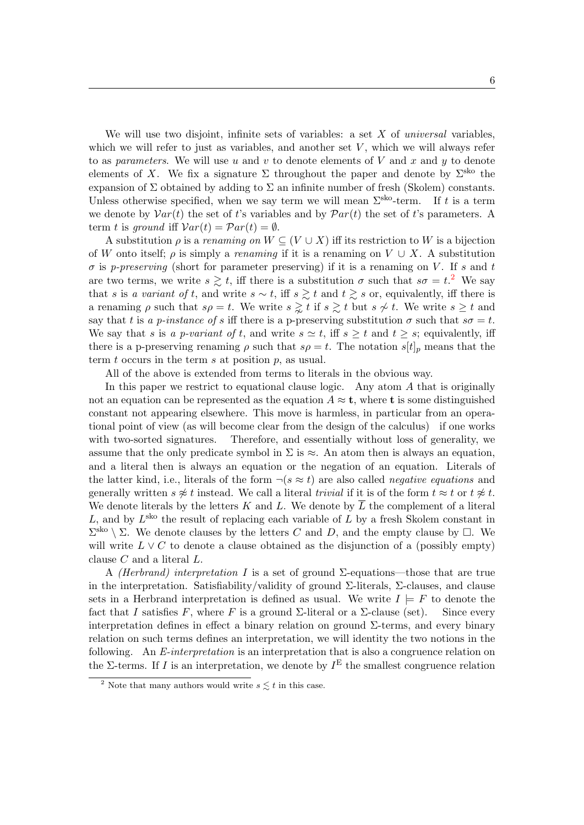We will use two disjoint, infinite sets of variables: a set  $X$  of *universal* variables, which we will refer to just as variables, and another set  $V$ , which we will always refer to as parameters. We will use  $u$  and  $v$  to denote elements of  $V$  and  $x$  and  $y$  to denote elements of X. We fix a signature  $\Sigma$  throughout the paper and denote by  $\Sigma^{\text{sko}}$  the expansion of  $\Sigma$  obtained by adding to  $\Sigma$  an infinite number of fresh (Skolem) constants. Unless otherwise specified, when we say term we will mean  $\Sigma^{\text{sko}}$ -term. If t is a term we denote by  $Var(t)$  the set of t's variables and by  $Par(t)$  the set of t's parameters. A term t is ground iff  $Var(t) = Par(t) = \emptyset$ .

A substitution  $\rho$  is a renaming on  $W \subseteq (V \cup X)$  iff its restriction to W is a bijection of W onto itself;  $\rho$  is simply a *renaming* if it is a renaming on  $V \cup X$ . A substitution  $\sigma$  is p-preserving (short for parameter preserving) if it is a renaming on V. If s and t are two terms, we write  $s \geq t$ , iff there is a substitution  $\sigma$  such that  $s\sigma = t^2$  $s\sigma = t^2$ . We say that s is a variant of t, and write  $s \sim t$ , iff  $s \geq t$  and  $t \geq s$  or, equivalently, iff there is a renaming  $\rho$  such that  $s\rho = t$ . We write  $s \geq t$  if  $s \geq t$  but  $s \not\sim t$ . We write  $s \geq t$  and say that t is a p-instance of s iff there is a p-preserving substitution  $\sigma$  such that  $s\sigma = t$ . We say that s is a p-variant of t, and write  $s \simeq t$ , iff  $s \geq t$  and  $t \geq s$ ; equivalently, iff there is a p-preserving renaming  $\rho$  such that  $s\rho = t$ . The notation  $s[t]_p$  means that the term  $t$  occurs in the term  $s$  at position  $p$ , as usual.

All of the above is extended from terms to literals in the obvious way.

In this paper we restrict to equational clause logic. Any atom A that is originally not an equation can be represented as the equation  $A \approx t$ , where t is some distinguished constant not appearing elsewhere. This move is harmless, in particular from an operational point of view (as will become clear from the design of the calculus) if one works with two-sorted signatures. Therefore, and essentially without loss of generality, we assume that the only predicate symbol in  $\Sigma$  is  $\approx$ . An atom then is always an equation. and a literal then is always an equation or the negation of an equation. Literals of the latter kind, i.e., literals of the form  $\neg (s \approx t)$  are also called *negative equations* and generally written  $s \not\approx t$  instead. We call a literal trivial if it is of the form  $t \approx t$  or  $t \not\approx t$ . We denote literals by the letters K and L. We denote by  $\overline{L}$  the complement of a literal L, and by  $L^{\text{sko}}$  the result of replacing each variable of L by a fresh Skolem constant in  $\Sigma^{\rm sko} \setminus \Sigma$ . We denote clauses by the letters C and D, and the empty clause by  $\square$ . We will write  $L \vee C$  to denote a clause obtained as the disjunction of a (possibly empty) clause C and a literal L.

A (Herbrand) interpretation I is a set of ground  $\Sigma$ -equations—those that are true in the interpretation. Satisfiability/validity of ground  $\Sigma$ -literals,  $\Sigma$ -clauses, and clause sets in a Herbrand interpretation is defined as usual. We write  $I \models F$  to denote the fact that I satisfies F, where F is a ground  $\Sigma$ -literal or a  $\Sigma$ -clause (set). Since every interpretation defines in effect a binary relation on ground  $\Sigma$ -terms, and every binary relation on such terms defines an interpretation, we will identity the two notions in the following. An E-interpretation is an interpretation that is also a congruence relation on the  $\Sigma$ -terms. If I is an interpretation, we denote by  $I^{\mathrm{E}}$  the smallest congruence relation

<span id="page-5-0"></span><sup>&</sup>lt;sup>2</sup> Note that many authors would write  $s \leq t$  in this case.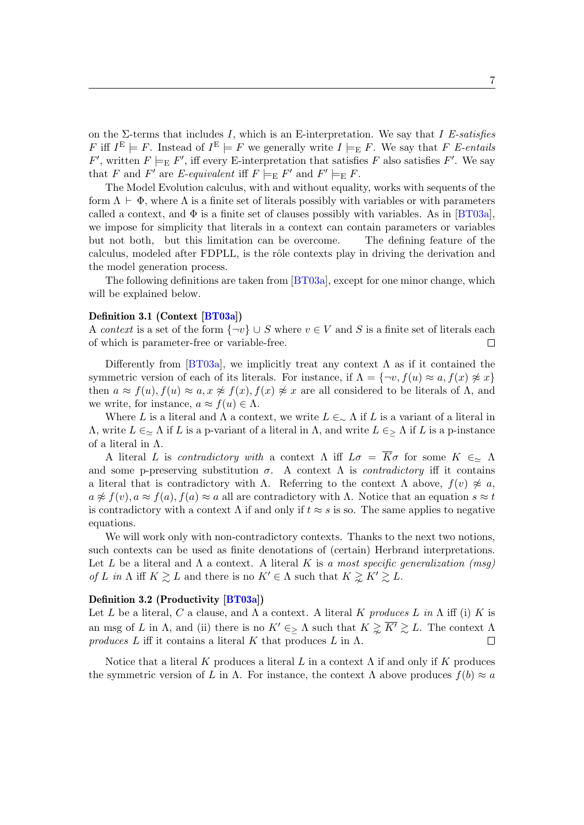on the  $\Sigma$ -terms that includes I, which is an E-interpretation. We say that I E-satisfies F iff  $I^{\text{E}} \models F$ . Instead of  $I^{\text{E}} \models F$  we generally write  $I \models_{\text{E}} F$ . We say that F E-entails F', written  $F \models_{\text{E}} F'$ , iff every E-interpretation that satisfies F also satisfies F'. We say that F and F' are E-equivalent iff  $F \models_{\mathcal{E}} F'$  and  $F' \models_{\mathcal{E}} F$ .

The Model Evolution calculus, with and without equality, works with sequents of the form  $\Lambda \vdash \Phi$ , where  $\Lambda$  is a finite set of literals possibly with variables or with parameters called a context, and  $\Phi$  is a finite set of clauses possibly with variables. As in [\[BT03a\]](#page-23-0), we impose for simplicity that literals in a context can contain parameters or variables but not both, but this limitation can be overcome. The defining feature of the calculus, modeled after FDPLL, is the rôle contexts play in driving the derivation and the model generation process.

The following definitions are taken from [\[BT03a\]](#page-23-0), except for one minor change, which will be explained below.

### Definition 3.1 (Context [\[BT03a\]](#page-23-0))

A context is a set of the form  $\{\neg v\} \cup S$  where  $v \in V$  and S is a finite set of literals each of which is parameter-free or variable-free.  $\Box$ 

Differently from [\[BT03a\]](#page-23-0), we implicitly treat any context  $\Lambda$  as if it contained the symmetric version of each of its literals. For instance, if  $\Lambda = \{\neg v, f(u) \approx a, f(x) \not\approx x\}$ then  $a \approx f(u)$ ,  $f(u) \approx a$ ,  $x \not\approx f(x)$ ,  $f(x) \not\approx x$  are all considered to be literals of  $\Lambda$ , and we write, for instance,  $a \approx f(u) \in \Lambda$ .

Where L is a literal and  $\Lambda$  a context, we write  $L \in \Lambda$  if L is a variant of a literal in  $Λ$ , write  $L \in_{\simeq} Λ$  if  $L$  is a p-variant of a literal in Λ, and write  $L \in_{\succeq} Λ$  if  $L$  is a p-instance of a literal in Λ.

A literal L is contradictory with a context  $\Lambda$  iff  $L\sigma = \overline{K}\sigma$  for some  $K \in \Lambda$ and some p-preserving substitution  $\sigma$ . A context  $\Lambda$  is *contradictory* iff it contains a literal that is contradictory with Λ. Referring to the context Λ above,  $f(v) \not\approx a$ ,  $a \not\approx f(v)$ ,  $a \approx f(a)$ ,  $f(a) \approx a$  all are contradictory with  $\Lambda$ . Notice that an equation  $s \approx t$ is contradictory with a context  $\Lambda$  if and only if  $t \approx s$  is so. The same applies to negative equations.

We will work only with non-contradictory contexts. Thanks to the next two notions, such contexts can be used as finite denotations of (certain) Herbrand interpretations. Let L be a literal and  $\Lambda$  a context. A literal K is a most specific generalization (msq) of L in  $\Lambda$  iff  $K \ge L$  and there is no  $K' \in \Lambda$  such that  $K \ge K' \ge L$ .

### Definition 3.2 (Productivity [\[BT03a\]](#page-23-0))

Let L be a literal, C a clause, and  $\Lambda$  a context. A literal K produces L in  $\Lambda$  iff (i) K is an msg of L in  $\Lambda$ , and (ii) there is no  $K' \in \Lambda$  such that  $K \gtrsim \overline{K'} \gtrsim L$ . The context  $\Lambda$ produces L iff it contains a literal K that produces L in  $\Lambda$ .  $\Box$ 

Notice that a literal K produces a literal L in a context  $\Lambda$  if and only if K produces the symmetric version of L in  $\Lambda$ . For instance, the context  $\Lambda$  above produces  $f(b) \approx a$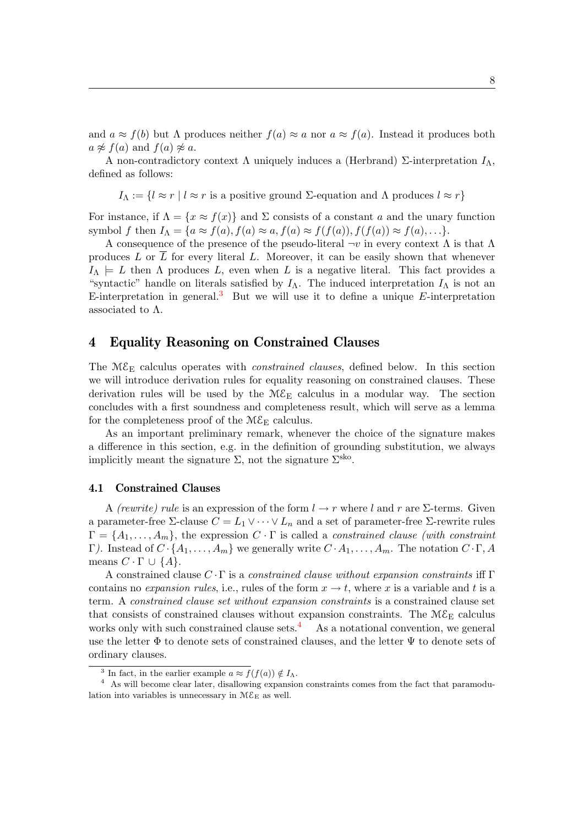and  $a \approx f(b)$  but  $\Lambda$  produces neither  $f(a) \approx a$  nor  $a \approx f(a)$ . Instead it produces both  $a \not\approx f(a)$  and  $f(a) \not\approx a$ .

A non-contradictory context  $\Lambda$  uniquely induces a (Herbrand)  $\Sigma$ -interpretation  $I_{\Lambda}$ , defined as follows:

 $I_{\Lambda} := \{l \approx r \mid l \approx r \text{ is a positive ground } \Sigma \text{-equation and } \Lambda \text{ produces } l \approx r\}$ 

For instance, if  $\Lambda = \{x \approx f(x)\}\$ and  $\Sigma$  consists of a constant a and the unary function symbol f then  $I_{\Lambda} = \{a \approx f(a), f(a) \approx a, f(a) \approx f(f(a)), f(f(a)) \approx f(a), \ldots\}.$ 

A consequence of the presence of the pseudo-literal  $\neg v$  in every context  $\Lambda$  is that  $\Lambda$ produces L or  $\overline{L}$  for every literal L. Moreover, it can be easily shown that whenever  $I_{\Lambda} \models L$  then  $\Lambda$  produces L, even when L is a negative literal. This fact provides a "syntactic" handle on literals satisfied by  $I_\Lambda$ . The induced interpretation  $I_\Lambda$  is not an E-interpretation in general.<sup>[3](#page-7-0)</sup> But we will use it to define a unique  $E$ -interpretation associated to  $\Lambda$ .

## <span id="page-7-2"></span>4 Equality Reasoning on Constrained Clauses

The  $M\mathcal{E}_E$  calculus operates with *constrained clauses*, defined below. In this section we will introduce derivation rules for equality reasoning on constrained clauses. These derivation rules will be used by the  $M\mathcal{E}_E$  calculus in a modular way. The section concludes with a first soundness and completeness result, which will serve as a lemma for the completeness proof of the  $M\mathcal{E}_E$  calculus.

As an important preliminary remark, whenever the choice of the signature makes a difference in this section, e.g. in the definition of grounding substitution, we always implicitly meant the signature  $\Sigma$ , not the signature  $\Sigma^{\text{sko}}$ .

## <span id="page-7-3"></span>4.1 Constrained Clauses

A (rewrite) rule is an expression of the form  $l \to r$  where l and r are  $\Sigma$ -terms. Given a parameter-free  $\Sigma$ -clause  $C = L_1 \vee \cdots \vee L_n$  and a set of parameter-free  $\Sigma$ -rewrite rules  $\Gamma = \{A_1, \ldots, A_m\}$ , the expression  $C \cdot \Gamma$  is called a *constrained clause (with constraint* Γ). Instead of  $C \cdot \{A_1, \ldots, A_m\}$  we generally write  $C \cdot A_1, \ldots, A_m$ . The notation  $C \cdot \Gamma$ , A means  $C \cdot \Gamma \cup \{A\}.$ 

A constrained clause  $C \cdot \Gamma$  is a constrained clause without expansion constraints iff  $\Gamma$ contains no expansion rules, i.e., rules of the form  $x \to t$ , where x is a variable and t is a term. A constrained clause set without expansion constraints is a constrained clause set that consists of constrained clauses without expansion constraints. The  $M\mathcal{E}_E$  calculus works only with such constrained clause sets.<sup>[4](#page-7-1)</sup> As a notational convention, we general use the letter Φ to denote sets of constrained clauses, and the letter Ψ to denote sets of ordinary clauses.

<span id="page-7-1"></span><span id="page-7-0"></span><sup>&</sup>lt;sup>3</sup> In fact, in the earlier example  $a \approx f(f(a)) \notin I_\Lambda$ .

<sup>&</sup>lt;sup>4</sup> As will become clear later, disallowing expansion constraints comes from the fact that paramodulation into variables is unnecessary in  $M\mathcal{E}_E$  as well.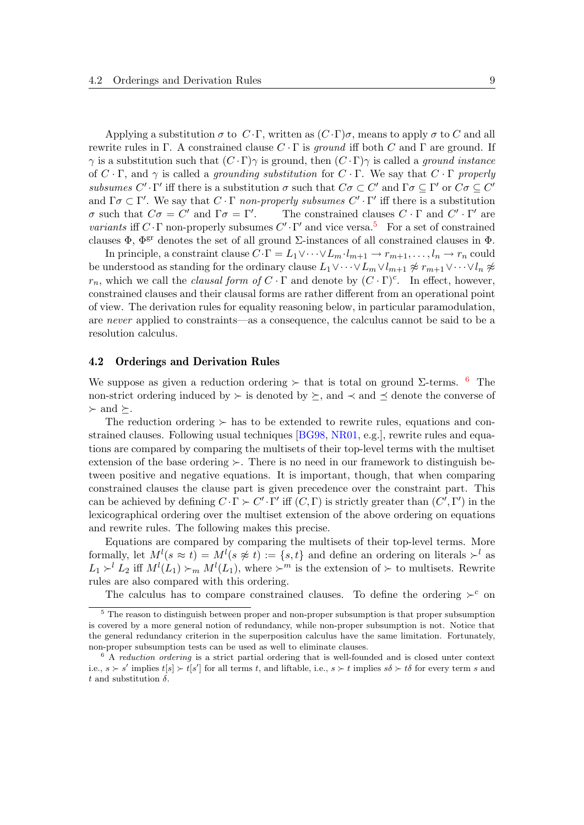Applying a substitution  $\sigma$  to  $C \cdot \Gamma$ , written as  $(C \cdot \Gamma) \sigma$ , means to apply  $\sigma$  to C and all rewrite rules in Γ. A constrained clause  $C \cdot \Gamma$  is ground iff both C and  $\Gamma$  are ground. If  $\gamma$  is a substitution such that  $(C \cdot \Gamma) \gamma$  is ground, then  $(C \cdot \Gamma) \gamma$  is called a ground instance of  $C \cdot \Gamma$ , and  $\gamma$  is called a *grounding substitution* for  $C \cdot \Gamma$ . We say that  $C \cdot \Gamma$  properly subsumes  $C' \cdot \Gamma'$  iff there is a substitution  $\sigma$  such that  $C\sigma \subset C'$  and  $\Gamma \sigma \subseteq \Gamma'$  or  $C\sigma \subseteq C'$ and  $\Gamma \sigma \subset \Gamma'$ . We say that  $C \cdot \Gamma$  non-properly subsumes  $C' \cdot \Gamma'$  iff there is a substitution  $\sigma$  such that  $C\sigma = C'$  and  $\Gamma \sigma = \Gamma'$ . The constrained clauses  $C \cdot \Gamma$  and  $C' \cdot \Gamma'$  are variants iff  $C \cdot \Gamma$  non-properly subsumes  $C' \cdot \Gamma'$  and vice versa.<sup>[5](#page-8-0)</sup> For a set of constrained clauses  $\Phi$ ,  $\Phi^{\text{gr}}$  denotes the set of all ground  $\Sigma$ -instances of all constrained clauses in  $\Phi$ .

In principle, a constraint clause  $C \cdot \Gamma = L_1 \vee \cdots \vee L_m \cdot l_{m+1} \to r_{m+1}, \ldots, l_n \to r_n$  could be understood as standing for the ordinary clause  $L_1 \vee \cdots \vee L_m \vee l_{m+1} \not\approx r_{m+1} \vee \cdots \vee l_n \not\approx$  $r_n$ , which we call the *clausal form of*  $C \cdot \Gamma$  and denote by  $(C \cdot \Gamma)^c$ . In effect, however, constrained clauses and their clausal forms are rather different from an operational point of view. The derivation rules for equality reasoning below, in particular paramodulation, are never applied to constraints—as a consequence, the calculus cannot be said to be a resolution calculus.

### 4.2 Orderings and Derivation Rules

We suppose as given a reduction ordering  $\succ$  that is total on ground Σ-terms. <sup>[6](#page-8-1)</sup> The non-strict ordering induced by  $\succ$  is denoted by  $\succeq$ , and  $\prec$  and  $\preceq$  denote the converse of  $\succ$  and  $\succ$ .

The reduction ordering  $\succ$  has to be extended to rewrite rules, equations and constrained clauses. Following usual techniques [\[BG98,](#page-23-3) [NR01,](#page-24-1) e.g.], rewrite rules and equations are compared by comparing the multisets of their top-level terms with the multiset extension of the base ordering  $\succ$ . There is no need in our framework to distinguish between positive and negative equations. It is important, though, that when comparing constrained clauses the clause part is given precedence over the constraint part. This can be achieved by defining  $C \cdot \Gamma \succ C' \cdot \Gamma'$  iff  $(C, \Gamma)$  is strictly greater than  $(C', \Gamma')$  in the lexicographical ordering over the multiset extension of the above ordering on equations and rewrite rules. The following makes this precise.

Equations are compared by comparing the multisets of their top-level terms. More formally, let  $M^{l}(s \approx t) = M^{l}(s \not\approx t) := \{s, t\}$  and define an ordering on literals  $\succ^{l}$  as  $L_1 \succ^l L_2$  iff  $M^l(L_1) \succ_m M^l(L_1)$ , where  $\succ^m$  is the extension of  $\succ$  to multisets. Rewrite rules are also compared with this ordering.

<span id="page-8-0"></span>The calculus has to compare constrained clauses. To define the ordering  $\succ^c$  on

<sup>5</sup> The reason to distinguish between proper and non-proper subsumption is that proper subsumption is covered by a more general notion of redundancy, while non-proper subsumption is not. Notice that the general redundancy criterion in the superposition calculus have the same limitation. Fortunately, non-proper subsumption tests can be used as well to eliminate clauses.

<span id="page-8-1"></span> $6$  A reduction ordering is a strict partial ordering that is well-founded and is closed unter context i.e.,  $s > s'$  implies  $t[s] \succ t[s']$  for all terms t, and liftable, i.e.,  $s \succ t$  implies  $s\delta \succ t\delta$  for every term s and t and substitution  $\delta$ .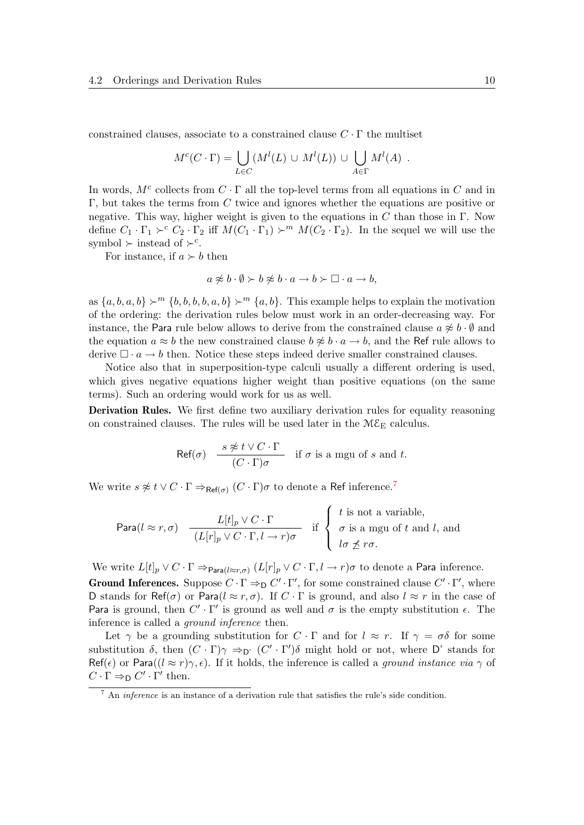constrained clauses, associate to a constrained clause  $C \cdot \Gamma$  the multiset

$$
M^{c}(C \cdot \Gamma) = \bigcup_{L \in C} (M^{l}(L) \cup M^{l}(L)) \cup \bigcup_{A \in \Gamma} M^{l}(A) .
$$

In words,  $M^c$  collects from  $C \cdot \Gamma$  all the top-level terms from all equations in C and in Γ, but takes the terms from C twice and ignores whether the equations are positive or negative. This way, higher weight is given to the equations in C than those in  $\Gamma$ . Now define  $C_1 \cdot \Gamma_1 \succ^c C_2 \cdot \Gamma_2$  iff  $M(C_1 \cdot \Gamma_1) \succ^m M(C_2 \cdot \Gamma_2)$ . In the sequel we will use the symbol  $\succ$  instead of  $\succ^c$ .

For instance, if  $a \succ b$  then

$$
a \not\approx b \cdot \emptyset \succ b \not\approx b \cdot a \rightarrow b \succ \square \cdot a \rightarrow b,
$$

as  $\{a, b, a, b\} \succ^m \{b, b, b, b, a, b\} \succ^m \{a, b\}$ . This example helps to explain the motivation of the ordering: the derivation rules below must work in an order-decreasing way. For instance, the Para rule below allows to derive from the constrained clause  $a \not\approx b \cdot \emptyset$  and the equation  $a \approx b$  the new constrained clause  $b \not\approx b \cdot a \rightarrow b$ , and the Ref rule allows to derive  $\Box \cdot a \rightarrow b$  then. Notice these steps indeed derive smaller constrained clauses.

Notice also that in superposition-type calculi usually a different ordering is used, which gives negative equations higher weight than positive equations (on the same terms). Such an ordering would work for us as well.

Derivation Rules. We first define two auxiliary derivation rules for equality reasoning on constrained clauses. The rules will be used later in the  $M\mathcal{E}_{E}$  calculus.

$$
\mathsf{Ref}(\sigma) \quad \frac{s \not\approx t \vee C \cdot \Gamma}{(C \cdot \Gamma)\sigma} \quad \text{if } \sigma \text{ is a mgu of } s \text{ and } t.
$$

We write  $s \not\approx t \vee C \cdot \Gamma \Rightarrow_{\mathsf{Ref}(\sigma)} (C \cdot \Gamma) \sigma$  to denote a Ref inference.<sup>[7](#page-9-0)</sup>

$$
\text{Para}(l \approx r, \sigma) \quad \frac{L[t]_p \vee C \cdot \Gamma}{(L[r]_p \vee C \cdot \Gamma, l \to r)\sigma} \quad \text{if} \quad \begin{cases} \quad t \text{ is not a variable,} \\ \quad \sigma \text{ is a mgu of } t \text{ and } l, \text{ and} \\ \quad l\sigma \not\preceq r\sigma. \end{cases}
$$

We write  $L[t]_p \vee C \cdot \Gamma \Rightarrow_{\mathsf{Para}(l \approx r, \sigma)} (L[r]_p \vee C \cdot \Gamma, l \to r) \sigma$  to denote a Para inference.

**Ground Inferences.** Suppose  $C \cdot \Gamma \Rightarrow D \subset' \cdot \Gamma'$ , for some constrained clause  $C' \cdot \Gamma'$ , where D stands for Ref( $\sigma$ ) or Para( $l \approx r, \sigma$ ). If  $C \cdot \Gamma$  is ground, and also  $l \approx r$  in the case of Para is ground, then  $C' \cdot \Gamma'$  is ground as well and  $\sigma$  is the empty substitution  $\epsilon$ . The inference is called a ground inference then.

Let  $\gamma$  be a grounding substitution for  $C \cdot \Gamma$  and for  $l \approx r$ . If  $\gamma = \sigma \delta$  for some substitution  $\delta$ , then  $(C \cdot \Gamma)$  $\gamma \Rightarrow_D^{\prime} (C' \cdot \Gamma')$  $\delta$  might hold or not, where D' stands for  $\text{Ref}(\epsilon)$  or Para $((l \approx r)\gamma, \epsilon)$ . If it holds, the inference is called a ground instance via  $\gamma$  of  $C \cdot \Gamma \Rightarrow_D C' \cdot \Gamma'$  then.

<span id="page-9-0"></span><sup>7</sup> An inference is an instance of a derivation rule that satisfies the rule's side condition.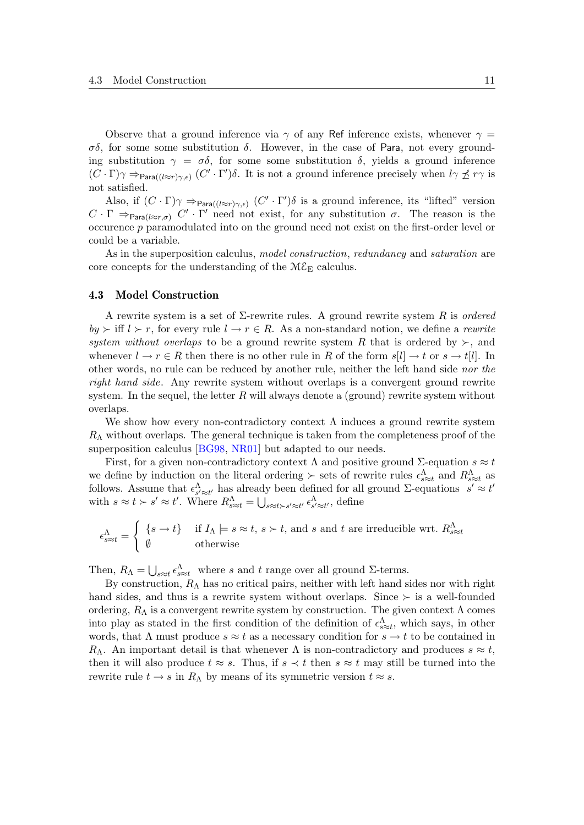Observe that a ground inference via  $\gamma$  of any Ref inference exists, whenever  $\gamma =$ σδ, for some some substitution δ. However, in the case of Para, not every grounding substitution  $\gamma = \sigma \delta$ , for some some substitution  $\delta$ , yields a ground inference  $(C \cdot \Gamma)$  $\gamma \Rightarrow_{\text{Para}((l \approx r) \gamma, \epsilon)} (C' \cdot \Gamma') \delta$ . It is not a ground inference precisely when  $l \gamma \not\preceq r \gamma$  is not satisfied.

Also, if  $(C \cdot \Gamma)$  $\gamma \Rightarrow_{\text{Para}((l \approx r) \gamma, \epsilon)} (C' \cdot \Gamma') \delta$  is a ground inference, its "lifted" version  $C \cdot \Gamma \Rightarrow_{\text{Para}(l \approx r, \sigma)} C' \cdot \Gamma'$  need not exist, for any substitution  $\sigma$ . The reason is the occurence p paramodulated into on the ground need not exist on the first-order level or could be a variable.

As in the superposition calculus, model construction, redundancy and saturation are core concepts for the understanding of the  $M\mathcal{E}_E$  calculus.

## 4.3 Model Construction

A rewrite system is a set of  $\Sigma$ -rewrite rules. A ground rewrite system R is *ordered*  $by \succ \text{iff } l \succ r$ , for every rule  $l \to r \in R$ . As a non-standard notion, we define a *rewrite* system without overlaps to be a ground rewrite system R that is ordered by  $\succ$ , and whenever  $l \to r \in R$  then there is no other rule in R of the form  $s[l] \to t$  or  $s \to t[l]$ . In other words, no rule can be reduced by another rule, neither the left hand side nor the right hand side. Any rewrite system without overlaps is a convergent ground rewrite system. In the sequel, the letter  $R$  will always denote a (ground) rewrite system without overlaps.

We show how every non-contradictory context  $\Lambda$  induces a ground rewrite system  $R_{\Lambda}$  without overlaps. The general technique is taken from the completeness proof of the superposition calculus [\[BG98,](#page-23-3) [NR01\]](#page-24-1) but adapted to our needs.

First, for a given non-contradictory context  $\Lambda$  and positive ground  $\Sigma$ -equation  $s \approx t$ we define by induction on the literal ordering  $\succ$  sets of rewrite rules  $\epsilon_{s\approx t}^{\Lambda}$  and  $R_{s\approx t}^{\Lambda}$  as follows. Assume that  $\epsilon_{s' \approx t'}^{\Lambda}$  has already been defined for all ground  $\Sigma$ -equations  $s' \approx t'$ with  $s \approx t \succ s' \approx t'$ . Where  $R^{\Lambda}_{s \approx t} = \bigcup_{s \approx t \succ s' \approx t'} \epsilon^{\Lambda}_{s' \approx t'}$ , define

$$
\epsilon_{s \approx t}^{\Lambda} = \begin{cases} \{s \to t\} & \text{if } I_{\Lambda} \models s \approx t, s \succ t, \text{ and } s \text{ and } t \text{ are irreducible wrt. } R_{s \approx t}^{\Lambda} \\ \emptyset & \text{otherwise} \end{cases}
$$

Then,  $R_{\Lambda} = \bigcup_{s \approx t} \epsilon_{s \approx t}^{\Lambda}$  where s and t range over all ground  $\Sigma$ -terms.

By construction,  $R_{\Lambda}$  has no critical pairs, neither with left hand sides nor with right hand sides, and thus is a rewrite system without overlaps. Since  $\succ$  is a well-founded ordering,  $R_{\Lambda}$  is a convergent rewrite system by construction. The given context  $\Lambda$  comes into play as stated in the first condition of the definition of  $\epsilon_{s\approx t}^{\Lambda}$ , which says, in other words, that  $\Lambda$  must produce  $s \approx t$  as a necessary condition for  $s \to t$  to be contained in  $R_{\Lambda}$ . An important detail is that whenever  $\Lambda$  is non-contradictory and produces  $s \approx t$ , then it will also produce  $t \approx s$ . Thus, if  $s \prec t$  then  $s \approx t$  may still be turned into the rewrite rule  $t \to s$  in  $R_{\Lambda}$  by means of its symmetric version  $t \approx s$ .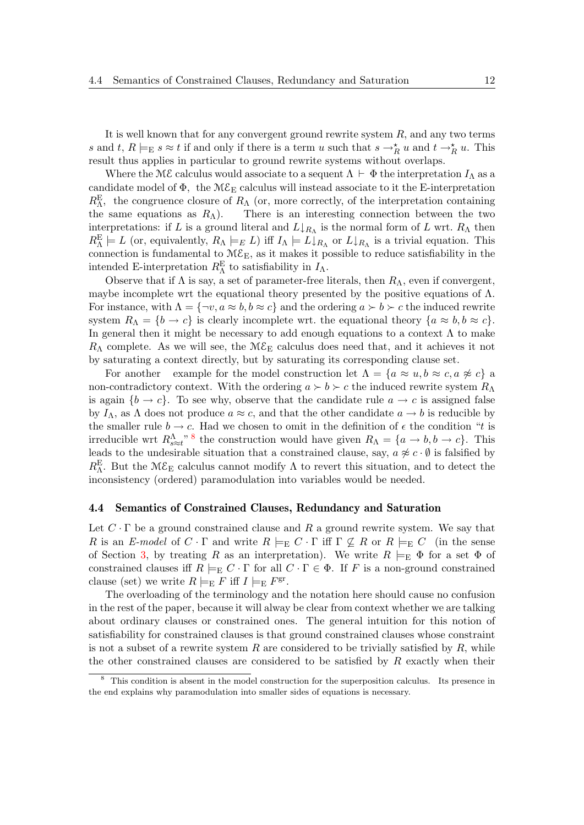It is well known that for any convergent ground rewrite system  $R$ , and any two terms s and t,  $R \models_E s \approx t$  if and only if there is a term u such that  $s \rightarrow_R^* u$  and  $t \rightarrow_R^* u$ . This result thus applies in particular to ground rewrite systems without overlaps.

Where the ME calculus would associate to a sequent  $\Lambda \vdash \Phi$  the interpretation  $I_{\Lambda}$  as a candidate model of  $\Phi$ , the M $\mathcal{E}_E$  calculus will instead associate to it the E-interpretation  $R_{\Lambda}^{\text{E}}$ , the congruence closure of  $R_{\Lambda}$  (or, more correctly, of the interpretation containing the same equations as  $R_{\Lambda}$ ). There is an interesting connection between the two interpretations: if L is a ground literal and  $L \downarrow_{R_{\Lambda}}$  is the normal form of L wrt.  $R_{\Lambda}$  then  $R_{\Lambda}^{\rm E} \models L$  (or, equivalently,  $R_{\Lambda} \models_L L$ ) iff  $I_{\Lambda} \models L \downarrow_{R_{\Lambda}}$  or  $L \downarrow_{R_{\Lambda}}$  is a trivial equation. This connection is fundamental to  $M\mathcal{E}_E$ , as it makes it possible to reduce satisfiability in the intended E-interpretation  $R_{\Lambda}^{\text{E}}$  to satisfiability in  $I_{\Lambda}$ .

Observe that if  $\Lambda$  is say, a set of parameter-free literals, then  $R_{\Lambda}$ , even if convergent, maybe incomplete wrt the equational theory presented by the positive equations of  $\Lambda$ . For instance, with  $\Lambda = \{\neg v, a \approx b, b \approx c\}$  and the ordering  $a \succ b \succ c$  the induced rewrite system  $R_{\Lambda} = \{b \to c\}$  is clearly incomplete wrt. the equational theory  $\{a \approx b, b \approx c\}$ . In general then it might be necessary to add enough equations to a context  $\Lambda$  to make  $R_{\Lambda}$  complete. As we will see, the  $M\mathcal{E}_{\mathrm{E}}$  calculus does need that, and it achieves it not by saturating a context directly, but by saturating its corresponding clause set.

For another example for the model construction let  $\Lambda = \{a \approx u, b \approx c, a \not\approx c\}$  a non-contradictory context. With the ordering  $a \succ b \succ c$  the induced rewrite system  $R_{\Lambda}$ is again  $\{b \to c\}$ . To see why, observe that the candidate rule  $a \to c$  is assigned false by  $I_\Lambda$ , as  $\Lambda$  does not produce  $a \approx c$ , and that the other candidate  $a \to b$  is reducible by the smaller rule  $b \to c$ . Had we chosen to omit in the definition of  $\epsilon$  the condition "t is irreducible wrt  $R_{s \approx t}^{\Lambda}$ <sup>n</sup> the construction would have given  $R_{\Lambda} = \{a \to b, b \to c\}$ . This leads to the undesirable situation that a constrained clause, say,  $a \not\approx c \cdot \emptyset$  is falsified by  $R_{\Lambda}^{\text{E}}$ . But the M $\mathcal{E}_{\text{E}}$  calculus cannot modify  $\Lambda$  to revert this situation, and to detect the inconsistency (ordered) paramodulation into variables would be needed.

### 4.4 Semantics of Constrained Clauses, Redundancy and Saturation

Let  $C \cdot \Gamma$  be a ground constrained clause and R a ground rewrite system. We say that R is an E-model of  $C \cdot \Gamma$  and write  $R \models_{\mathcal{E}} C \cdot \Gamma$  iff  $\Gamma \not\subset R$  or  $R \models_{\mathcal{E}} C$  (in the sense of Section [3,](#page-4-0) by treating R as an interpretation). We write  $R \models_{\mathbb{E}} \Phi$  for a set  $\Phi$  of constrained clauses iff  $R \models_{\mathbb{E}} C \cdot \Gamma$  for all  $C \cdot \Gamma \in \Phi$ . If F is a non-ground constrained clause (set) we write  $R \models_{\mathrm{E}} F$  iff  $I \models_{\mathrm{E}} F^{\mathrm{gr}}$ .

The overloading of the terminology and the notation here should cause no confusion in the rest of the paper, because it will alway be clear from context whether we are talking about ordinary clauses or constrained ones. The general intuition for this notion of satisfiability for constrained clauses is that ground constrained clauses whose constraint is not a subset of a rewrite system  $R$  are considered to be trivially satisfied by  $R$ , while the other constrained clauses are considered to be satisfied by  $R$  exactly when their

<span id="page-11-0"></span><sup>&</sup>lt;sup>8</sup> This condition is absent in the model construction for the superposition calculus. Its presence in the end explains why paramodulation into smaller sides of equations is necessary.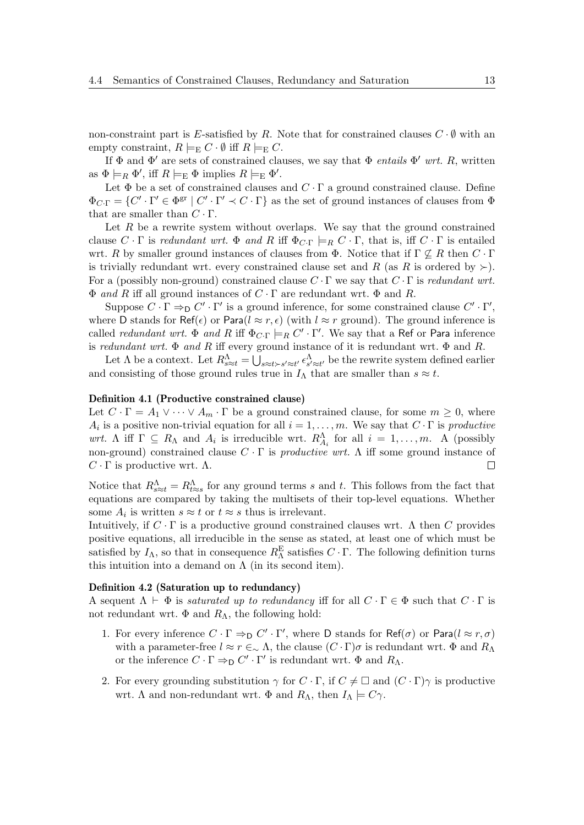non-constraint part is E-satisfied by R. Note that for constrained clauses  $C \cdot \emptyset$  with an empty constraint,  $R \models_{\mathbb{E}} C \cdot \emptyset$  iff  $R \models_{\mathbb{E}} C$ .

If  $\Phi$  and  $\Phi'$  are sets of constrained clauses, we say that  $\Phi$  *entails*  $\Phi'$  wrt. R, written as  $\Phi \models_R \Phi'$ , iff  $R \models_E \Phi$  implies  $R \models_E \Phi'$ .

Let  $\Phi$  be a set of constrained clauses and  $C \cdot \Gamma$  a ground constrained clause. Define  $\Phi_{C\cdot\Gamma} = \{C'\cdot\Gamma' \in \Phi^{\text{gr}} \mid C'\cdot\Gamma' \prec C\cdot\Gamma\}$  as the set of ground instances of clauses from  $\Phi$ that are smaller than  $C \cdot \Gamma$ .

Let  $R$  be a rewrite system without overlaps. We say that the ground constrained clause  $C \cdot \Gamma$  is redundant wrt.  $\Phi$  and R iff  $\Phi_{C \cdot \Gamma} \models_R C \cdot \Gamma$ , that is, iff  $C \cdot \Gamma$  is entailed wrt. R by smaller ground instances of clauses from  $\Phi$ . Notice that if  $\Gamma \nsubseteq R$  then  $C \cdot \Gamma$ is trivially redundant wrt. every constrained clause set and R (as R is ordered by  $\succ$ ). For a (possibly non-ground) constrained clause  $C \cdot \Gamma$  we say that  $C \cdot \Gamma$  is redundant wrt.  $\Phi$  and R iff all ground instances of  $C \cdot \Gamma$  are redundant wrt.  $\Phi$  and R.

Suppose  $C \cdot \Gamma \Rightarrow D \ C' \cdot \Gamma'$  is a ground inference, for some constrained clause  $C' \cdot \Gamma'$ , where D stands for Ref( $\epsilon$ ) or Para( $l \approx r, \epsilon$ ) (with  $l \approx r$  ground). The ground inference is called *redundant wrt.*  $\Phi$  *and R* iff  $\Phi$ <sub>C·Γ</sub>  $\models$ <sub>R</sub> C' · Γ'. We say that a Ref or Para inference is redundant wrt.  $\Phi$  and R iff every ground instance of it is redundant wrt.  $\Phi$  and R.

Let  $\Lambda$  be a context. Let  $R^{\Lambda}_{s \approx t} = \bigcup_{s \approx t \succ s' \approx t'} \epsilon^{\Lambda}_{s' \approx t'}$  be the rewrite system defined earlier and consisting of those ground rules true in  $I_{\Lambda}$  that are smaller than  $s \approx t$ .

#### <span id="page-12-1"></span>Definition 4.1 (Productive constrained clause)

Let  $C \cdot \Gamma = A_1 \vee \cdots \vee A_m \cdot \Gamma$  be a ground constrained clause, for some  $m \geq 0$ , where  $A_i$  is a positive non-trivial equation for all  $i = 1, \ldots, m$ . We say that  $C \cdot \Gamma$  is productive wrt. A iff  $\Gamma \subseteq R_{\Lambda}$  and  $A_i$  is irreducible wrt.  $R_{A_i}^{\Lambda}$  for all  $i = 1, ..., m$ . A (possibly non-ground) constrained clause  $C \cdot \Gamma$  is *productive wrt.* A iff some ground instance of  $C \cdot \Gamma$  is productive wrt.  $\Lambda$ .  $\Box$ 

Notice that  $R^{\Lambda}_{s \approx t} = R^{\Lambda}_{t \approx s}$  for any ground terms s and t. This follows from the fact that equations are compared by taking the multisets of their top-level equations. Whether some  $A_i$  is written  $s \approx t$  or  $t \approx s$  thus is irrelevant.

Intuitively, if  $C \cdot \Gamma$  is a productive ground constrained clauses wrt. A then C provides positive equations, all irreducible in the sense as stated, at least one of which must be satisfied by  $I_{\Lambda}$ , so that in consequence  $R_{\Lambda}^{E}$  satisfies  $C \cdot \Gamma$ . The following definition turns this intuition into a demand on  $\Lambda$  (in its second item).

#### Definition 4.2 (Saturation up to redundancy)

A sequent  $\Lambda \vdash \Phi$  is saturated up to redundancy iff for all  $C \cdot \Gamma \in \Phi$  such that  $C \cdot \Gamma$  is not redundant wrt.  $\Phi$  and  $R_{\Lambda}$ , the following hold:

- <span id="page-12-0"></span>1. For every inference  $C \cdot \Gamma \Rightarrow_D C' \cdot \Gamma'$ , where D stands for  $\text{Ref}(\sigma)$  or  $\text{Para}(l \approx r, \sigma)$ with a parameter-free  $l \approx r \in \Delta$ , the clause  $(C \cdot \Gamma) \sigma$  is redundant wrt.  $\Phi$  and  $R_{\Lambda}$ or the inference  $C \cdot \Gamma \Rightarrow D \colon C' \cdot \Gamma'$  is redundant wrt.  $\Phi$  and  $R_{\Lambda}$ .
- 2. For every grounding substitution  $\gamma$  for  $C \cdot \Gamma$ , if  $C \neq \square$  and  $(C \cdot \Gamma) \gamma$  is productive wrt. A and non-redundant wrt.  $\Phi$  and  $R_{\Lambda}$ , then  $I_{\Lambda} \models C_{\gamma}$ .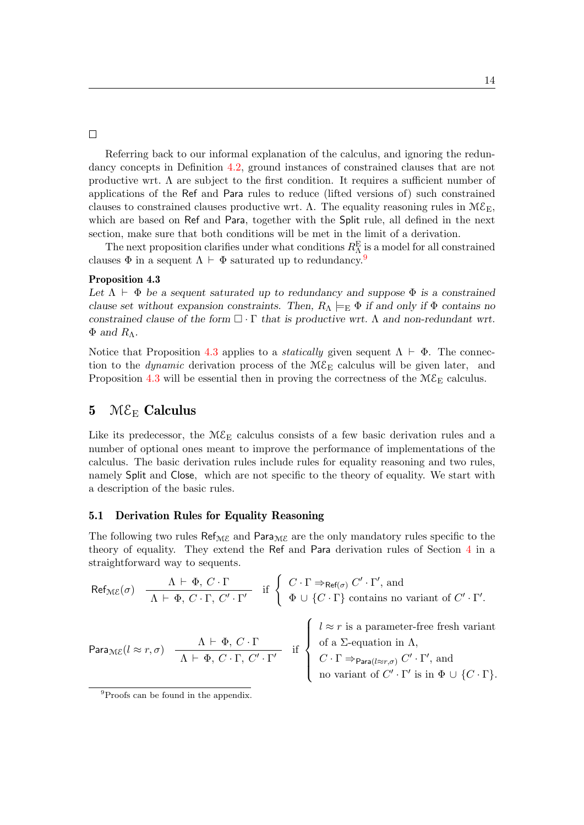$\Box$ 

Referring back to our informal explanation of the calculus, and ignoring the redundancy concepts in Definition [4.2,](#page-12-0) ground instances of constrained clauses that are not productive wrt.  $\Lambda$  are subject to the first condition. It requires a sufficient number of applications of the Ref and Para rules to reduce (lifted versions of) such constrained clauses to constrained clauses productive wrt. Λ. The equality reasoning rules in  $M\mathcal{E}_E$ , which are based on Ref and Para, together with the Split rule, all defined in the next section, make sure that both conditions will be met in the limit of a derivation.

The next proposition clarifies under what conditions  $R_{\Lambda}^{\text{E}}$  is a model for all constrained clauses  $\Phi$  in a sequent  $\Lambda \vdash \Phi$  saturated up to redundancy.<sup>[9](#page-13-0)</sup>

## <span id="page-13-1"></span>Proposition 4.3

Let  $\Lambda \vdash \Phi$  be a sequent saturated up to redundancy and suppose  $\Phi$  is a constrained clause set without expansion constraints. Then,  $R_{\Lambda} \models_{\mathbb{E}} \Phi$  if and only if  $\Phi$  contains no constrained clause of the form  $\Box \cdot \Gamma$  that is productive wrt. A and non-redundant wrt.  $\Phi$  and  $R_{\Lambda}$ .

Notice that Proposition [4.3](#page-13-1) applies to a *statically* given sequent  $\Lambda \vdash \Phi$ . The connection to the *dynamic* derivation process of the  $M\mathcal{E}_E$  calculus will be given later, and Proposition [4.3](#page-13-1) will be essential then in proving the correctness of the  $M\mathcal{E}_E$  calculus.

## 5  $\mathcal{M}\mathcal{E}_{\mathrm{E}}$  Calculus

Like its predecessor, the  $M\mathcal{E}_E$  calculus consists of a few basic derivation rules and a number of optional ones meant to improve the performance of implementations of the calculus. The basic derivation rules include rules for equality reasoning and two rules, namely Split and Close, which are not specific to the theory of equality. We start with a description of the basic rules.

## 5.1 Derivation Rules for Equality Reasoning

The following two rules  $\mathsf{Ref}_{\mathcal{ME}}$  and  $\mathsf{Para}_{\mathcal{ME}}$  are the only mandatory rules specific to the theory of equality. They extend the Ref and Para derivation rules of Section [4](#page-7-2) in a straightforward way to sequents.

Ref<sub>ME</sub>(
$$
\sigma
$$
)  $\frac{\Lambda \vdash \Phi, C \cdot \Gamma}{\Lambda \vdash \Phi, C \cdot \Gamma, C' \cdot \Gamma'}$  if  $\begin{cases} C \cdot \Gamma \Rightarrow_{\text{Ref}(\sigma)} C' \cdot \Gamma', \text{ and} \\ \Phi \cup \{C \cdot \Gamma\} \text{ contains no variant of } C' \cdot \Gamma'. \end{cases}$   
Para<sub>ME</sub> $(l \approx r, \sigma)$   $\frac{\Lambda \vdash \Phi, C \cdot \Gamma}{\Lambda \vdash \Phi, C \cdot \Gamma, C' \cdot \Gamma'}$  if  $\begin{cases} l \approx r \text{ is a parameter-free fresh variant} \\ \text{of a } \Sigma\text{-equation in } \Lambda, \\ C \cdot \Gamma \Rightarrow_{\text{Para}(l \approx r, \sigma)} C' \cdot \Gamma', \text{ and} \\ \text{no variant of } C' \cdot \Gamma' \text{ is in } \Phi \cup \{C \cdot \Gamma\}. \end{cases}$ 

<span id="page-13-0"></span><sup>&</sup>lt;sup>9</sup>Proofs can be found in the appendix.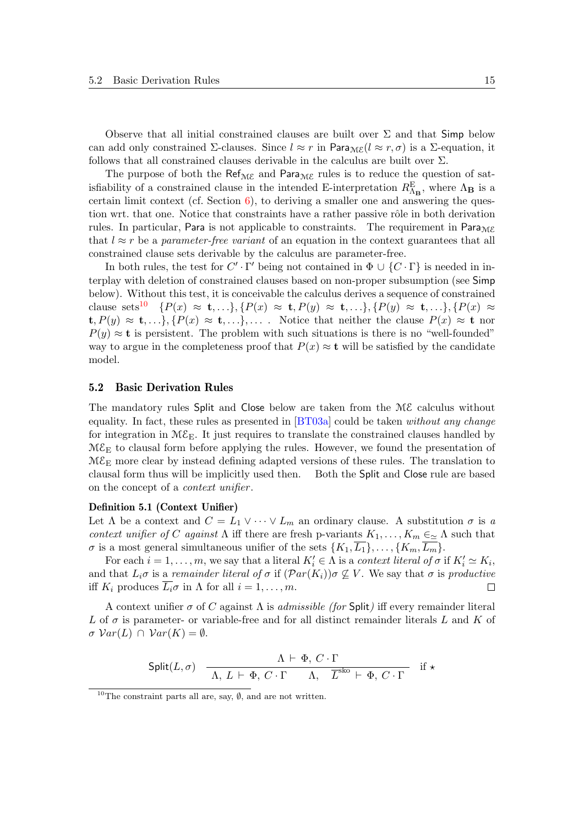Observe that all initial constrained clauses are built over  $\Sigma$  and that Simp below can add only constrained  $\Sigma$ -clauses. Since  $l \approx r$  in Para $\chi_{\text{E}}(l \approx r, \sigma)$  is a  $\Sigma$ -equation, it follows that all constrained clauses derivable in the calculus are built over  $\Sigma$ .

The purpose of both the Ref<sub>ME</sub> and Para<sub>ME</sub> rules is to reduce the question of satisfiability of a constrained clause in the intended E-interpretation  $R_{\Lambda_B}^{\text{E}}$ , where  $\Lambda_B$  is a certain limit context (cf. Section  $6$ ), to deriving a smaller one and answering the question wrt. that one. Notice that constraints have a rather passive rôle in both derivation rules. In particular, Para is not applicable to constraints. The requirement in Para $_{\text{ME}}$ that  $l \approx r$  be a parameter-free variant of an equation in the context guarantees that all constrained clause sets derivable by the calculus are parameter-free.

In both rules, the test for  $C' \cdot \Gamma'$  being not contained in  $\Phi \cup \{C \cdot \Gamma\}$  is needed in interplay with deletion of constrained clauses based on non-proper subsumption (see Simp below). Without this test, it is conceivable the calculus derives a sequence of constrained clause sets<sup>[10](#page-14-0)</sup>  $\{P(x) \approx t, \ldots\}, \{P(x) \approx t, P(y) \approx t, \ldots\}, \{P(y) \approx t, \ldots\}, \{P(x) \approx t, \ldots\}$  $\mathbf{t}, P(y) \approx \mathbf{t}, \ldots, \{P(x) \approx \mathbf{t}, \ldots\}, \ldots$  Notice that neither the clause  $P(x) \approx \mathbf{t}$  nor  $P(y) \approx t$  is persistent. The problem with such situations is there is no "well-founded" way to argue in the completeness proof that  $P(x) \approx t$  will be satisfied by the candidate model.

### 5.2 Basic Derivation Rules

The mandatory rules Split and Close below are taken from the  $M\mathcal{E}$  calculus without equality. In fact, these rules as presented in [\[BT03a\]](#page-23-0) could be taken without any change for integration in  $M\mathcal{E}_E$ . It just requires to translate the constrained clauses handled by  $ME<sub>E</sub>$  to clausal form before applying the rules. However, we found the presentation of  $M\mathcal{E}_E$  more clear by instead defining adapted versions of these rules. The translation to clausal form thus will be implicitly used then. Both the Split and Close rule are based on the concept of a context unifier .

#### <span id="page-14-1"></span>Definition 5.1 (Context Unifier)

Let  $\Lambda$  be a context and  $C = L_1 \vee \cdots \vee L_m$  an ordinary clause. A substitution  $\sigma$  is a context unifier of C against  $\Lambda$  iff there are fresh p-variants  $K_1, \ldots, K_m \in \Lambda$  such that  $\sigma$  is a most general simultaneous unifier of the sets  $\{K_1, L_1\}, \ldots, \{K_m, L_m\}.$ 

For each  $i = 1, ..., m$ , we say that a literal  $K'_i \in \Lambda$  is a context literal of  $\sigma$  if  $K'_i \simeq K_i$ , and that  $L_i\sigma$  is a remainder literal of  $\sigma$  if  $(\mathcal{P}ar(K_i))\sigma \nsubseteq V$ . We say that  $\sigma$  is productive iff  $K_i$  produces  $\overline{L_i}\sigma$  in  $\Lambda$  for all  $i = 1, \ldots, m$ .  $\Box$ 

A context unifier  $\sigma$  of C against  $\Lambda$  is *admissible (for* Split) iff every remainder literal L of  $\sigma$  is parameter- or variable-free and for all distinct remainder literals L and K of  $\sigma \text{Var}(L) \cap \text{Var}(K) = \emptyset.$ 

$$
\text{Split}(L,\sigma) \quad \frac{\Lambda\vdash \Phi,\ C\cdot \Gamma}{\Lambda,\ L\vdash \Phi,\ C\cdot \Gamma\quad \Lambda,\ \ \overline{L}^{\text{sko}}\vdash \Phi,\ C\cdot \Gamma} \quad \text{if}\ \star
$$

<span id="page-14-0"></span><sup>&</sup>lt;sup>10</sup>The constraint parts all are, say,  $\emptyset$ , and are not written.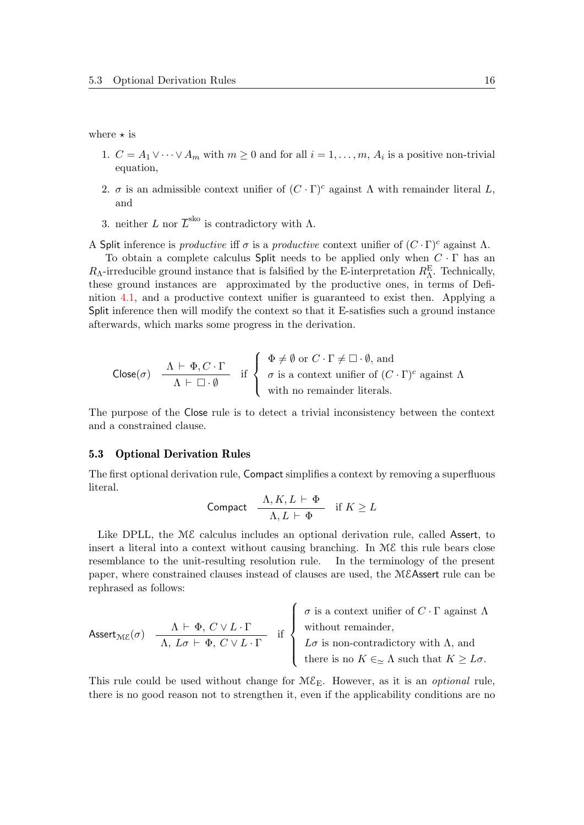where  $\star$  is

- 1.  $C = A_1 \vee \cdots \vee A_m$  with  $m \geq 0$  and for all  $i = 1, \ldots, m, A_i$  is a positive non-trivial equation,
- 2.  $\sigma$  is an admissible context unifier of  $(C \cdot \Gamma)^c$  against  $\Lambda$  with remainder literal  $L$ , and
- 3. neither L nor  $\overline{L}^{\text{sko}}$  is contradictory with  $\Lambda$ .

A Split inference is productive iff  $\sigma$  is a productive context unifier of  $(C \cdot \Gamma)^c$  against  $\Lambda$ .

To obtain a complete calculus Split needs to be applied only when  $C \cdot \Gamma$  has an  $R_{\Lambda}$ -irreducible ground instance that is falsified by the E-interpretation  $R_{\Lambda}^{\text{E}}$ . Technically, these ground instances are approximated by the productive ones, in terms of Definition [4.1,](#page-12-1) and a productive context unifier is guaranteed to exist then. Applying a Split inference then will modify the context so that it E-satisfies such a ground instance afterwards, which marks some progress in the derivation.

$$
\text{Close}(\sigma) \quad \frac{\Lambda \vdash \Phi, C \cdot \Gamma}{\Lambda \vdash \Box \cdot \emptyset} \quad \text{if} \quad \left\{ \begin{array}{l} \Phi \neq \emptyset \text{ or } C \cdot \Gamma \neq \Box \cdot \emptyset, \text{ and} \\ \sigma \text{ is a context unifier of } (C \cdot \Gamma)^c \text{ against } \Lambda \\ \text{with no remainder literals.} \end{array} \right.
$$

The purpose of the Close rule is to detect a trivial inconsistency between the context and a constrained clause.

### <span id="page-15-0"></span>5.3 Optional Derivation Rules

The first optional derivation rule, Compact simplifies a context by removing a superfluous literal.

$$
\text{Compact} \quad \frac{\Lambda, K, L \vdash \Phi}{\Lambda, L \vdash \Phi} \quad \text{if } K \ge L
$$

Like DPLL, the ME calculus includes an optional derivation rule, called Assert, to insert a literal into a context without causing branching. In  $M\mathcal{E}$  this rule bears close resemblance to the unit-resulting resolution rule. In the terminology of the present paper, where constrained clauses instead of clauses are used, the MEAssert rule can be rephrased as follows:

$$
\mathsf{assert}_{\mathsf{ME}}(\sigma) \quad \frac{\Lambda \vdash \Phi, C \lor L \cdot \Gamma}{\Lambda, L\sigma \vdash \Phi, C \lor L \cdot \Gamma} \quad \text{if} \quad \begin{cases} \sigma \text{ is a context unifier of } C \cdot \Gamma \text{ against } \Lambda \\ \text{without remainder,} \\ L\sigma \text{ is non-contradictory with } \Lambda, \text{ and} \\ \text{there is no } K \in_{\simeq} \Lambda \text{ such that } K \geq L\sigma. \end{cases}
$$

This rule could be used without change for  $M\mathcal{E}_F$ . However, as it is an *optional* rule, there is no good reason not to strengthen it, even if the applicability conditions are no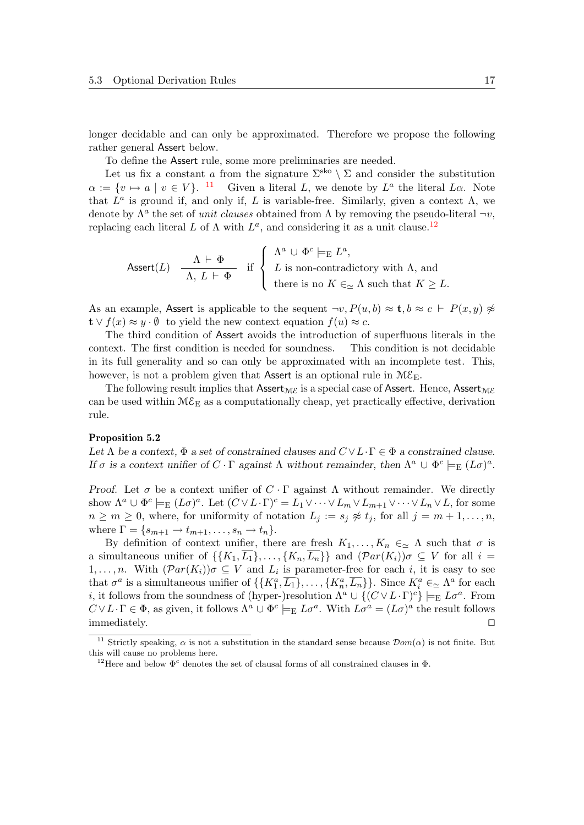longer decidable and can only be approximated. Therefore we propose the following rather general Assert below.

To define the Assert rule, some more preliminaries are needed.

Let us fix a constant a from the signature  $\Sigma^{\rm sko} \setminus \Sigma$  and consider the substitution  $\alpha := \{v \mapsto a \mid v \in V\}.$  <sup>[11](#page-16-0)</sup> Given a literal L, we denote by  $L^a$  the literal L $\alpha$ . Note that  $L^a$  is ground if, and only if, L is variable-free. Similarly, given a context  $\Lambda$ , we denote by  $\Lambda^a$  the set of *unit clauses* obtained from  $\Lambda$  by removing the pseudo-literal  $\neg v$ , replacing each literal L of  $\Lambda$  with  $L^a$ , and considering it as a unit clause.<sup>[12](#page-16-1)</sup>

$$
\mathsf{Assert}(L) \quad \frac{\Lambda \vdash \Phi}{\Lambda, \ L \vdash \Phi} \quad \text{if} \quad \left\{ \begin{array}{l} \Lambda^a \cup \Phi^c \models_{\mathcal{E}} L^a, \\ L \text{ is non-contradictory with } \Lambda, \text{ and} \\ \text{there is no } K \in_{\simeq} \Lambda \text{ such that } K \geq L. \end{array} \right.
$$

As an example, Assert is applicable to the sequent  $\neg v, P(u, b) \approx t, b \approx c \vdash P(x, y) \not\approx$  $\mathbf{t} \vee f(x) \approx y \cdot \emptyset$  to yield the new context equation  $f(u) \approx c$ .

The third condition of Assert avoids the introduction of superfluous literals in the context. The first condition is needed for soundness. This condition is not decidable in its full generality and so can only be approximated with an incomplete test. This, however, is not a problem given that Assert is an optional rule in  $M\mathcal{E}_F$ .

The following result implies that  $\mathsf{assert}_{\mathcal{ME}}$  is a special case of Assert. Hence, Assert<sub>ME</sub> can be used within  $M\mathcal{E}_E$  as a computationally cheap, yet practically effective, derivation rule.

#### Proposition 5.2

Let  $\Lambda$  be a context,  $\Phi$  a set of constrained clauses and  $C \vee L \cdot \Gamma \in \Phi$  a constrained clause. If σ is a context unifier of C · Γ against Λ without remainder, then  $\Lambda^a \cup \Phi^c \models_E (L\sigma)^a$ .

Proof. Let  $\sigma$  be a context unifier of  $C \cdot \Gamma$  against  $\Lambda$  without remainder. We directly show  $\Lambda^a \cup \Phi^c \models_E (L\sigma)^a$ . Let  $(C \vee L \cdot \Gamma)^c = L_1 \vee \cdots \vee L_m \vee L_{m+1} \vee \cdots \vee L_n \vee L$ , for some  $n \geq m \geq 0$ , where, for uniformity of notation  $L_j := s_j \not\approx t_j$ , for all  $j = m + 1, \ldots, n$ , where  $\Gamma = \{s_{m+1} \to t_{m+1}, \ldots, s_n \to t_n\}.$ 

By definition of context unifier, there are fresh  $K_1, \ldots, K_n \in \simeq \Lambda$  such that  $\sigma$  is a simultaneous unifier of  $\{\{K_1,\overline{L_1}\},\ldots,\{K_n,\overline{L_n}\}\}\$ and  $(\mathcal{P}ar(K_i))\sigma\subseteq V$  for all  $i=$  $1, \ldots, n$ . With  $(\mathcal{P}ar(K_i))\sigma \subseteq V$  and  $L_i$  is parameter-free for each i, it is easy to see that  $\sigma^a$  is a simultaneous unifier of  $\{\{K_1^a, \overline{L_1}\}, \ldots, \{K_n^a, \overline{L_n}\}\}\.$  Since  $K_i^a \in \sim \Lambda^a$  for each *i*, it follows from the soundness of (hyper-)resolution  $\Lambda^a \cup \{(C \vee L \cdot \Gamma)^c\} \models_{\mathcal{E}} L\sigma^a$ . From  $C \vee L \cdot \Gamma \in \Phi$ , as given, it follows  $\Lambda^a \cup \Phi^c \models_{\mathcal{E}} L\sigma^a$ . With  $L\sigma^a = (L\sigma)^a$  the result follows immediately.  $\Box$ 

<span id="page-16-0"></span><sup>&</sup>lt;sup>11</sup> Strictly speaking,  $\alpha$  is not a substitution in the standard sense because  $\mathcal{D}om(\alpha)$  is not finite. But this will cause no problems here.

<span id="page-16-1"></span><sup>&</sup>lt;sup>12</sup>Here and below  $\Phi^c$  denotes the set of clausal forms of all constrained clauses in  $\Phi$ .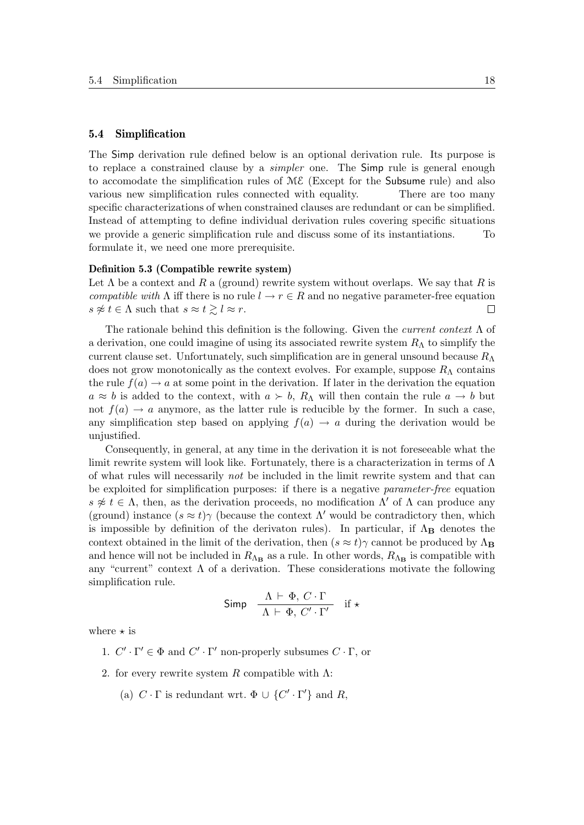## 5.4 Simplification

The Simp derivation rule defined below is an optional derivation rule. Its purpose is to replace a constrained clause by a simpler one. The Simp rule is general enough to accomodate the simplification rules of ME (Except for the Subsume rule) and also various new simplification rules connected with equality. There are too many specific characterizations of when constrained clauses are redundant or can be simplified. Instead of attempting to define individual derivation rules covering specific situations we provide a generic simplification rule and discuss some of its instantiations. To formulate it, we need one more prerequisite.

#### <span id="page-17-0"></span>Definition 5.3 (Compatible rewrite system)

Let  $\Lambda$  be a context and R a (ground) rewrite system without overlaps. We say that R is compatible with  $\Lambda$  iff there is no rule  $l \to r \in R$  and no negative parameter-free equation  $s \not\approx t \in \Lambda$  such that  $s \approx t \geq l \approx r$ .  $\Box$ 

The rationale behind this definition is the following. Given the *current context*  $\Lambda$  of a derivation, one could imagine of using its associated rewrite system  $R_{\Lambda}$  to simplify the current clause set. Unfortunately, such simplification are in general unsound because  $R_{\Lambda}$ does not grow monotonically as the context evolves. For example, suppose  $R_{\Lambda}$  contains the rule  $f(a) \to a$  at some point in the derivation. If later in the derivation the equation  $a \approx b$  is added to the context, with  $a \succ b$ ,  $R_{\Lambda}$  will then contain the rule  $a \to b$  but not  $f(a) \to a$  anymore, as the latter rule is reducible by the former. In such a case, any simplification step based on applying  $f(a) \rightarrow a$  during the derivation would be unjustified.

Consequently, in general, at any time in the derivation it is not foreseeable what the limit rewrite system will look like. Fortunately, there is a characterization in terms of  $\Lambda$ of what rules will necessarily not be included in the limit rewrite system and that can be exploited for simplification purposes: if there is a negative parameter-free equation  $s \not\approx t \in \Lambda$ , then, as the derivation proceeds, no modification  $\Lambda'$  of  $\Lambda$  can produce any (ground) instance  $(s \approx t)$ γ (because the context  $\Lambda'$  would be contradictory then, which is impossible by definition of the derivaton rules). In particular, if  $\Lambda_{\mathbf{B}}$  denotes the context obtained in the limit of the derivation, then  $(s \approx t)$  cannot be produced by  $\Lambda_{\mathbf{B}}$ and hence will not be included in  $R_{\Lambda_B}$  as a rule. In other words,  $R_{\Lambda_B}$  is compatible with any "current" context  $\Lambda$  of a derivation. These considerations motivate the following simplification rule.

$$
\mathsf{Simp} \quad \frac{\Lambda \vdash \Phi, \, C \cdot \Gamma}{\Lambda \vdash \Phi, \, C' \cdot \Gamma'} \quad \text{if} \; \star
$$

where  $\star$  is

- 1.  $C' \cdot \Gamma' \in \Phi$  and  $C' \cdot \Gamma'$  non-properly subsumes  $C \cdot \Gamma$ , or
- 2. for every rewrite system R compatible with  $\Lambda$ :
	- (a)  $C \cdot \Gamma$  is redundant wrt.  $\Phi \cup \{C' \cdot \Gamma'\}$  and R,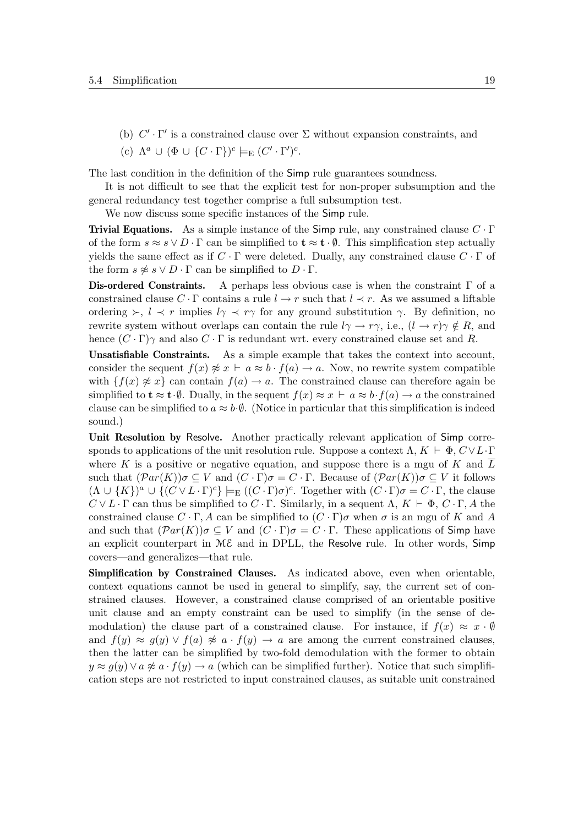- (b)  $C' \cdot \Gamma'$  is a constrained clause over  $\Sigma$  without expansion constraints, and
- (c)  $\Lambda^a \cup (\Phi \cup \{C \cdot \Gamma\})^c \models_{\mathcal{E}} (C' \cdot \Gamma')^c.$

The last condition in the definition of the Simp rule guarantees soundness.

It is not difficult to see that the explicit test for non-proper subsumption and the general redundancy test together comprise a full subsumption test.

We now discuss some specific instances of the Simp rule.

**Trivial Equations.** As a simple instance of the Simp rule, any constrained clause  $C \cdot \Gamma$ of the form  $s \approx s \vee D \cdot \Gamma$  can be simplified to  $\mathbf{t} \approx \mathbf{t} \cdot \emptyset$ . This simplification step actually vields the same effect as if  $C \cdot \Gamma$  were deleted. Dually, any constrained clause  $C \cdot \Gamma$  of the form  $s \not\approx s \vee D \cdot \Gamma$  can be simplified to  $D \cdot \Gamma$ .

Dis-ordered Constraints. A perhaps less obvious case is when the constraint  $\Gamma$  of a constrained clause C  $\cdot \Gamma$  contains a rule  $l \to r$  such that  $l \prec r$ . As we assumed a liftable ordering  $\succ, l \prec r$  implies  $l\gamma \prec r\gamma$  for any ground substitution  $\gamma$ . By definition, no rewrite system without overlaps can contain the rule  $l\gamma \to r\gamma$ , i.e.,  $(l \to r)\gamma \notin R$ , and hence  $(C \cdot \Gamma)$ γ and also  $C \cdot \Gamma$  is redundant wrt. every constrained clause set and R.

Unsatisfiable Constraints. As a simple example that takes the context into account, consider the sequent  $f(x) \not\approx x \vdash a \approx b \cdot f(a) \rightarrow a$ . Now, no rewrite system compatible with  $\{f(x) \not\approx x\}$  can contain  $f(a) \to a$ . The constrained clause can therefore again be simplified to  $\mathbf{t} \approx \mathbf{t} \cdot \emptyset$ . Dually, in the sequent  $f(x) \approx x \vdash a \approx b \cdot f(a) \rightarrow a$  the constrained clause can be simplified to  $a \approx b \cdot \emptyset$ . (Notice in particular that this simplification is indeed sound.)

Unit Resolution by Resolve. Another practically relevant application of Simp corresponds to applications of the unit resolution rule. Suppose a context  $\Lambda, K \vdash \Phi, C \vee L \cdot \Gamma$ where K is a positive or negative equation, and suppose there is a mgu of K and  $\overline{L}$ such that  $(\mathcal{P}ar(K))\sigma \subseteq V$  and  $(C \cdot \Gamma)\sigma = C \cdot \Gamma$ . Because of  $(\mathcal{P}ar(K))\sigma \subseteq V$  it follows  $(\Lambda \cup \{K\})^a \cup \{(C \vee L \cdot \Gamma)^c\} \models_E ((C \cdot \Gamma) \sigma)^c$ . Together with  $(C \cdot \Gamma) \sigma = C \cdot \Gamma$ , the clause  $C \vee L \cdot \Gamma$  can thus be simplified to  $C \cdot \Gamma$ . Similarly, in a sequent  $\Lambda, K \vdash \Phi, C \cdot \Gamma, A$  the constrained clause  $C \cdot \Gamma$ , A can be simplified to  $(C \cdot \Gamma) \sigma$  when  $\sigma$  is an mgu of K and A and such that  $(\mathcal{P}ar(K))\sigma \subseteq V$  and  $(C \cdot \Gamma)\sigma = C \cdot \Gamma$ . These applications of Simp have an explicit counterpart in  $M\mathcal{E}$  and in DPLL, the Resolve rule. In other words, Simp covers—and generalizes—that rule.

Simplification by Constrained Clauses. As indicated above, even when orientable, context equations cannot be used in general to simplify, say, the current set of constrained clauses. However, a constrained clause comprised of an orientable positive unit clause and an empty constraint can be used to simplify (in the sense of demodulation) the clause part of a constrained clause. For instance, if  $f(x) \approx x \cdot \emptyset$ and  $f(y) \approx q(y) \vee f(z) \not\approx a \cdot f(y) \rightarrow a$  are among the current constrained clauses, then the latter can be simplified by two-fold demodulation with the former to obtain  $y \approx g(y) \vee a \not\approx a \cdot f(y) \rightarrow a$  (which can be simplified further). Notice that such simplification steps are not restricted to input constrained clauses, as suitable unit constrained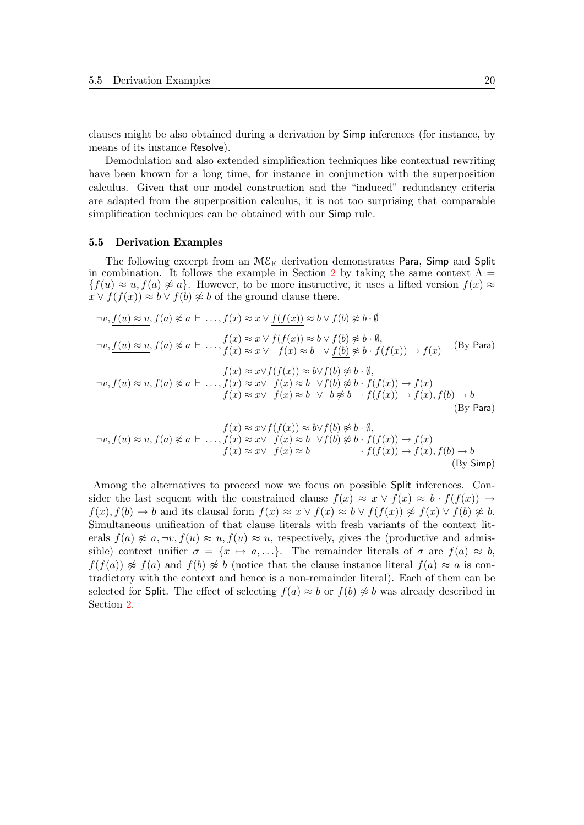clauses might be also obtained during a derivation by Simp inferences (for instance, by means of its instance Resolve).

Demodulation and also extended simplification techniques like contextual rewriting have been known for a long time, for instance in conjunction with the superposition calculus. Given that our model construction and the "induced" redundancy criteria are adapted from the superposition calculus, it is not too surprising that comparable simplification techniques can be obtained with our Simp rule.

#### 5.5 Derivation Examples

The following excerpt from an  $M\mathcal{E}_E$  derivation demonstrates Para, Simp and Split in combination. It follows the example in Section [2](#page-2-0) by taking the same context  $\Lambda =$  ${f(u) \approx u, f(a) \not\approx a}$ . However, to be more instructive, it uses a lifted version  $f(x) \approx$  $x \vee f(f(x)) \approx b \vee f(b) \not\approx b$  of the ground clause there.

$$
\neg v, \underline{f(u) \approx u}, f(a) \not\approx a \vdash \dots, f(x) \approx x \lor \underline{f(f(x))} \approx b \lor f(b) \not\approx b \cdot \emptyset
$$
  
\n
$$
\neg v, \underline{f(u) \approx u}, f(a) \not\approx a \vdash \dots, f(x) \approx x \lor f(f(x)) \approx b \lor f(b) \not\approx b \cdot \emptyset,
$$
  
\n
$$
\neg v, \underline{f(u) \approx u}, f(a) \not\approx a \vdash \dots, f(x) \approx x \lor f(x) \approx b \lor f(b) \not\approx b \cdot \emptyset,
$$
  
\n
$$
\neg v, \underline{f(u) \approx u}, f(a) \not\approx a \vdash \dots, f(x) \approx x \lor f(x) \approx b \lor f(b) \not\approx b \cdot f(f(x)) \to f(x)
$$
  
\n
$$
f(x) \approx x \lor f(x) \approx b \lor \underline{b \not\approx b} \cdot f(f(x)) \to f(x), f(b) \to b
$$
  
\n
$$
\text{(By Para)}
$$
  
\n
$$
f(x) \approx x \lor f(f(x)) \approx b \lor f(b) \not\approx b \cdot \emptyset,
$$

$$
\neg v, f(u) \approx u, f(a) \not\approx a \vdash \dots, f(x) \approx x \lor f(f(x)) \approx b \lor f(b) \not\approx b \cdot f(f(x)) \to f(x)
$$
  

$$
f(x) \approx x \lor f(x) \approx b \qquad f(f(x)) \to f(x), f(b) \to b
$$
  
(By Simp)

Among the alternatives to proceed now we focus on possible Split inferences. Consider the last sequent with the constrained clause  $f(x) \approx x \vee f(x) \approx b \cdot f(f(x)) \rightarrow$  $f(x), f(b) \to b$  and its clausal form  $f(x) \approx x \vee f(x) \approx b \vee f(f(x)) \not\approx f(x) \vee f(b) \not\approx b$ . Simultaneous unification of that clause literals with fresh variants of the context literals  $f(a) \not\approx a, \neg v, f(u) \approx u, f(u) \approx u$ , respectively, gives the (productive and admissible) context unifier  $\sigma = \{x \mapsto a, ...\}$ . The remainder literals of  $\sigma$  are  $f(a) \approx b$ ,  $f(f(a)) \not\approx f(a)$  and  $f(b) \not\approx b$  (notice that the clause instance literal  $f(a) \approx a$  is contradictory with the context and hence is a non-remainder literal). Each of them can be selected for Split. The effect of selecting  $f(a) \approx b$  or  $f(b) \not\approx b$  was already described in Section [2.](#page-2-0)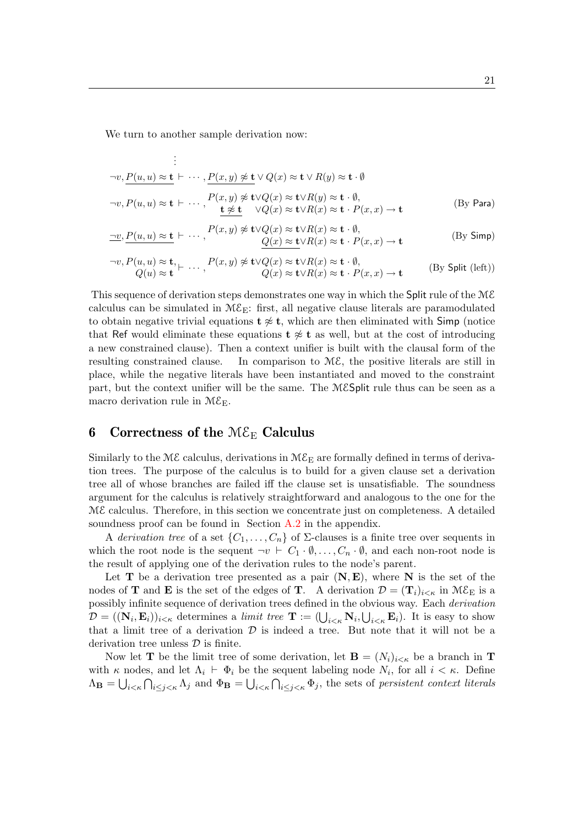We turn to another sample derivation now:

.

$$
\vdots
$$
  
\n
$$
\neg v, P(u, u) \approx \mathbf{t} \vdash \cdots, P(x, y) \not\approx \mathbf{t} \lor Q(x) \approx \mathbf{t} \lor R(y) \approx \mathbf{t} \cdot \emptyset
$$
  
\n
$$
\neg v, P(u, u) \approx \mathbf{t} \vdash \cdots, \frac{P(x, y) \not\approx \mathbf{t} \lor Q(x) \approx \mathbf{t} \lor R(y) \approx \mathbf{t} \cdot \emptyset}{\mathbf{t} \not\approx \mathbf{t} \lor Q(x) \approx \mathbf{t} \lor R(x) \approx \mathbf{t} \cdot P(x, x) \to \mathbf{t}
$$
 (By Para)

$$
\underline{\neg v, P(u, u) \approx t} \vdash \cdots, P(x, y) \not\approx t \lor Q(x) \approx t \lor R(x) \approx t \cdot \emptyset, \\
\underline{Q(x) \approx t} \lor R(x) \approx t \cdot P(x, x) \to t \qquad \text{(By Simp)}
$$

$$
\neg v, P(u, u) \approx \mathbf{t}, \qquad P(x, y) \not\approx \mathbf{t} \lor Q(x) \approx \mathbf{t} \lor R(x) \approx \mathbf{t} \cdot \emptyset,
$$
\n
$$
Q(u) \approx \mathbf{t} \qquad Q(x) \approx \mathbf{t} \lor R(x) \approx \mathbf{t} \cdot P(x, x) \to \mathbf{t} \qquad \text{(By Split (left))}
$$

This sequence of derivation steps demonstrates one way in which the Split rule of the ME calculus can be simulated in  $ME_E$ : first, all negative clause literals are paramodulated to obtain negative trivial equations  $t \approx t$ , which are then eliminated with Simp (notice that Ref would eliminate these equations  $t \approx t$  as well, but at the cost of introducing a new constrained clause). Then a context unifier is built with the clausal form of the resulting constrained clause. In comparison to  $M\mathcal{E}$ , the positive literals are still in place, while the negative literals have been instantiated and moved to the constraint part, but the context unifier will be the same. The MESplit rule thus can be seen as a macro derivation rule in  $M\mathcal{E}_E$ .

## <span id="page-20-0"></span>6 Correctness of the  $M\mathcal{E}_{\mathrm{E}}$  Calculus

Similarly to the ME calculus, derivations in  $M\mathcal{E}_E$  are formally defined in terms of derivation trees. The purpose of the calculus is to build for a given clause set a derivation tree all of whose branches are failed iff the clause set is unsatisfiable. The soundness argument for the calculus is relatively straightforward and analogous to the one for the ME calculus. Therefore, in this section we concentrate just on completeness. A detailed soundness proof can be found in Section [A.2](#page-28-0) in the appendix.

A derivation tree of a set  $\{C_1, \ldots, C_n\}$  of  $\Sigma$ -clauses is a finite tree over sequents in which the root node is the sequent  $\neg v \vdash C_1 \cdot \emptyset, \ldots, C_n \cdot \emptyset$ , and each non-root node is the result of applying one of the derivation rules to the node's parent.

Let **T** be a derivation tree presented as a pair  $(N, E)$ , where N is the set of the nodes of **T** and **E** is the set of the edges of **T**. A derivation  $\mathcal{D} = (\mathbf{T}_i)_{i \leq \kappa}$  in  $M \mathcal{E}_E$  is a possibly infinite sequence of derivation trees defined in the obvious way. Each derivation  $D = ((\mathbf{N}_i, \mathbf{E}_i))_{i \leq \kappa}$  determines a *limit tree*  $\mathbf{T} := (\bigcup_{i \leq \kappa} \mathbf{N}_i, \bigcup_{i \leq \kappa} \mathbf{E}_i)$ . It is easy to show that a limit tree of a derivation  $D$  is indeed a tree. But note that it will not be a derivation tree unless  $\mathcal{D}$  is finite.

Now let **T** be the limit tree of some derivation, let  $\mathbf{B} = (N_i)_{i \leq \kappa}$  be a branch in **T** with  $\kappa$  nodes, and let  $\Lambda_i \vdash \Phi_i$  be the sequent labeling node  $N_i$ , for all  $i < \kappa$ . Define  $\Lambda_{\bf B} = \bigcup_{i \leq \kappa} \bigcap_{i \leq j \leq \kappa} \Lambda_j$  and  $\Phi_{\bf B} = \bigcup_{i \leq \kappa} \bigcap_{i \leq j \leq \kappa} \Phi_j$ , the sets of persistent context literals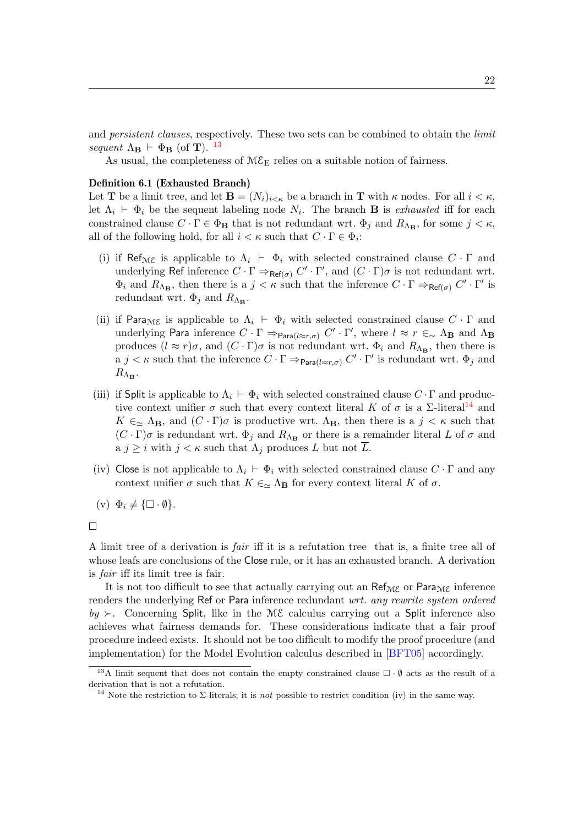and *persistent clauses*, respectively. These two sets can be combined to obtain the *limit* sequent  $\Lambda_{\mathbf{B}} \vdash \Phi_{\mathbf{B}}$  (of **T**). <sup>[13](#page-21-0)</sup>

As usual, the completeness of  ${\mathcal M}\mathcal{E}_{\mathrm E}$  relies on a suitable notion of fairness.

#### <span id="page-21-2"></span>Definition 6.1 (Exhausted Branch)

Let **T** be a limit tree, and let  $\mathbf{B} = (N_i)_{i \leq \kappa}$  be a branch in **T** with  $\kappa$  nodes. For all  $i \leq \kappa$ , let  $\Lambda_i \vdash \Phi_i$  be the sequent labeling node  $N_i$ . The branch **B** is *exhausted* iff for each constrained clause  $C \cdot \Gamma \in \Phi_B$  that is not redundant wrt.  $\Phi_j$  and  $R_{\Lambda_B}$ , for some  $j < \kappa$ , all of the following hold, for all  $i < \kappa$  such that  $C \cdot \Gamma \in \Phi_i$ :

- (i) if Ref<sub>ME</sub> is applicable to  $\Lambda_i \vdash \Phi_i$  with selected constrained clause  $C \cdot \Gamma$  and underlying Ref inference  $C \cdot \Gamma \Rightarrow_{\mathsf{Ref}(\sigma)} C' \cdot \Gamma'$ , and  $(C \cdot \Gamma) \sigma$  is not redundant wrt.  $\Phi_i$  and  $R_{\Lambda_B}$ , then there is a  $j < \kappa$  such that the inference  $C \cdot \Gamma \Rightarrow_{\mathsf{Ref}(\sigma)} C' \cdot \Gamma'$  is redundant wrt.  $\Phi_j$  and  $R_{\Lambda_B}$ .
- (ii) if Para<sub>ME</sub> is applicable to  $\Lambda_i \vdash \Phi_i$  with selected constrained clause  $C \cdot \Gamma$  and underlying Para inference  $C \cdot \Gamma \Rightarrow_{\text{Para}(l \approx r, \sigma)} C' \cdot \Gamma'$ , where  $l \approx r \in \Delta_{\mathbf{B}}$  and  $\Lambda_{\mathbf{B}}$ produces  $(l \approx r)\sigma$ , and  $(C \cdot \Gamma)\sigma$  is not redundant wrt.  $\Phi_i$  and  $R_{\Lambda_B}$ , then there is a  $j < \kappa$  such that the inference  $C \cdot \Gamma \Rightarrow_{\text{Para}(l \approx r, \sigma)} C' \cdot \Gamma'$  is redundant wrt.  $\Phi_j$  and  $R_{\Lambda_{\mathbf{B}}}$ .
- (iii) if Split is applicable to  $\Lambda_i \vdash \Phi_i$  with selected constrained clause  $C \cdot \Gamma$  and productive context unifier  $\sigma$  such that every context literal K of  $\sigma$  is a  $\Sigma$ -literal<sup>[14](#page-21-1)</sup> and  $K \in \simeq \Lambda_{\mathbf{B}}$ , and  $(C \cdot \Gamma)\sigma$  is productive wrt.  $\Lambda_{\mathbf{B}}$ , then there is a  $j < \kappa$  such that  $(C \cdot \Gamma)\sigma$  is redundant wrt.  $\Phi_j$  and  $R_{\Lambda_B}$  or there is a remainder literal L of  $\sigma$  and a  $j \geq i$  with  $j < \kappa$  such that  $\Lambda_j$  produces L but not L.
- (iv) Close is not applicable to  $\Lambda_i \vdash \Phi_i$  with selected constrained clause  $C \cdot \Gamma$  and any context unifier  $\sigma$  such that  $K \in \simeq \Lambda_{\mathbf{B}}$  for every context literal K of  $\sigma$ .
- (v)  $\Phi_i \neq {\Box \cdot \emptyset}.$

#### $\Box$

A limit tree of a derivation is fair iff it is a refutation tree that is, a finite tree all of whose leafs are conclusions of the Close rule, or it has an exhausted branch. A derivation is fair iff its limit tree is fair.

It is not too difficult to see that actually carrying out an  $\mathsf{Ref}_{\mathcal{ME}}$  or  $\mathsf{Para}_{\mathcal{ME}}$  inference renders the underlying Ref or Para inference redundant wrt. any rewrite system ordered  $by \succ$ . Concerning Split, like in the ME calculus carrying out a Split inference also achieves what fairness demands for. These considerations indicate that a fair proof procedure indeed exists. It should not be too difficult to modify the proof procedure (and implementation) for the Model Evolution calculus described in [\[BFT05\]](#page-23-2) accordingly.

<span id="page-21-0"></span><sup>&</sup>lt;sup>13</sup>A limit sequent that does not contain the empty constrained clause  $\Box \cdot \emptyset$  acts as the result of a derivation that is not a refutation.

<span id="page-21-1"></span><sup>&</sup>lt;sup>14</sup> Note the restriction to  $\Sigma$ -literals; it is not possible to restrict condition (iv) in the same way.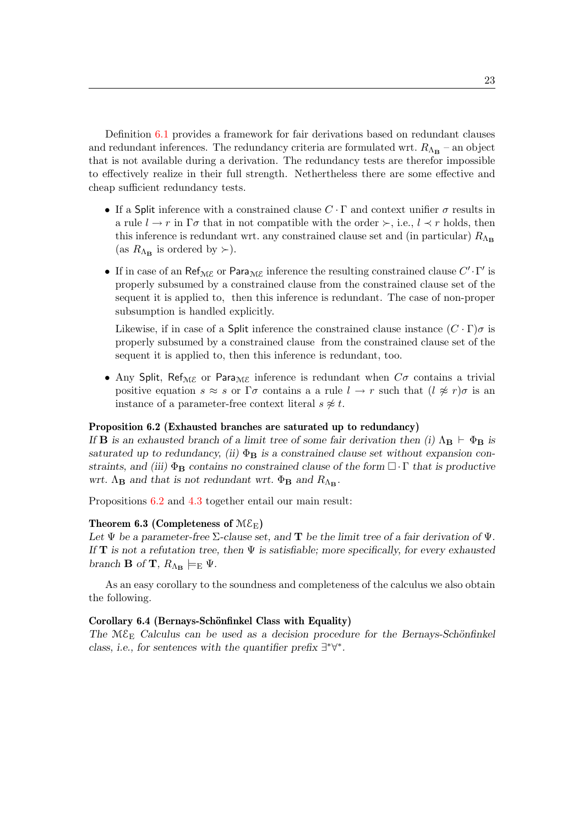Definition [6.1](#page-21-2) provides a framework for fair derivations based on redundant clauses and redundant inferences. The redundancy criteria are formulated wrt.  $R_{\Lambda_B}$  – an object that is not available during a derivation. The redundancy tests are therefor impossible to effectively realize in their full strength. Nethertheless there are some effective and cheap sufficient redundancy tests.

- If a Split inference with a constrained clause  $C \cdot \Gamma$  and context unifier  $\sigma$  results in a rule  $l \to r$  in  $\Gamma \sigma$  that in not compatible with the order  $\succ$ , i.e.,  $l \prec r$  holds, then this inference is redundant wrt. any constrained clause set and (in particular)  $R_{\text{A}B}$ (as  $R_{\Lambda_{\mathbf{B}}}$  is ordered by  $\succ$ ).
- If in case of an  $\mathsf{Ref_{ME}}$  or  $\mathsf{Para}_\mathcal{ME}$  inference the resulting constrained clause  $C' \cdot \Gamma'$  is properly subsumed by a constrained clause from the constrained clause set of the sequent it is applied to, then this inference is redundant. The case of non-proper subsumption is handled explicitly.

Likewise, if in case of a Split inference the constrained clause instance  $(C \cdot \Gamma) \sigma$  is properly subsumed by a constrained clause from the constrained clause set of the sequent it is applied to, then this inference is redundant, too.

• Any Split, Ref<sub>ME</sub> or Para<sub>ME</sub> inference is redundant when  $C\sigma$  contains a trivial positive equation  $s \approx s$  or  $\Gamma \sigma$  contains a a rule  $l \to r$  such that  $(l \not\approx r) \sigma$  is an instance of a parameter-free context literal  $s \not\approx t$ .

#### <span id="page-22-0"></span>Proposition 6.2 (Exhausted branches are saturated up to redundancy)

If **B** is an exhausted branch of a limit tree of some fair derivation then (i)  $\Lambda_{\mathbf{B}} \vdash \Phi_{\mathbf{B}}$  is saturated up to redundancy, (ii)  $\Phi_B$  is a constrained clause set without expansion constraints, and (iii)  $\Phi_B$  contains no constrained clause of the form  $\Box \cdot \Gamma$  that is productive wrt.  $\Lambda_{\mathbf{B}}$  and that is not redundant wrt.  $\Phi_{\mathbf{B}}$  and  $R_{\Lambda_{\mathbf{B}}}$ .

<span id="page-22-1"></span>Propositions [6.2](#page-22-0) and [4.3](#page-13-1) together entail our main result:

#### Theorem 6.3 (Completeness of  $M\mathcal{E}_{\mathrm{E}}$ )

Let  $\Psi$  be a parameter-free  $\Sigma$ -clause set, and **T** be the limit tree of a fair derivation of  $\Psi$ . If **T** is not a refutation tree, then  $\Psi$  is satisfiable; more specifically, for every exhausted branch **B** of **T**,  $R_{\Lambda_{\mathbf{B}}} \models_{\mathbf{E}} \Psi$ .

As an easy corollary to the soundness and completeness of the calculus we also obtain the following.

#### <span id="page-22-2"></span>Corollary 6.4 (Bernays-Schönfinkel Class with Equality)

The  $M\mathcal{E}_E$  Calculus can be used as a decision procedure for the Bernays-Schönfinkel class, i.e., for sentences with the quantifier prefix  $\exists^*\forall^*$ .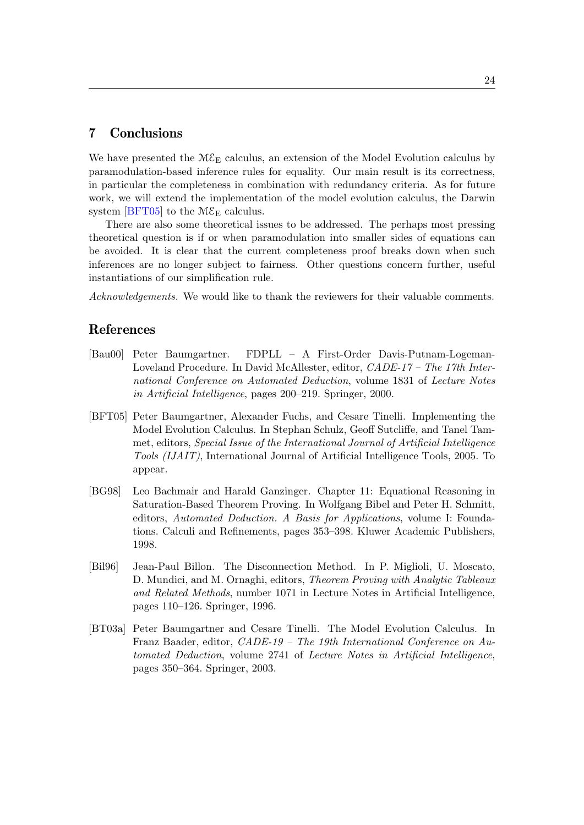## 7 Conclusions

We have presented the  $M\mathcal{E}_{\text{E}}$  calculus, an extension of the Model Evolution calculus by paramodulation-based inference rules for equality. Our main result is its correctness, in particular the completeness in combination with redundancy criteria. As for future work, we will extend the implementation of the model evolution calculus, the Darwin system [\[BFT05\]](#page-23-2) to the  $M\mathcal{E}_E$  calculus.

There are also some theoretical issues to be addressed. The perhaps most pressing theoretical question is if or when paramodulation into smaller sides of equations can be avoided. It is clear that the current completeness proof breaks down when such inferences are no longer subject to fairness. Other questions concern further, useful instantiations of our simplification rule.

Acknowledgements. We would like to thank the reviewers for their valuable comments.

## References

- <span id="page-23-1"></span>[Bau00] Peter Baumgartner. FDPLL – A First-Order Davis-Putnam-Logeman-Loveland Procedure. In David McAllester, editor, CADE-17 – The 17th International Conference on Automated Deduction, volume 1831 of Lecture Notes in Artificial Intelligence, pages 200–219. Springer, 2000.
- <span id="page-23-2"></span>[BFT05] Peter Baumgartner, Alexander Fuchs, and Cesare Tinelli. Implementing the Model Evolution Calculus. In Stephan Schulz, Geoff Sutcliffe, and Tanel Tammet, editors, Special Issue of the International Journal of Artificial Intelligence Tools (IJAIT), International Journal of Artificial Intelligence Tools, 2005. To appear.
- <span id="page-23-3"></span>[BG98] Leo Bachmair and Harald Ganzinger. Chapter 11: Equational Reasoning in Saturation-Based Theorem Proving. In Wolfgang Bibel and Peter H. Schmitt, editors, Automated Deduction. A Basis for Applications, volume I: Foundations. Calculi and Refinements, pages 353–398. Kluwer Academic Publishers, 1998.
- <span id="page-23-4"></span>[Bil96] Jean-Paul Billon. The Disconnection Method. In P. Miglioli, U. Moscato, D. Mundici, and M. Ornaghi, editors, Theorem Proving with Analytic Tableaux and Related Methods, number 1071 in Lecture Notes in Artificial Intelligence, pages 110–126. Springer, 1996.
- <span id="page-23-0"></span>[BT03a] Peter Baumgartner and Cesare Tinelli. The Model Evolution Calculus. In Franz Baader, editor, CADE-19 – The 19th International Conference on Automated Deduction, volume 2741 of Lecture Notes in Artificial Intelligence, pages 350–364. Springer, 2003.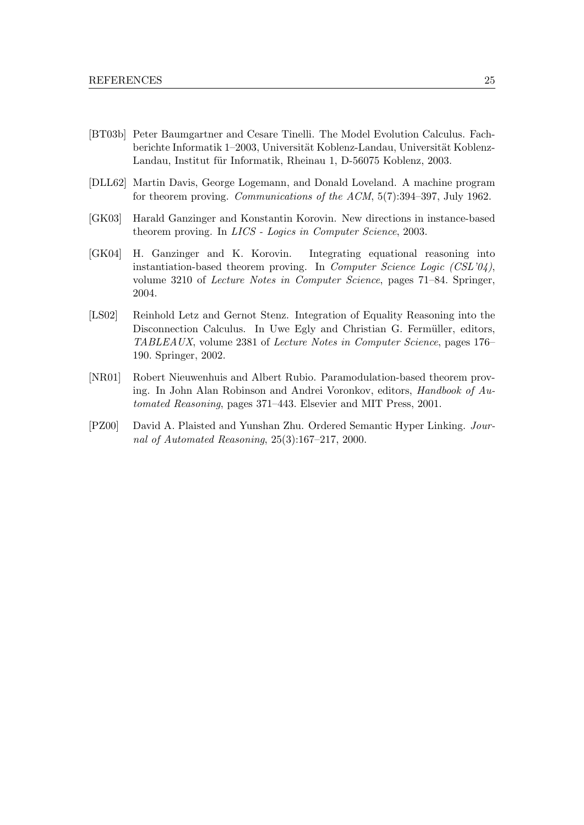- <span id="page-24-6"></span>[BT03b] Peter Baumgartner and Cesare Tinelli. The Model Evolution Calculus. Fachberichte Informatik 1–2003, Universität Koblenz-Landau, Universität Koblenz-Landau, Institut für Informatik, Rheinau 1, D-56075 Koblenz, 2003.
- <span id="page-24-0"></span>[DLL62] Martin Davis, George Logemann, and Donald Loveland. A machine program for theorem proving. Communications of the ACM, 5(7):394–397, July 1962.
- <span id="page-24-3"></span>[GK03] Harald Ganzinger and Konstantin Korovin. New directions in instance-based theorem proving. In LICS - Logics in Computer Science, 2003.
- <span id="page-24-5"></span>[GK04] H. Ganzinger and K. Korovin. Integrating equational reasoning into instantiation-based theorem proving. In Computer Science Logic (CSL'04), volume 3210 of Lecture Notes in Computer Science, pages 71–84. Springer, 2004.
- <span id="page-24-4"></span>[LS02] Reinhold Letz and Gernot Stenz. Integration of Equality Reasoning into the Disconnection Calculus. In Uwe Egly and Christian G. Fermüller, editors, TABLEAUX, volume 2381 of Lecture Notes in Computer Science, pages 176– 190. Springer, 2002.
- <span id="page-24-1"></span>[NR01] Robert Nieuwenhuis and Albert Rubio. Paramodulation-based theorem proving. In John Alan Robinson and Andrei Voronkov, editors, Handbook of Automated Reasoning, pages 371–443. Elsevier and MIT Press, 2001.
- <span id="page-24-2"></span>[PZ00] David A. Plaisted and Yunshan Zhu. Ordered Semantic Hyper Linking. Journal of Automated Reasoning, 25(3):167–217, 2000.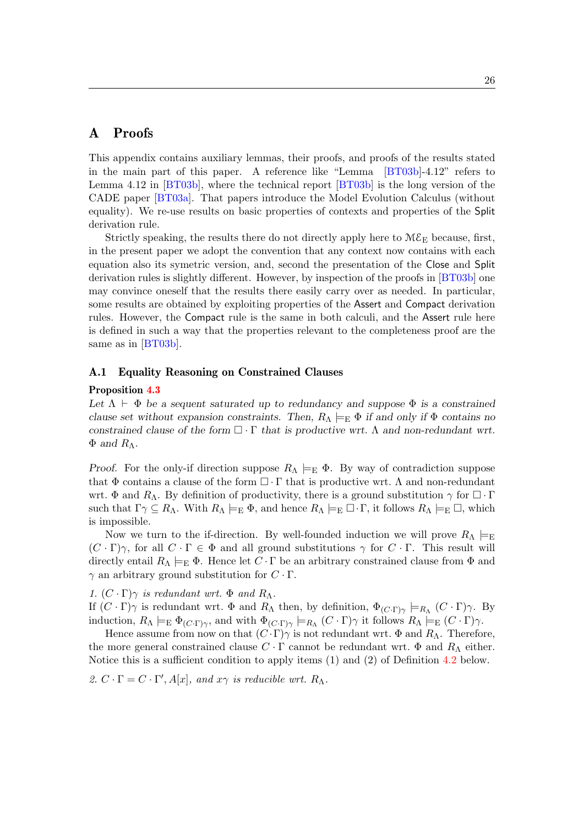## A Proofs

This appendix contains auxiliary lemmas, their proofs, and proofs of the results stated in the main part of this paper. A reference like "Lemma [\[BT03b\]](#page-24-6)-4.12" refers to Lemma 4.12 in [\[BT03b\]](#page-24-6), where the technical report [\[BT03b\]](#page-24-6) is the long version of the CADE paper [\[BT03a\]](#page-23-0). That papers introduce the Model Evolution Calculus (without equality). We re-use results on basic properties of contexts and properties of the Split derivation rule.

Strictly speaking, the results there do not directly apply here to  $M\mathcal{E}_E$  because, first, in the present paper we adopt the convention that any context now contains with each equation also its symetric version, and, second the presentation of the Close and Split derivation rules is slightly different. However, by inspection of the proofs in [\[BT03b\]](#page-24-6) one may convince oneself that the results there easily carry over as needed. In particular, some results are obtained by exploiting properties of the Assert and Compact derivation rules. However, the Compact rule is the same in both calculi, and the Assert rule here is defined in such a way that the properties relevant to the completeness proof are the same as in [\[BT03b\]](#page-24-6).

## A.1 Equality Reasoning on Constrained Clauses

## Proposition [4.3](#page-13-1)

Let  $\Lambda \vdash \Phi$  be a sequent saturated up to redundancy and suppose  $\Phi$  is a constrained clause set without expansion constraints. Then,  $R_{\Lambda} \models_{\mathcal{E}} \Phi$  if and only if  $\Phi$  contains no constrained clause of the form  $\Box \cdot \Gamma$  that is productive wrt. A and non-redundant wrt.  $\Phi$  and  $R_{\Lambda}$ .

Proof. For the only-if direction suppose  $R_{\Lambda} \models_{\mathbb{E}} \Phi$ . By way of contradiction suppose that  $\Phi$  contains a clause of the form  $\Box \cdot \Gamma$  that is productive wrt. A and non-redundant wrt. Φ and  $R_{\Lambda}$ . By definition of productivity, there is a ground substitution  $\gamma$  for  $\Box \cdot \Gamma$ such that  $\Gamma \gamma \subseteq R_{\Lambda}$ . With  $R_{\Lambda} \models_{\mathcal{E}} \Phi$ , and hence  $R_{\Lambda} \models_{\mathcal{E}} \Box \cdot \Gamma$ , it follows  $R_{\Lambda} \models_{\mathcal{E}} \Box$ , which is impossible.

Now we turn to the if-direction. By well-founded induction we will prove  $R_{\Lambda} \models_{\mathrm{E}}$  $(C \cdot \Gamma)$ γ, for all  $C \cdot \Gamma \in \Phi$  and all ground substitutions  $\gamma$  for  $C \cdot \Gamma$ . This result will directly entail  $R_{\Lambda} \models_{E} \Phi$ . Hence let  $C \cdot \Gamma$  be an arbitrary constrained clause from  $\Phi$  and  $\gamma$  an arbitrary ground substitution for  $C \cdot \Gamma$ .

1.  $(C \cdot \Gamma)$  is redundant wrt.  $\Phi$  and  $R_{\Lambda}$ .

If  $(C \cdot \Gamma)$  is redundant wrt.  $\Phi$  and  $R_{\Lambda}$  then, by definition,  $\Phi_{(C \cdot \Gamma)\gamma} \models_{R_{\Lambda}} (C \cdot \Gamma)$   $\gamma$ . By induction,  $R_{\Lambda} \models_{\mathcal{E}} \Phi_{(C \cdot \Gamma)\gamma}$ , and with  $\Phi_{(C \cdot \Gamma)\gamma} \models_{R_{\Lambda}} (C \cdot \Gamma)\gamma$  it follows  $R_{\Lambda} \models_{\mathcal{E}} (C \cdot \Gamma)\gamma$ .

Hence assume from now on that  $(C \cdot \Gamma)$  is not redundant wrt.  $\Phi$  and  $R_{\Lambda}$ . Therefore, the more general constrained clause  $C \cdot \Gamma$  cannot be redundant wrt.  $\Phi$  and  $R_{\Lambda}$  either. Notice this is a sufficient condition to apply items (1) and (2) of Definition [4.2](#page-12-0) below.

2.  $C \cdot \Gamma = C \cdot \Gamma', A[x]$ , and  $x\gamma$  is reducible wrt.  $R_{\Lambda}$ .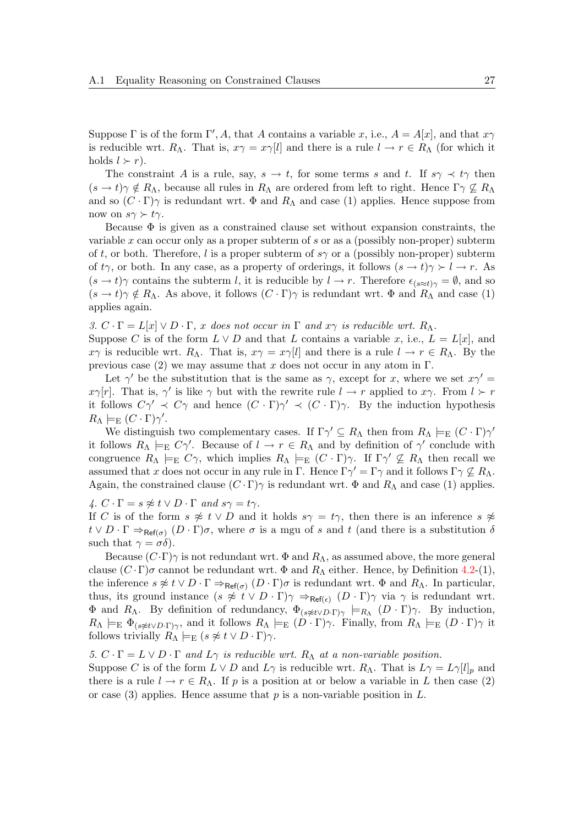Suppose  $\Gamma$  is of the form  $\Gamma', A$ , that A contains a variable x, i.e.,  $A = A[x]$ , and that  $x\gamma$ is reducible wrt.  $R_{\Lambda}$ . That is,  $x\gamma = x\gamma[l]$  and there is a rule  $l \to r \in R_{\Lambda}$  (for which it holds  $l \succ r$ ).

The constraint A is a rule, say,  $s \to t$ , for some terms s and t. If  $s\gamma \prec t\gamma$  then  $(s \to t) \gamma \notin R_\Lambda$ , because all rules in  $R_\Lambda$  are ordered from left to right. Hence  $\Gamma \gamma \nsubseteq R_\Lambda$ and so  $(C \cdot \Gamma)$  is redundant wrt.  $\Phi$  and  $R_{\Lambda}$  and case (1) applies. Hence suppose from now on  $s\gamma \succ t\gamma$ .

Because  $\Phi$  is given as a constrained clause set without expansion constraints, the variable  $x$  can occur only as a proper subterm of  $s$  or as a (possibly non-proper) subterm of t, or both. Therefore, l is a proper subterm of  $s\gamma$  or a (possibly non-proper) subterm of  $t\gamma$ , or both. In any case, as a property of orderings, it follows  $(s \to t)\gamma \succ l \to r$ . As  $(s \to t)\gamma$  contains the subterm l, it is reducible by  $l \to r$ . Therefore  $\epsilon_{(s \approx t)\gamma} = \emptyset$ , and so  $(s \to t) \gamma \notin R_\Lambda$ . As above, it follows  $(C \cdot \Gamma) \gamma$  is redundant wrt.  $\Phi$  and  $R_\Lambda$  and case (1) applies again.

3.  $C \cdot \Gamma = L[x] \vee D \cdot \Gamma$ , x does not occur in  $\Gamma$  and  $x\gamma$  is reducible wrt.  $R_{\Lambda}$ . Suppose C is of the form  $L \vee D$  and that L contains a variable x, i.e.,  $L = L[x]$ , and  $x\gamma$  is reducible wrt.  $R_{\Lambda}$ . That is,  $x\gamma = x\gamma[l]$  and there is a rule  $l \to r \in R_{\Lambda}$ . By the previous case (2) we may assume that x does not occur in any atom in  $\Gamma$ .

Let  $\gamma'$  be the substitution that is the same as  $\gamma$ , except for x, where we set  $x\gamma' =$  $x\gamma[r]$ . That is,  $\gamma'$  is like  $\gamma$  but with the rewrite rule  $l \to r$  applied to  $x\gamma$ . From  $l \succ r$ it follows  $C\gamma' \prec C\gamma$  and hence  $(C \cdot \Gamma)\gamma' \prec (C \cdot \Gamma)\gamma$ . By the induction hypothesis  $R_{\Lambda} \models_{\mathcal{E}} (C \cdot \Gamma) \gamma'.$ 

We distinguish two complementary cases. If  $\Gamma \gamma' \subseteq R_\Lambda$  then from  $R_\Lambda \models_{\mathbb{E}} (C \cdot \Gamma) \gamma'$ it follows  $R_{\Lambda} \models_{\mathbb{E}} C\gamma'$ . Because of  $l \to r \in R_{\Lambda}$  and by definition of  $\gamma'$  conclude with congruence  $R_{\Lambda} \models_{\mathcal{E}} C_{\gamma}$ , which implies  $R_{\Lambda} \models_{\mathcal{E}} (C \cdot \Gamma)_{\gamma}$ . If  $\Gamma_{\gamma} \not\subseteq R_{\Lambda}$  then recall we assumed that x does not occur in any rule in Γ. Hence  $\Gamma \gamma' = \Gamma \gamma$  and it follows  $\Gamma \gamma \nsubseteq R_\Lambda$ . Again, the constrained clause  $(C \cdot \Gamma)$  is redundant wrt.  $\Phi$  and  $R_{\Lambda}$  and case (1) applies.

4.  $C \cdot \Gamma = s \not\approx t \vee D \cdot \Gamma$  and  $s\gamma = t\gamma$ .

If C is of the form  $s \not\approx t \vee D$  and it holds  $s\gamma = t\gamma$ , then there is an inference  $s \not\approx$  $t \vee D \cdot \Gamma \Rightarrow_{\mathsf{Ref}(\sigma)} (D \cdot \Gamma) \sigma$ , where  $\sigma$  is a mgu of s and t (and there is a substitution  $\delta$ such that  $\gamma = \sigma \delta$ ).

Because  $(C \cdot \Gamma)$  is not redundant wrt.  $\Phi$  and  $R_{\Lambda}$ , as assumed above, the more general clause  $(C \cdot \Gamma) \sigma$  cannot be redundant wrt.  $\Phi$  and  $R_{\Lambda}$  either. Hence, by Definition [4.2-](#page-12-0)(1), the inference  $s \not\approx t \vee D \cdot \Gamma \Rightarrow_{\mathsf{Ref}(\sigma)} (D \cdot \Gamma) \sigma$  is redundant wrt.  $\Phi$  and  $R_{\Lambda}$ . In particular, thus, its ground instance  $(s \not\approx t \vee D \cdot \Gamma) \gamma \Rightarrow_{\text{Ref}(\epsilon)} (D \cdot \Gamma) \gamma$  via  $\gamma$  is redundant wrt.  $\Phi$  and  $R_{\Lambda}$ . By definition of redundancy,  $\Phi_{(s\neq t\vee D\cdot\Gamma)\gamma} \models_{R_{\Lambda}} (D \cdot \Gamma)\gamma$ . By induction,  $R_{\Lambda} \models_{\mathcal{E}} \Phi_{(s \not\approx t \vee D \cdot \Gamma)\gamma}$ , and it follows  $R_{\Lambda} \models_{\mathcal{E}} (D \cdot \Gamma)\gamma$ . Finally, from  $R_{\Lambda} \models_{\mathcal{E}} (D \cdot \Gamma)\gamma$  it follows trivially  $R_{\Lambda} \models_{\mathcal{E}} (s \not\approx t \vee D \cdot \Gamma) \gamma$ .

5.  $C \cdot \Gamma = L \vee D \cdot \Gamma$  and  $L\gamma$  is reducible wrt.  $R_{\Lambda}$  at a non-variable position. Suppose C is of the form  $L \vee D$  and  $L\gamma$  is reducible wrt.  $R_{\Lambda}$ . That is  $L\gamma = L\gamma[l]_p$  and there is a rule  $l \to r \in R_{\Lambda}$ . If p is a position at or below a variable in L then case (2) or case (3) applies. Hence assume that  $p$  is a non-variable position in  $L$ .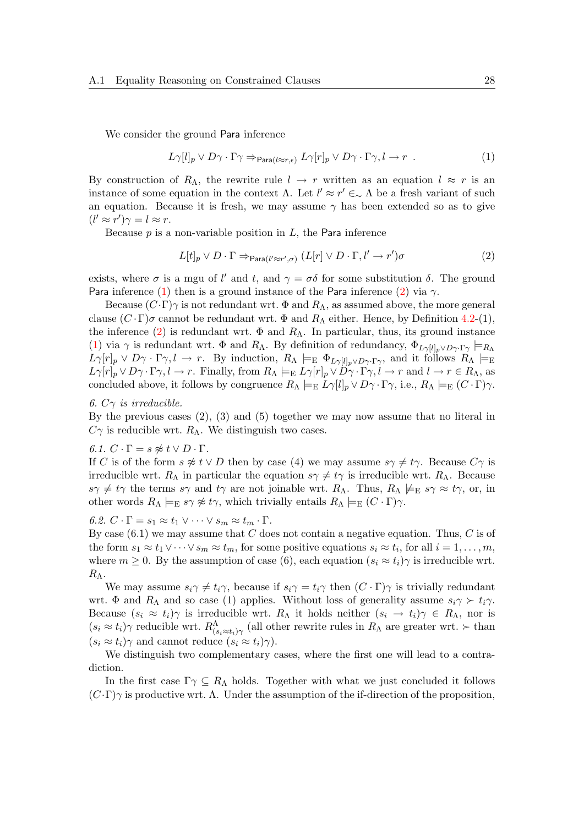We consider the ground Para inference

<span id="page-27-0"></span>
$$
L\gamma[l]_p \vee D\gamma \cdot \Gamma \gamma \Rightarrow_{\text{Para}(l \approx r, \epsilon)} L\gamma[r]_p \vee D\gamma \cdot \Gamma \gamma, l \to r . \tag{1}
$$

By construction of  $R_{\Lambda}$ , the rewrite rule  $l \to r$  written as an equation  $l \approx r$  is an instance of some equation in the context  $\Lambda$ . Let  $l' \approx r' \in \Lambda$  be a fresh variant of such an equation. Because it is fresh, we may assume  $\gamma$  has been extended so as to give  $(l' \approx r')\gamma = l \approx r.$ 

Because  $p$  is a non-variable position in  $L$ , the Para inference

<span id="page-27-1"></span>
$$
L[t]_p \vee D \cdot \Gamma \Rightarrow_{\text{Para}(l' \approx r', \sigma)} (L[r] \vee D \cdot \Gamma, l' \to r')\sigma
$$
 (2)

exists, where  $\sigma$  is a mgu of l' and t, and  $\gamma = \sigma \delta$  for some substitution  $\delta$ . The ground Para inference [\(1\)](#page-27-0) then is a ground instance of the Para inference [\(2\)](#page-27-1) via  $\gamma$ .

Because  $(C \cdot \Gamma)$ γ is not redundant wrt.  $\Phi$  and  $R_{\Lambda}$ , as assumed above, the more general clause  $(C \cdot \Gamma) \sigma$  cannot be redundant wrt.  $\Phi$  and  $R_{\Lambda}$  either. Hence, by Definition [4.2-](#page-12-0)(1), the inference [\(2\)](#page-27-1) is redundant wrt.  $\Phi$  and  $R_{\Lambda}$ . In particular, thus, its ground instance [\(1\)](#page-27-0) via  $\gamma$  is redundant wrt.  $\Phi$  and  $R_{\Lambda}$ . By definition of redundancy,  $\Phi_{L\gamma[l]_p\vee D\gamma\cdot\Gamma\gamma}\models_{R_{\Lambda}}$  $L\gamma[r]_p \vee D\gamma \cdot \Gamma\gamma, l \to r$ . By induction,  $R_\Lambda \models_{\mathcal{E}} \Phi_{L\gamma[l]_p \vee D\gamma \cdot \Gamma\gamma}$ , and it follows  $R_\Lambda \models_{\mathcal{E}}$  $L\gamma[r]_p \vee D\gamma \cdot \Gamma \gamma, l \to r$ . Finally, from  $R_{\Lambda} \models_{\mathbb{E}} L\gamma[r]_p \vee \overline{D}\gamma \cdot \Gamma \gamma, l \to r$  and  $l \to r \in R_{\Lambda}$ , as concluded above, it follows by congruence  $R_{\Lambda} \models_{\mathcal{E}} L_{\gamma}[l]_p \vee D_{\gamma} \cdot \Gamma_{\gamma}$ , i.e.,  $R_{\Lambda} \models_{\mathcal{E}} (C \cdot \Gamma)_{\gamma}$ .

#### 6.  $C_{\gamma}$  is irreducible.

By the previous cases (2), (3) and (5) together we may now assume that no literal in  $C\gamma$  is reducible wrt.  $R_{\Lambda}$ . We distinguish two cases.

### 6.1.  $C \cdot \Gamma = s \not\approx t \vee D \cdot \Gamma$ .

If C is of the form  $s \not\approx t \vee D$  then by case (4) we may assume  $s\gamma \neq t\gamma$ . Because  $C\gamma$  is irreducible wrt.  $R_{\Lambda}$  in particular the equation  $s\gamma \neq t\gamma$  is irreducible wrt.  $R_{\Lambda}$ . Because  $s\gamma \neq t\gamma$  the terms  $s\gamma$  and  $t\gamma$  are not joinable wrt.  $R_{\Lambda}$ . Thus,  $R_{\Lambda} \not\models_{E} s\gamma \approx t\gamma$ , or, in other words  $R_{\Lambda} \models_E s_{\gamma} \not\approx t_{\gamma}$ , which trivially entails  $R_{\Lambda} \models_E (C \cdot \Gamma)_{\gamma}$ .

6.2.  $C \cdot \Gamma = s_1 \approx t_1 \vee \cdots \vee s_m \approx t_m \cdot \Gamma$ .

By case  $(6.1)$  we may assume that C does not contain a negative equation. Thus, C is of the form  $s_1 \approx t_1 \vee \cdots \vee s_m \approx t_m$ , for some positive equations  $s_i \approx t_i$ , for all  $i = 1, \ldots, m$ , where  $m \geq 0$ . By the assumption of case (6), each equation  $(s_i \approx t_i)\gamma$  is irreducible wrt.  $R_\Lambda$ .

We may assume  $s_i \gamma \neq t_i \gamma$ , because if  $s_i \gamma = t_i \gamma$  then  $(C \cdot \Gamma) \gamma$  is trivially redundant wrt. Φ and  $R_{\Lambda}$  and so case (1) applies. Without loss of generality assume  $s_i \gamma \succ t_i \gamma$ . Because  $(s_i \approx t_i)\gamma$  is irreducible wrt.  $R_\Lambda$  it holds neither  $(s_i \rightarrow t_i)\gamma \in R_\Lambda$ , nor is  $(s_i \approx t_i)$ γ reducible wrt.  $R^{\Lambda}_{(s_i \approx t_i)\gamma}$  (all other rewrite rules in  $R_{\Lambda}$  are greater wrt.  $\succ$  than  $(s_i \approx t_i)$ γ and cannot reduce  $(s_i \approx t_i)$ γ).

We distinguish two complementary cases, where the first one will lead to a contradiction.

In the first case  $\Gamma \gamma \subseteq R_{\Lambda}$  holds. Together with what we just concluded it follows  $(C \cdot \Gamma)$ γ is productive wrt. A. Under the assumption of the if-direction of the proposition,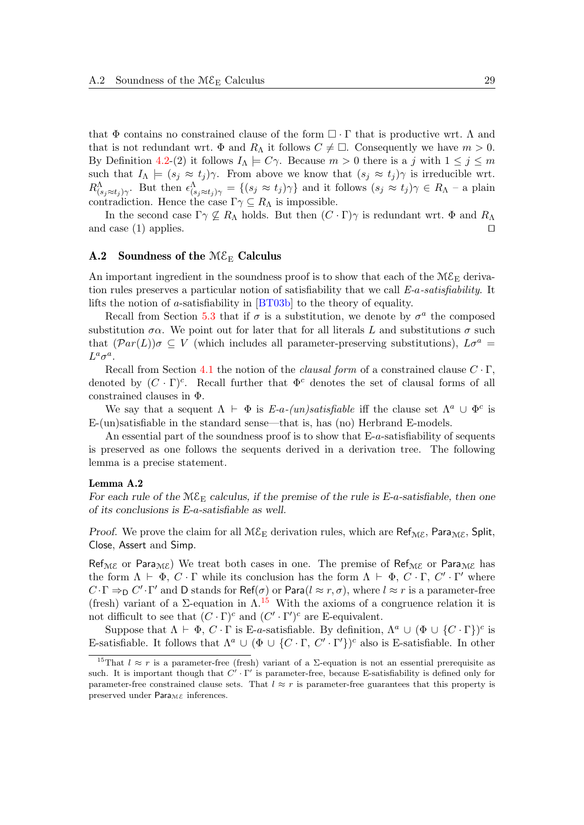that  $\Phi$  contains no constrained clause of the form  $\Box \cdot \Gamma$  that is productive wrt.  $\Lambda$  and that is not redundant wrt.  $\Phi$  and  $R_{\Lambda}$  it follows  $C \neq \square$ . Consequently we have  $m > 0$ . By Definition [4.2-](#page-12-0)(2) it follows  $I_{\Lambda} \models C_{\gamma}$ . Because  $m > 0$  there is a j with  $1 \leq j \leq m$ such that  $I_{\Lambda} \models (s_j \approx t_j) \gamma$ . From above we know that  $(s_j \approx t_j) \gamma$  is irreducible wrt.  $R^{\Lambda}_{(s_j \approx t_j) \gamma}$ . But then  $\epsilon^{\Lambda}_{(s_j \approx t_j) \gamma} = \{(s_j \approx t_j) \gamma\}$  and it follows  $(s_j \approx t_j) \gamma \in R_{\Lambda}$  – a plain contradiction. Hence the case  $\Gamma \gamma \subseteq R_{\Lambda}$  is impossible.

In the second case  $\Gamma\gamma \nsubseteq R_\Lambda$  holds. But then  $(C \cdot \Gamma)$  is redundant wrt.  $\Phi$  and  $R_\Lambda$ and case (1) applies.  $\Box$ 

## <span id="page-28-0"></span>A.2 Soundness of the  $M\mathcal{E}_{E}$  Calculus

An important ingredient in the soundness proof is to show that each of the  $M\mathcal{E}_E$  derivation rules preserves a particular notion of satisfiability that we call E-a-satisfiability. It lifts the notion of a-satisfiability in  $BT03b$  to the theory of equality.

Recall from Section [5.3](#page-15-0) that if  $\sigma$  is a substitution, we denote by  $\sigma^a$  the composed substitution  $\sigma \alpha$ . We point out for later that for all literals L and substitutions  $\sigma$  such that  $(\mathcal{P}ar(L))\sigma \subseteq V$  (which includes all parameter-preserving substitutions),  $L\sigma^a$  =  $L^a \sigma^a$ .

Recall from Section [4.1](#page-7-3) the notion of the *clausal form* of a constrained clause  $C \cdot \Gamma$ , denoted by  $(C \cdot \Gamma)^c$ . Recall further that  $\Phi^c$  denotes the set of clausal forms of all constrained clauses in Φ.

We say that a sequent  $\Lambda \vdash \Phi$  is E-a-(un)satisfiable iff the clause set  $\Lambda^a \cup \Phi^c$  is E-(un)satisfiable in the standard sense—that is, has (no) Herbrand E-models.

An essential part of the soundness proof is to show that E-a-satisfiability of sequents is preserved as one follows the sequents derived in a derivation tree. The following lemma is a precise statement.

#### <span id="page-28-2"></span>Lemma A.2

For each rule of the  $M\mathcal{E}_{E}$  calculus, if the premise of the rule is E-a-satisfiable, then one of its conclusions is E-a-satisfiable as well.

Proof. We prove the claim for all  $M\mathcal{E}_E$  derivation rules, which are Ref<sub>ME</sub>, Para<sub>ME</sub>, Split, Close, Assert and Simp.

Ref<sub>ME</sub> or Para<sub>ME</sub>) We treat both cases in one. The premise of Ref<sub>ME</sub> or Para<sub>ME</sub> has the form  $\Lambda \vdash \Phi$ ,  $C \cdot \Gamma$  while its conclusion has the form  $\Lambda \vdash \Phi$ ,  $C \cdot \Gamma$ ,  $C' \cdot \Gamma'$  where  $C \cdot \Gamma \Rightarrow_D C' \cdot \Gamma'$  and D stands for  $\text{Ref}(\sigma)$  or  $\text{Para}(l \approx r, \sigma)$ , where  $l \approx r$  is a parameter-free (fresh) variant of a  $\Sigma$ -equation in  $\Lambda$ .<sup>[15](#page-28-1)</sup> With the axioms of a congruence relation it is not difficult to see that  $(C \cdot \Gamma)^c$  and  $(C' \cdot \Gamma')^c$  are E-equivalent.

Suppose that  $\Lambda \vdash \Phi$ ,  $C \cdot \Gamma$  is E-a-satisfiable. By definition,  $\Lambda^a \cup (\Phi \cup \{C \cdot \Gamma\})^c$  is E-satisfiable. It follows that  $\Lambda^a \cup (\Phi \cup \{C \cdot \Gamma, C' \cdot \Gamma'\})^c$  also is E-satisfiable. In other

<span id="page-28-1"></span><sup>&</sup>lt;sup>15</sup>That  $l \approx r$  is a parameter-free (fresh) variant of a  $\Sigma$ -equation is not an essential prerequisite as such. It is important though that  $C' \cdot \Gamma'$  is parameter-free, because E-satisfiability is defined only for parameter-free constrained clause sets. That  $l \approx r$  is parameter-free guarantees that this property is preserved under  $P$ ara $_{M\ell}$  inferences.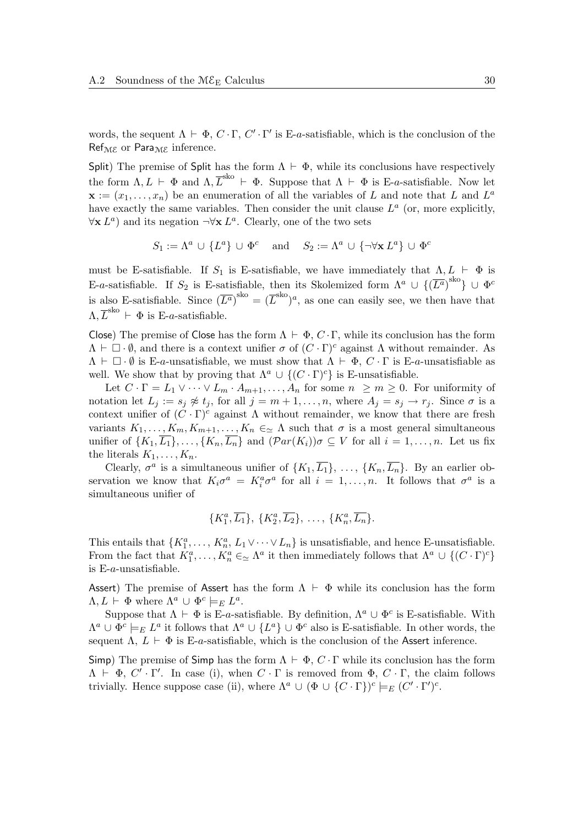words, the sequent  $\Lambda \vdash \Phi$ ,  $C \cdot \Gamma$ ,  $C' \cdot \Gamma'$  is E-a-satisfiable, which is the conclusion of the  $Ref_{ME}$  or Para<sub>ME</sub> inference.

Split) The premise of Split has the form  $\Lambda \vdash \Phi$ , while its conclusions have respectively the form  $\Lambda, L \vdash \Phi$  and  $\Lambda, \overline{L}^{sko} \vdash \Phi$ . Suppose that  $\Lambda \vdash \Phi$  is E-a-satisfiable. Now let  $\mathbf{x} := (x_1, \ldots, x_n)$  be an enumeration of all the variables of L and note that L and  $L^a$ have exactly the same variables. Then consider the unit clause  $L<sup>a</sup>$  (or, more explicitly,  $\forall$ **x**  $L^a$ ) and its negation  $\neg \forall$ **x**  $L^a$ . Clearly, one of the two sets

$$
S_1 := \Lambda^a \cup \{L^a\} \cup \Phi^c \quad \text{and} \quad S_2 := \Lambda^a \cup \{\neg \forall \mathbf{x} L^a\} \cup \Phi^c
$$

must be E-satisfiable. If  $S_1$  is E-satisfiable, we have immediately that  $\Lambda, L \vdash \Phi$  is E-a-satisfiable. If  $S_2$  is E-satisfiable, then its Skolemized form  $\Lambda^a \cup \{(\overline{L^a})^{\text{sko}}\} \cup \Phi^c$ is also E-satisfiable. Since  $(\overline{L}^{\mathfrak{a}})^{sko} = (\overline{L}^{sko})^{\mathfrak{a}}$ , as one can easily see, we then have that  $\Lambda, \overline{L}^{\text{sko}} \vdash \Phi$  is E-a-satisfiable.

Close) The premise of Close has the form  $\Lambda \vdash \Phi, C \cdot \Gamma$ , while its conclusion has the form  $\Lambda \vdash \Box \cdot \emptyset$ , and there is a context unifier  $\sigma$  of  $(C \cdot \Gamma)^c$  against  $\Lambda$  without remainder. As  $\Lambda \vdash \Box \cdot \emptyset$  is E-a-unsatisfiable, we must show that  $\Lambda \vdash \Phi$ ,  $C \cdot \Gamma$  is E-a-unsatisfiable as well. We show that by proving that  $\Lambda^a \cup \{(C \cdot \Gamma)^c\}$  is E-unsatisfiable.

Let  $C \cdot \Gamma = L_1 \vee \cdots \vee L_m \cdot A_{m+1}, \ldots, A_n$  for some  $n \geq m \geq 0$ . For uniformity of notation let  $L_j := s_j \not\approx t_j$ , for all  $j = m + 1, \ldots, n$ , where  $A_j = s_j \rightarrow r_j$ . Since  $\sigma$  is a context unifier of  $(C \cdot \Gamma)^c$  against  $\Lambda$  without remainder, we know that there are fresh variants  $K_1, \ldots, K_m, K_{m+1}, \ldots, K_n \in \simeq \Lambda$  such that  $\sigma$  is a most general simultaneous unifier of  $\{K_1,\overline{L_1}\},\ldots,\{K_n,\overline{L_n}\}\$  and  $(\mathcal{P}ar(K_i))\sigma\subseteq V$  for all  $i=1,\ldots,n$ . Let us fix the literals  $K_1, \ldots, K_n$ .

Clearly,  $\sigma^a$  is a simultaneous unifier of  $\{K_1, \overline{L_1}\}, \ldots, \{K_n, \overline{L_n}\}.$  By an earlier observation we know that  $K_i \sigma^a = K_i^a \sigma^a$  for all  $i = 1, ..., n$ . It follows that  $\sigma^a$  is a simultaneous unifier of

$$
{K_1^a,\overline{L_1}}, \, {K_2^a,\overline{L_2}}, \, \ldots, \, {K_n^a,\overline{L_n}}.
$$

This entails that  $\{K_1^a, \ldots, K_n^a, L_1 \vee \cdots \vee L_n\}$  is unsatisfiable, and hence E-unsatisfiable. From the fact that  $K_1^a, \ldots, K_n^a \in \Delta^n$  it then immediately follows that  $\Lambda^a \cup \{(C \cdot \Gamma)^c\}$ is E-a-unsatisfiable.

Assert) The premise of Assert has the form  $\Lambda \vdash \Phi$  while its conclusion has the form  $\Lambda, L \vdash \Phi$  where  $\Lambda^a \cup \Phi^c \models_E L^a$ .

Suppose that  $\Lambda \vdash \Phi$  is E-a-satisfiable. By definition,  $\Lambda^a \cup \Phi^c$  is E-satisfiable. With  $\Lambda^a \cup \Phi^c \models_E L^a$  it follows that  $\Lambda^a \cup \{L^a\} \cup \Phi^c$  also is E-satisfiable. In other words, the sequent  $\Lambda$ ,  $L \vdash \Phi$  is E-a-satisfiable, which is the conclusion of the Assert inference.

Simp) The premise of Simp has the form  $\Lambda \vdash \Phi$ , C · Γ while its conclusion has the form  $\Lambda \vdash \Phi, C' \cdot \Gamma'$ . In case (i), when  $C \cdot \Gamma$  is removed from  $\Phi, C \cdot \Gamma$ , the claim follows trivially. Hence suppose case (ii), where  $\Lambda^a \cup (\Phi \cup \{C \cdot \Gamma\})^c \models_E (C' \cdot \Gamma')^c$ .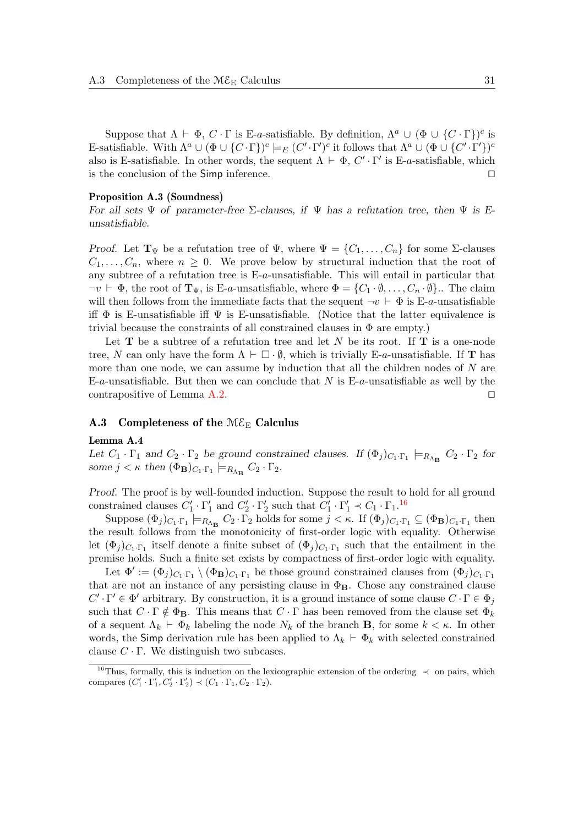Suppose that  $\Lambda \vdash \Phi$ ,  $C \cdot \Gamma$  is E-a-satisfiable. By definition,  $\Lambda^a \cup (\Phi \cup \{C \cdot \Gamma\})^c$  is E-satisfiable. With  $\Lambda^a \cup (\Phi \cup \{C \cdot \Gamma\})^c \models_E (C' \cdot \Gamma')^c$  it follows that  $\Lambda^a \cup (\Phi \cup \{C' \cdot \Gamma'\})^c$ also is E-satisfiable. In other words, the sequent  $\Lambda \vdash \Phi$ ,  $C' \cdot \Gamma'$  is E-a-satisfiable, which is the conclusion of the  $Simp$  inference.  $\Box$ 

### Proposition A.3 (Soundness)

For all sets  $\Psi$  of parameter-free  $\Sigma$ -clauses, if  $\Psi$  has a refutation tree, then  $\Psi$  is Eunsatisfiable.

Proof. Let  $\mathbf{T}_{\Psi}$  be a refutation tree of  $\Psi$ , where  $\Psi = \{C_1, \ldots, C_n\}$  for some  $\Sigma$ -clauses  $C_1, \ldots, C_n$ , where  $n \geq 0$ . We prove below by structural induction that the root of any subtree of a refutation tree is E-a-unsatisfiable. This will entail in particular that  $\neg v \vdash \Phi$ , the root of  $\mathbf{T}_{\Psi}$ , is E-a-unsatisfiable, where  $\Phi = \{C_1 \cdot \emptyset, \ldots, C_n \cdot \emptyset\}$ . The claim will then follows from the immediate facts that the sequent  $\neg v \vdash \Phi$  is E-a-unsatisfiable iff  $\Phi$  is E-unsatisfiable iff  $\Psi$  is E-unsatisfiable. (Notice that the latter equivalence is trivial because the constraints of all constrained clauses in  $\Phi$  are empty.)

Let  $T$  be a subtree of a refutation tree and let N be its root. If  $T$  is a one-node tree, N can only have the form  $\Lambda \vdash \Box \cdot \emptyset$ , which is trivially E-a-unsatisfiable. If **T** has more than one node, we can assume by induction that all the children nodes of N are E-a-unsatisfiable. But then we can conclude that N is  $E$ -a-unsatisfiable as well by the contrapositive of Lemma [A.2.](#page-28-2)  $\Box$ 

## A.3 Completeness of the  $M\mathcal{E}_{\mathrm{E}}$  Calculus

#### <span id="page-30-1"></span>Lemma A.4

Let  $C_1 \cdot \Gamma_1$  and  $C_2 \cdot \Gamma_2$  be ground constrained clauses. If  $(\Phi_j)_{C_1 \cdot \Gamma_1} \models_{R_{\Lambda_{\mathbf{B}}}} C_2 \cdot \Gamma_2$  for some  $j < \kappa$  then  $(\Phi_{\mathbf{B}})_{C_1 \cdot \Gamma_1} \models_{R_{\Lambda_{\mathbf{B}}}} C_2 \cdot \Gamma_2$ .

Proof. The proof is by well-founded induction. Suppose the result to hold for all ground constrained clauses  $C'_1 \cdot \Gamma'_1$  and  $C'_2 \cdot \Gamma'_2$  such that  $C'_1 \cdot \Gamma'_1 \prec C_1 \cdot \Gamma_1$ .<sup>[16](#page-30-0)</sup>

Suppose  $(\Phi_j)_{C_1 \cdot \Gamma_1} \models_{R_{\Lambda_B}} C_2 \cdot \Gamma_2$  holds for some  $j < \kappa$ . If  $(\Phi_j)_{C_1 \cdot \Gamma_1} \subseteq (\Phi_B)_{C_1 \cdot \Gamma_1}$  then the result follows from the monotonicity of first-order logic with equality. Otherwise let  $(\Phi_j)_{C_1 \cdot \Gamma_1}$  itself denote a finite subset of  $(\Phi_j)_{C_1 \cdot \Gamma_1}$  such that the entailment in the premise holds. Such a finite set exists by compactness of first-order logic with equality.

Let  $\Phi' := (\Phi_j)_{C_1 \cdot \Gamma_1} \setminus (\Phi_B)_{C_1 \cdot \Gamma_1}$  be those ground constrained clauses from  $(\Phi_j)_{C_1 \cdot \Gamma_1}$ that are not an instance of any persisting clause in  $\Phi_{\mathbf{B}}$ . Chose any constrained clause  $C' \cdot \Gamma' \in \Phi'$  arbitrary. By construction, it is a ground instance of some clause  $C \cdot \Gamma \in \Phi_j$ such that  $C \cdot \Gamma \notin \Phi_B$ . This means that  $C \cdot \Gamma$  has been removed from the clause set  $\Phi_k$ of a sequent  $\Lambda_k \vdash \Phi_k$  labeling the node  $N_k$  of the branch **B**, for some  $k < \kappa$ . In other words, the Simp derivation rule has been applied to  $\Lambda_k \vdash \Phi_k$  with selected constrained clause  $C \cdot \Gamma$ . We distinguish two subcases.

<span id="page-30-0"></span> $16$ Thus, formally, this is induction on the lexicographic extension of the ordering  $\prec$  on pairs, which compares  $(C'_1 \cdot \Gamma'_1, C'_2 \cdot \Gamma'_2) \prec (C_1 \cdot \Gamma_1, C_2 \cdot \Gamma_2).$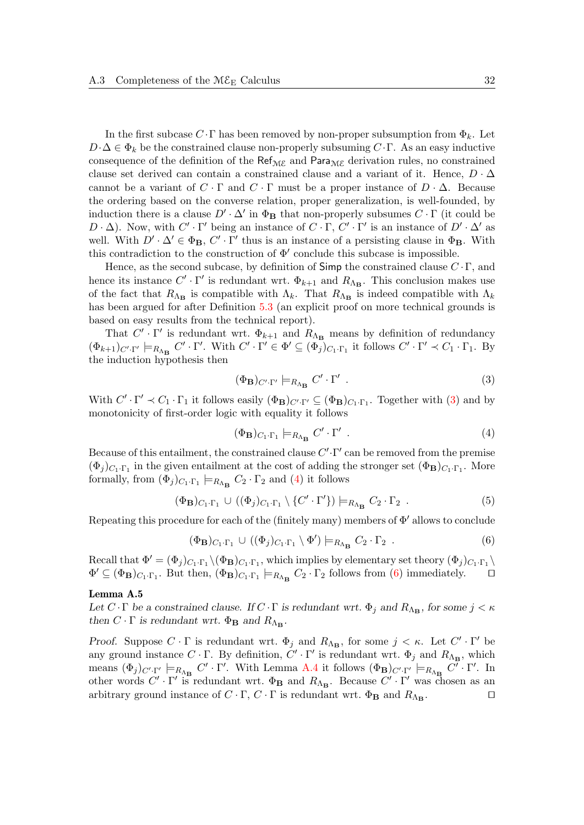In the first subcase  $C \cdot \Gamma$  has been removed by non-proper subsumption from  $\Phi_k$ . Let  $D \cdot \Delta \in \Phi_k$  be the constrained clause non-properly subsuming  $C \cdot \Gamma$ . As an easy inductive consequence of the definition of the Ref<sub>ME</sub> and Para<sub>ME</sub> derivation rules, no constrained clause set derived can contain a constrained clause and a variant of it. Hence,  $D \cdot \Delta$ cannot be a variant of  $C \cdot \Gamma$  and  $C \cdot \Gamma$  must be a proper instance of  $D \cdot \Delta$ . Because the ordering based on the converse relation, proper generalization, is well-founded, by induction there is a clause  $D' \cdot \Delta'$  in  $\Phi_B$  that non-properly subsumes  $C \cdot \Gamma$  (it could be  $D \cdot \Delta$ ). Now, with  $C' \cdot \Gamma'$  being an instance of  $C \cdot \Gamma$ ,  $C' \cdot \Gamma'$  is an instance of  $D' \cdot \Delta'$  as well. With  $D' \cdot \Delta' \in \Phi_B$ ,  $C' \cdot \Gamma'$  thus is an instance of a persisting clause in  $\Phi_B$ . With this contradiction to the construction of  $\Phi'$  conclude this subcase is impossible.

Hence, as the second subcase, by definition of Simp the constrained clause  $C \cdot \Gamma$ , and hence its instance  $C' \cdot \Gamma'$  is redundant wrt.  $\Phi_{k+1}$  and  $R_{\Lambda_{\mathbf{B}}}.$  This conclusion makes use of the fact that  $R_{\Lambda_B}$  is compatible with  $\Lambda_k$ . That  $R_{\Lambda_B}$  is indeed compatible with  $\Lambda_k$ has been argued for after Definition [5.3](#page-17-0) (an explicit proof on more technical grounds is based on easy results from the technical report).

That  $C' \cdot \Gamma'$  is redundant wrt.  $\Phi_{k+1}$  and  $R_{\Lambda_B}$  means by definition of redundancy  $(\Phi_{k+1})_{C'\cdot\Gamma'} \models_{R_{\Lambda_{\mathbf{B}}}} C' \cdot \Gamma'$ . With  $C' \cdot \Gamma' \in \Phi' \subseteq (\Phi_j)_{C_1 \cdot \Gamma_1}$  it follows  $C' \cdot \Gamma' \prec C_1 \cdot \Gamma_1$ . By the induction hypothesis then

<span id="page-31-0"></span>
$$
(\Phi_{\mathbf{B}})_{C'\cdot\Gamma'} \models_{R_{\Lambda_{\mathbf{B}}}} C' \cdot \Gamma' . \tag{3}
$$

With  $C' \cdot \Gamma' \prec C_1 \cdot \Gamma_1$  it follows easily  $(\Phi_B)_{C' \cdot \Gamma'} \subseteq (\Phi_B)_{C_1 \cdot \Gamma_1}$ . Together with [\(3\)](#page-31-0) and by monotonicity of first-order logic with equality it follows

<span id="page-31-1"></span>
$$
(\Phi_{\mathbf{B}})_{C_1 \cdot \Gamma_1} \models_{R_{\Lambda_{\mathbf{B}}} C' \cdot \Gamma' .
$$
 (4)

Because of this entailment, the constrained clause  $C' \cdot \Gamma'$  can be removed from the premise  $(\Phi_j)_{C_1\cdot\Gamma_1}$  in the given entailment at the cost of adding the stronger set  $(\Phi_B)_{C_1\cdot\Gamma_1}$ . More formally, from  $(\Phi_j)_{C_1 \cdot \Gamma_1} \models_{R_{\Lambda_{\mathbf{B}}}} C_2 \cdot \Gamma_2$  and  $(4)$  it follows

$$
(\Phi_{\mathbf{B}})_{C_1 \cdot \Gamma_1} \cup ((\Phi_j)_{C_1 \cdot \Gamma_1} \setminus \{C' \cdot \Gamma'\}) \models_{R_{\Lambda_{\mathbf{B}}} C_2 \cdot \Gamma_2 .
$$
\n
$$
(5)
$$

Repeating this procedure for each of the (finitely many) members of  $\Phi'$  allows to conclude

<span id="page-31-2"></span>
$$
(\Phi_{\mathbf{B}})_{C_1 \cdot \Gamma_1} \cup ((\Phi_j)_{C_1 \cdot \Gamma_1} \setminus \Phi') \models_{R_{\Lambda_{\mathbf{B}}}} C_2 \cdot \Gamma_2 . \tag{6}
$$

Recall that  $\Phi' = (\Phi_j)_{C_1 \cdot \Gamma_1} \setminus (\Phi_B)_{C_1 \cdot \Gamma_1}$ , which implies by elementary set theory  $(\Phi_j)_{C_1 \cdot \Gamma_1}$  $\Phi' \subseteq (\Phi_B)_{C_1 \cdot \Gamma_1}$ . But then,  $(\Phi_B)_{C_1 \cdot \Gamma_1} \models_{R_{\Lambda_B}} C_2 \cdot \Gamma_2$  follows from [\(6\)](#page-31-2) immediately.  $\square$ 

### <span id="page-31-3"></span>Lemma A.5

Let  $C \cdot \Gamma$  be a constrained clause. If  $C \cdot \Gamma$  is redundant wrt.  $\Phi_j$  and  $R_{\Lambda_B}$ , for some  $j < \kappa$ then  $C \cdot \Gamma$  is redundant wrt.  $\Phi_{\mathbf{B}}$  and  $R_{\Lambda_{\mathbf{B}}}$ .

Proof. Suppose  $C \cdot \Gamma$  is redundant wrt.  $\Phi_j$  and  $R_{\Lambda_B}$ , for some  $j \lt \kappa$ . Let  $C' \cdot \Gamma'$  be any ground instance  $C \cdot \Gamma$ . By definition,  $C' \cdot \Gamma'$  is redundant wrt.  $\Phi_j$  and  $R_{\Lambda_B}$ , which means  $(\Phi_j)_{C'\cdot\Gamma'} \models_{R_{\Lambda_{\mathbf{B}}}} C' \cdot \Gamma'$ . With Lemma [A.4](#page-30-1) it follows  $(\Phi_{\mathbf{B}})_{C'\cdot\Gamma'} \models_{R_{\Lambda_{\mathbf{B}}}} C' \cdot \Gamma'$ . In other words  $C' \cdot \Gamma'$  is redundant wrt.  $\Phi_B$  and  $R_{\Lambda_B}$ . Because  $C' \cdot \Gamma'$  was chosen as an arbitrary ground instance of  $C \cdot \Gamma$ ,  $C \cdot \Gamma$  is redundant wrt.  $\Phi_{\mathbf{B}}$  and  $R_{\Lambda_{\mathbf{B}}}$ . . The contract  $\Box$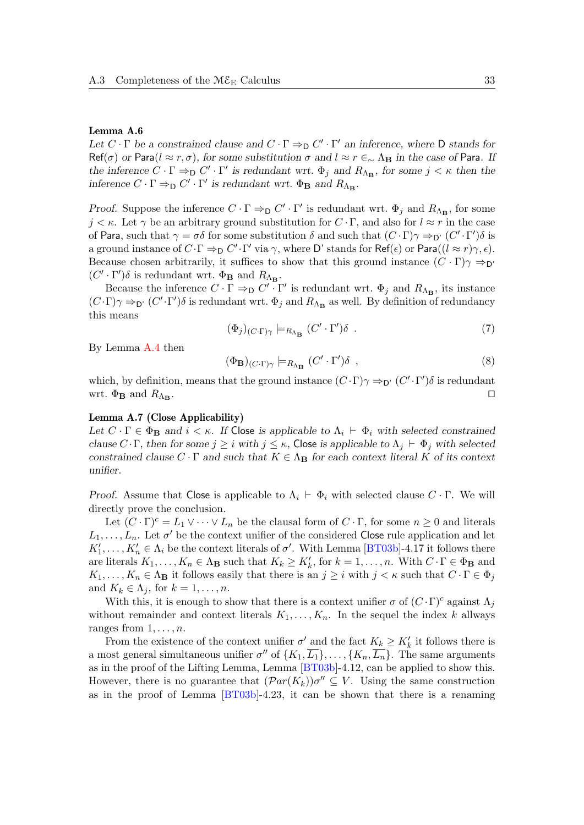#### <span id="page-32-0"></span>Lemma A.6

Let  $C \cdot \Gamma$  be a constrained clause and  $C \cdot \Gamma \Rightarrow_D C' \cdot \Gamma'$  an inference, where D stands for Ref( $\sigma$ ) or Para( $l \approx r, \sigma$ ), for some substitution  $\sigma$  and  $l \approx r \in \Lambda_{\mathbf{B}}$  in the case of Para. If the inference  $C \cdot \Gamma \Rightarrow_D C' \cdot \Gamma'$  is redundant wrt.  $\Phi_j$  and  $R_{\Lambda_B}$ , for some  $j < \kappa$  then the inference  $C \cdot \Gamma \Rightarrow_D C' \cdot \Gamma'$  is redundant wrt.  $\Phi_B$  and  $R_{\Lambda_B}$ .

Proof. Suppose the inference  $C \cdot \Gamma \Rightarrow D \subset' \cdot \Gamma'$  is redundant wrt.  $\Phi_j$  and  $R_{\Lambda_B}$ , for some  $j < \kappa$ . Let  $\gamma$  be an arbitrary ground substitution for  $C \cdot \Gamma$ , and also for  $l \approx r$  in the case of Para, such that  $\gamma = \sigma \delta$  for some substitution  $\delta$  and such that  $(C \cdot \Gamma) \gamma \Rightarrow_D (C' \cdot \Gamma') \delta$  is a ground instance of  $C \cdot \Gamma \Rightarrow_D C' \cdot \Gamma'$  via  $\gamma$ , where D' stands for Ref $(\epsilon)$  or Para $((l \approx r) \gamma, \epsilon)$ . Because chosen arbitrarily, it suffices to show that this ground instance  $(C \cdot \Gamma) \gamma \Rightarrow p'$  $(C' \cdot \Gamma')\delta$  is redundant wrt.  $\Phi_{\mathbf{B}}$  and  $R_{\Lambda_{\mathbf{B}}}.$ 

Because the inference  $C \cdot \Gamma \Rightarrow_D C' \cdot \Gamma'$  is redundant wrt.  $\Phi_j$  and  $R_{\Lambda_B}$ , its instance  $(C \cdot \Gamma)$  $\gamma \Rightarrow_D' (C' \cdot \Gamma')$ δ is redundant wrt.  $\Phi_j$  and  $R_{\Lambda_B}$  as well. By definition of redundancy this means

$$
(\Phi_j)_{(C \cdot \Gamma)\gamma} \models_{R_{\Lambda_{\mathbf{B}}}} (C' \cdot \Gamma')\delta . \tag{7}
$$

By Lemma [A.4](#page-30-1) then

$$
(\Phi_{\mathbf{B}})_{(C\cdot\Gamma)\gamma} \models_{R_{\Lambda_{\mathbf{B}}}} (C'\cdot\Gamma')\delta , \qquad (8)
$$

which, by definition, means that the ground instance  $(C \cdot \Gamma) \gamma \Rightarrow_D C' \cdot \Gamma'$  is redundant wrt.  $\Phi_{\mathbf{B}}$  and  $R_{\Lambda_{\mathbf{B}}}$ . . The contract of the contract of the contract of the contract  $\Box$ 

## <span id="page-32-1"></span>Lemma A.7 (Close Applicability)

Let  $C \cdot \Gamma \in \Phi_B$  and  $i < \kappa$ . If Close is applicable to  $\Lambda_i \vdash \Phi_i$  with selected constrained clause C · Γ, then for some  $j \geq i$  with  $j \leq \kappa$ , Close is applicable to  $\Lambda_i \vdash \Phi_j$  with selected constrained clause  $C \cdot \Gamma$  and such that  $K \in \Lambda_B$  for each context literal K of its context unifier.

Proof. Assume that Close is applicable to  $\Lambda_i \vdash \Phi_i$  with selected clause  $C \cdot \Gamma$ . We will directly prove the conclusion.

Let  $(C \cdot \Gamma)^c = L_1 \vee \cdots \vee L_n$  be the clausal form of  $C \cdot \Gamma$ , for some  $n \geq 0$  and literals  $L_1, \ldots, L_n$ . Let  $\sigma'$  be the context unifier of the considered Close rule application and let  $K'_1, \ldots, K'_n \in \Lambda_i$  be the context literals of  $\sigma'$ . With Lemma [\[BT03b\]](#page-24-6)-4.17 it follows there are literals  $K_1, \ldots, K_n \in \Lambda_B$  such that  $K_k \geq K'_k$ , for  $k = 1, \ldots, n$ . With  $C \cdot \Gamma \in \Phi_B$  and  $K_1, \ldots, K_n \in \Lambda_B$  it follows easily that there is an  $j \geq i$  with  $j < \kappa$  such that  $C \cdot \Gamma \in \Phi_j$ and  $K_k \in \Lambda_j$ , for  $k = 1, \ldots, n$ .

With this, it is enough to show that there is a context unifier  $\sigma$  of  $(C \cdot \Gamma)^c$  against  $\Lambda_j$ without remainder and context literals  $K_1, \ldots, K_n$ . In the sequel the index k allways ranges from  $1, \ldots, n$ .

From the existence of the context unifier  $\sigma'$  and the fact  $K_k \geq K'_k$  it follows there is a most general simultaneous unifier  $\sigma''$  of  $\{K_1, \overline{L_1}\}, \ldots, \{K_n, \overline{L_n}\}.$  The same arguments as in the proof of the Lifting Lemma, Lemma [\[BT03b\]](#page-24-6)-4.12, can be applied to show this. However, there is no guarantee that  $(\mathcal{P}ar(K_k))\sigma'' \subseteq V$ . Using the same construction as in the proof of Lemma [\[BT03b\]](#page-24-6)-4.23, it can be shown that there is a renaming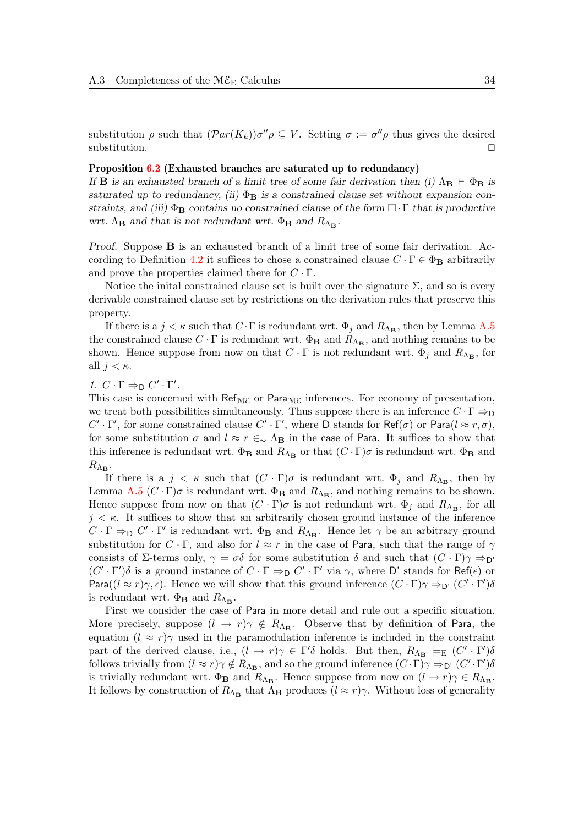substitution  $\rho$  such that  $(\mathcal{P}ar(K_k))\sigma''\rho \subseteq V$ . Setting  $\sigma := \sigma''\rho$  thus gives the desired substitution.  $\Box$ 

## Proposition [6.2](#page-22-0) (Exhausted branches are saturated up to redundancy)

If **B** is an exhausted branch of a limit tree of some fair derivation then (i)  $\Lambda_B \vdash \Phi_B$  is saturated up to redundancy, (ii)  $\Phi_{\mathbf{B}}$  is a constrained clause set without expansion constraints, and (iii)  $\Phi_B$  contains no constrained clause of the form  $\Box \cdot \Gamma$  that is productive wrt.  $\Lambda_{\mathbf{B}}$  and that is not redundant wrt.  $\Phi_{\mathbf{B}}$  and  $R_{\Lambda_{\mathbf{B}}}$ .

Proof. Suppose B is an exhausted branch of a limit tree of some fair derivation. Ac-cording to Definition [4.2](#page-12-0) it suffices to chose a constrained clause  $C \cdot \Gamma \in \Phi_B$  arbitrarily and prove the properties claimed there for  $C \cdot \Gamma$ .

Notice the initial constrained clause set is built over the signature  $\Sigma$ , and so is every derivable constrained clause set by restrictions on the derivation rules that preserve this property.

If there is a  $j < \kappa$  such that  $C \cdot \Gamma$  is redundant wrt.  $\Phi_j$  and  $R_{\Lambda_B}$ , then by Lemma [A.5](#page-31-3) the constrained clause  $C \cdot \Gamma$  is redundant wrt.  $\Phi_{\mathbf{B}}$  and  $R_{\Lambda_{\mathbf{B}}},$  and nothing remains to be shown. Hence suppose from now on that  $C \cdot \Gamma$  is not redundant wrt.  $\Phi_j$  and  $R_{\Lambda_B}$ , for all  $j < \kappa$ .

## 1.  $C \cdot \Gamma \Rightarrow D \ C' \cdot \Gamma'$ .

This case is concerned with  $\mathsf{Ref}_{\mathcal{ME}}$  or Para<sub>ME</sub> inferences. For economy of presentation, we treat both possibilities simultaneously. Thus suppose there is an inference  $C \cdot \Gamma \Rightarrow_D$  $C' \cdot \Gamma'$ , for some constrained clause  $C' \cdot \Gamma'$ , where D stands for Ref(σ) or Para( $l \approx r, \sigma$ ), for some substitution  $\sigma$  and  $l \approx r \in \Delta$  A<sub>B</sub> in the case of Para. It suffices to show that this inference is redundant wrt.  $\Phi_B$  and  $R_{\Lambda_B}$  or that  $(C \cdot \Gamma)\sigma$  is redundant wrt.  $\Phi_B$  and  $R_{\Lambda_{\mathbf{B}}}$ .

If there is a  $j < \kappa$  such that  $(C \cdot \Gamma)\sigma$  is redundant wrt.  $\Phi_j$  and  $R_{\Lambda_B}$ , then by Lemma [A.5](#page-31-3)  $(C \cdot \Gamma)\sigma$  is redundant wrt.  $\Phi_{\mathbf{B}}$  and  $R_{\Lambda_{\mathbf{B}}},$  and nothing remains to be shown. Hence suppose from now on that  $(C \cdot \Gamma)\sigma$  is not redundant wrt.  $\Phi_j$  and  $R_{\Lambda_B}$ , for all  $j < \kappa$ . It suffices to show that an arbitrarily chosen ground instance of the inference  $C \cdot \Gamma \Rightarrow_D C' \cdot \Gamma'$  is redundant wrt.  $\Phi_B$  and  $R_{\Lambda_B}$ . Hence let  $\gamma$  be an arbitrary ground substitution for  $C \cdot \Gamma$ , and also for  $l \approx r$  in the case of Para, such that the range of  $\gamma$ consists of Σ-terms only,  $\gamma = \sigma \delta$  for some substitution  $\delta$  and such that  $(C \cdot \Gamma) \gamma \Rightarrow_{D'}$  $(C' \cdot \Gamma')\delta$  is a ground instance of  $C \cdot \Gamma \Rightarrow D C' \cdot \Gamma'$  via  $\gamma$ , where D' stands for Ref(*e*) or Para $((l \approx r)\gamma, \epsilon)$ . Hence we will show that this ground inference  $(C \cdot \Gamma) \gamma \Rightarrow_D (C' \cdot \Gamma') \delta$ is redundant wrt.  $\Phi_{\mathbf{B}}$  and  $R_{\Lambda_{\mathbf{B}}}$ .

First we consider the case of Para in more detail and rule out a specific situation. More precisely, suppose  $(l \to r) \gamma \notin R_{\Lambda_B}$ . Observe that by definition of Para, the equation  $(l \approx r)\gamma$  used in the paramodulation inference is included in the constraint part of the derived clause, i.e.,  $(l \to r)\gamma \in \Gamma' \delta$  holds. But then,  $R_{\Lambda_B} \models_E (C' \cdot \Gamma') \delta$ follows trivially from  $(l \approx r) \gamma \notin R_{\Lambda_B}$ , and so the ground inference  $(C \cdot \Gamma) \gamma \Rightarrow_D C' \cdot \Gamma'$ is trivially redundant wrt.  $\Phi_B$  and  $R_{\Lambda_B}$ . Hence suppose from now on  $(l \to r) \gamma \in R_{\Lambda_B}$ . It follows by construction of  $R_{\Lambda_B}$  that  $\Lambda_B$  produces  $(l \approx r)\gamma$ . Without loss of generality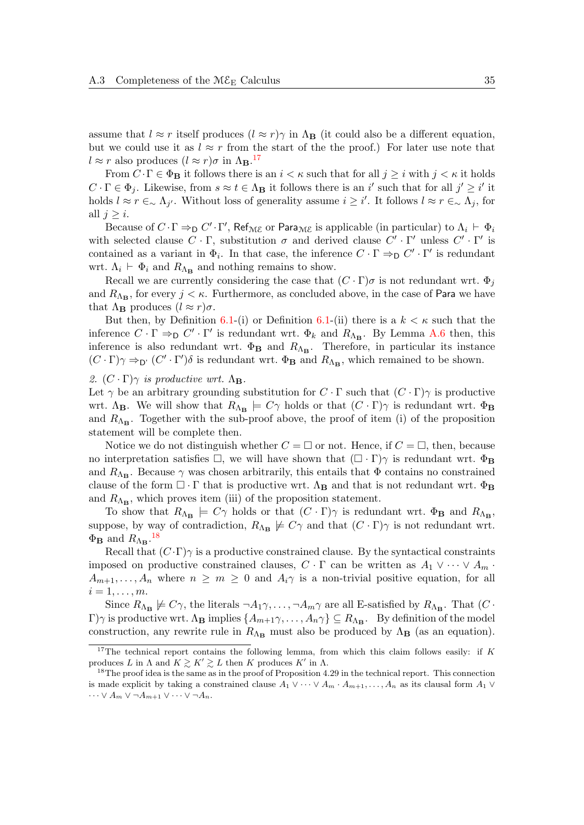assume that  $l \approx r$  itself produces  $(l \approx r)$ γ in  $\Lambda_{\mathbf{B}}$  (it could also be a different equation, but we could use it as  $l \approx r$  from the start of the the proof.) For later use note that  $l \approx r$  also produces  $(l \approx r)\sigma$  in  $\Lambda_{\mathbf{B}}$ .<sup>[17](#page-34-0)</sup>

From  $C \cdot \Gamma \in \Phi_B$  it follows there is an  $i < \kappa$  such that for all  $j \geq i$  with  $j < \kappa$  it holds  $C \cdot \Gamma \in \Phi_j$ . Likewise, from  $s \approx t \in \Lambda_B$  it follows there is an i' such that for all  $j' \geq i'$  it holds  $l \approx r \in \Delta_{j'}$ . Without loss of generality assume  $i \geq i'$ . It follows  $l \approx r \in \Delta_{j}$ , for all  $j \geq i$ .

Because of  $C \cdot \Gamma \Rightarrow_D C' \cdot \Gamma'$ , Ref<sub>ME</sub> or Para<sub>ME</sub> is applicable (in particular) to  $\Lambda_i \vdash \Phi_i$ with selected clause  $C \cdot \Gamma$ , substitution  $\sigma$  and derived clause  $C' \cdot \Gamma'$  unless  $C' \cdot \Gamma'$  is contained as a variant in  $\Phi_i$ . In that case, the inference  $C \cdot \Gamma \Rightarrow D \ C' \cdot \Gamma'$  is redundant wrt.  $\Lambda_i \vdash \Phi_i$  and  $R_{\Lambda_B}$  and nothing remains to show.

Recall we are currently considering the case that  $(C \cdot \Gamma)\sigma$  is not redundant wrt.  $\Phi_j$ and  $R_{\Lambda_B}$ , for every  $j < \kappa$ . Furthermore, as concluded above, in the case of Para we have that  $\Lambda_{\mathbf{B}}$  produces  $(l \approx r)\sigma$ .

But then, by Definition [6.1-](#page-21-2)(i) or Definition 6.1-(ii) there is a  $k < \kappa$  such that the inference  $C \cdot \Gamma \Rightarrow D \ C' \cdot \Gamma'$  is redundant wrt.  $\Phi_k$  and  $R_{\Lambda_B}$ . By Lemma [A.6](#page-32-0) then, this inference is also redundant wrt.  $\Phi_{\mathbf{B}}$  and  $R_{\Lambda_{\mathbf{B}}}$ . Therefore, in particular its instance  $(C \cdot \Gamma)$  $\gamma \Rightarrow_{D'} (C' \cdot \Gamma')$  $\delta$  is redundant wrt.  $\Phi_{\mathbf{B}}$  and  $R_{\Lambda_{\mathbf{B}}},$  which remained to be shown.

## 2.  $(C \cdot \Gamma)$  is productive wrt.  $\Lambda_{\mathbf{B}}$ .

Let  $\gamma$  be an arbitrary grounding substitution for  $C \cdot \Gamma$  such that  $(C \cdot \Gamma) \gamma$  is productive wrt.  $\Lambda_{\mathbf{B}}$ . We will show that  $R_{\Lambda_{\mathbf{B}}} \models C\gamma$  holds or that  $(C \cdot \Gamma)\gamma$  is redundant wrt.  $\Phi_{\mathbf{B}}$ and  $R_{\Lambda_B}$ . Together with the sub-proof above, the proof of item (i) of the proposition statement will be complete then.

Notice we do not distinguish whether  $C = \square$  or not. Hence, if  $C = \square$ , then, because no interpretation satisfies  $\Box$ , we will have shown that  $(\Box \cdot \Gamma)\gamma$  is redundant wrt.  $\Phi_{\mathbf{B}}$ and  $R_{\Lambda_{\mathbf{B}}}$ . Because  $\gamma$  was chosen arbitrarily, this entails that  $\Phi$  contains no constrained clause of the form  $\Box \cdot \Gamma$  that is productive wrt.  $\Lambda_B$  and that is not redundant wrt.  $\Phi_B$ and  $R_{\Lambda_{\rm B}}$ , which proves item (iii) of the proposition statement.

To show that  $R_{\Lambda_B} \models C\gamma$  holds or that  $(C \cdot \Gamma)\gamma$  is redundant wrt.  $\Phi_B$  and  $R_{\Lambda_B}$ , suppose, by way of contradiction,  $R_{\Lambda_B} \not\models C\gamma$  and that  $(C \cdot \Gamma)\gamma$  is not redundant wrt.  $\Phi_{\mathbf{B}}$  and  $R_{\Lambda_{\mathbf{B}}}$ .<sup>[18](#page-34-1)</sup>

Recall that  $(C \cdot \Gamma)$  is a productive constrained clause. By the syntactical constraints imposed on productive constrained clauses,  $C \cdot \Gamma$  can be written as  $A_1 \vee \cdots \vee A_m$ .  $A_{m+1}, \ldots, A_n$  where  $n \geq m \geq 0$  and  $A_i \gamma$  is a non-trivial positive equation, for all  $i=1,\ldots,m.$ 

Since  $R_{\Lambda_B} \not\models C\gamma$ , the literals  $\neg A_1\gamma, \dots, \neg A_m\gamma$  are all E-satisfied by  $R_{\Lambda_B}$ . That  $(C \cdot$  $\Gamma$ ) $\gamma$  is productive wrt.  $\Lambda_{\bf B}$  implies  $\{A_{m+1}\gamma,\ldots,A_n\gamma\}\subseteq R_{\Lambda_{\bf B}}$ . By definition of the model construction, any rewrite rule in  $R_{\Lambda_{\rm B}}$  must also be produced by  $\Lambda_{\rm B}$  (as an equation).

<span id="page-34-0"></span><sup>&</sup>lt;sup>17</sup>The technical report contains the following lemma, from which this claim follows easily: if K produces L in  $\Lambda$  and  $K \geq K' \geq L$  then K produces  $K'$  in  $\Lambda$ .

<span id="page-34-1"></span><sup>&</sup>lt;sup>18</sup>The proof idea is the same as in the proof of Proposition 4.29 in the technical report. This connection is made explicit by taking a constrained clause  $A_1 \vee \cdots \vee A_m \cdot A_{m+1}, \ldots, A_n$  as its clausal form  $A_1 \vee \cdots \vee A_m \cdot A_{m+1}$  $\cdots \vee A_m \vee \neg A_{m+1} \vee \cdots \vee \neg A_n.$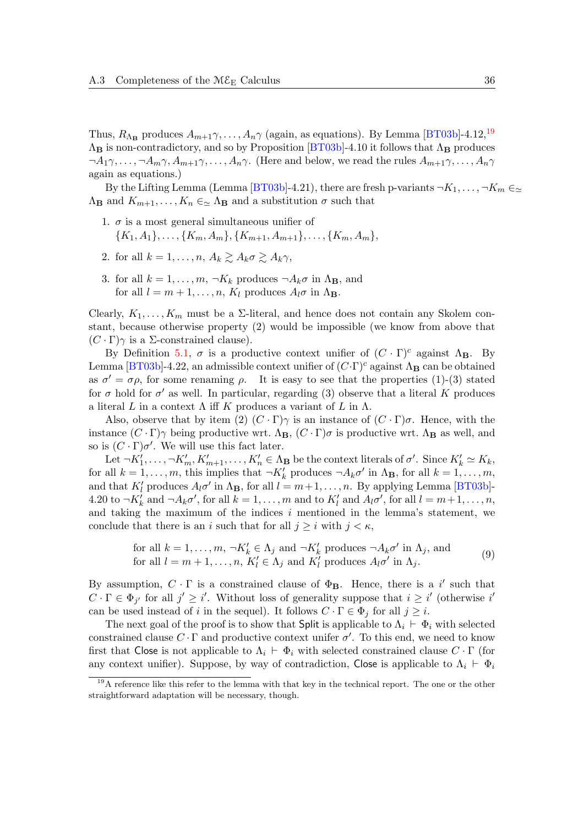Thus,  $R_{\Lambda_B}$  produces  $A_{m+1}\gamma, \ldots, A_n\gamma$  (again, as equations). By Lemma [\[BT03b\]](#page-24-6)-4.12,<sup>[19](#page-35-0)</sup>  $\Lambda_{\mathbf{B}}$  is non-contradictory, and so by Proposition [\[BT03b\]](#page-24-6)-4.10 it follows that  $\Lambda_{\mathbf{B}}$  produces  $\neg A_1\gamma, \ldots, \neg A_m\gamma, A_{m+1}\gamma, \ldots, A_n\gamma$ . (Here and below, we read the rules  $A_{m+1}\gamma, \ldots, A_n\gamma$ again as equations.)

By the Lifting Lemma (Lemma [\[BT03b\]](#page-24-6)-4.21), there are fresh p-variants  $\neg K_1, \ldots, \neg K_m \in \simeq$  $\Lambda_{\mathbf{B}}$  and  $K_{m+1}, \ldots, K_n \in \simeq \Lambda_{\mathbf{B}}$  and a substitution  $\sigma$  such that

- 1.  $\sigma$  is a most general simultaneous unifier of  ${K_1, A_1}, \ldots, {K_m, A_m}, {K_{m+1}, A_{m+1}}, \ldots, {K_m, A_m},$
- 2. for all  $k = 1, \ldots, n, A_k \geq A_k \sigma \geq A_k \gamma$ ,
- 3. for all  $k = 1, \ldots, m, \neg K_k$  produces  $\neg A_k \sigma$  in  $\Lambda_{\mathbf{B}}$ , and for all  $l = m + 1, \ldots, n$ ,  $K_l$  produces  $A_l \sigma$  in  $\Lambda_{\mathbf{B}}$ .

Clearly,  $K_1, \ldots, K_m$  must be a  $\Sigma$ -literal, and hence does not contain any Skolem constant, because otherwise property (2) would be impossible (we know from above that  $(C \cdot \Gamma)$  is a  $\Sigma$ -constrained clause).

By Definition [5.1,](#page-14-1)  $\sigma$  is a productive context unifier of  $(C \cdot \Gamma)^c$  against  $\Lambda_{\mathbf{B}}$ . By Lemma [\[BT03b\]](#page-24-6)-4.22, an admissible context unifier of  $(C \cdot \Gamma)^c$  against  $\Lambda_B$  can be obtained as  $\sigma' = \sigma \rho$ , for some renaming  $\rho$ . It is easy to see that the properties (1)-(3) stated for  $\sigma$  hold for  $\sigma'$  as well. In particular, regarding (3) observe that a literal K produces a literal L in a context  $\Lambda$  iff K produces a variant of L in  $\Lambda$ .

Also, observe that by item (2)  $(C \cdot \Gamma) \gamma$  is an instance of  $(C \cdot \Gamma) \sigma$ . Hence, with the instance  $(C \cdot \Gamma)$ γ being productive wrt.  $\Lambda_{\mathbf{B}}$ ,  $(C \cdot \Gamma)$ *σ* is productive wrt.  $\Lambda_{\mathbf{B}}$  as well, and so is  $(C \cdot \Gamma) \sigma'$ . We will use this fact later.

Let  $\neg K'_1, \ldots, \neg K'_m, K'_{m+1}, \ldots, K'_n \in \Lambda_B$  be the context literals of  $\sigma'$ . Since  $K'_k \simeq K_k$ , for all  $k = 1, \ldots, m$ , this implies that  $\neg K'_k$  produces  $\neg A_k \sigma'$  in  $\Lambda_{\mathbf{B}}$ , for all  $k = 1, \ldots, m$ , and that  $K'_l$  produces  $A_l \sigma'$  in  $\Lambda_B$ , for all  $l = m+1, \ldots, n$ . By applying Lemma [\[BT03b\]](#page-24-6)-4.20 to  $\neg K_k^j$  and  $\neg A_k \sigma'$ , for all  $k = 1, \ldots, m$  and to  $K_l'$  and  $A_l \sigma'$ , for all  $l = m+1, \ldots, n$ , and taking the maximum of the indices i mentioned in the lemma's statement, we conclude that there is an i such that for all  $j \geq i$  with  $j < \kappa$ ,

<span id="page-35-1"></span>for all 
$$
k = 1, ..., m, \neg K'_k \in \Lambda_j
$$
 and  $\neg K'_k$  produces  $\neg A_k \sigma'$  in  $\Lambda_j$ , and  
for all  $l = m + 1, ..., n, K'_l \in \Lambda_j$  and  $K'_l$  produces  $A_l \sigma'$  in  $\Lambda_j$ . (9)

By assumption,  $C \cdot \Gamma$  is a constrained clause of  $\Phi_{\mathbf{B}}$ . Hence, there is a i' such that  $C \cdot \Gamma \in \Phi_{j'}$  for all  $j' \geq i'$ . Without loss of generality suppose that  $i \geq i'$  (otherwise i can be used instead of i in the sequel). It follows  $C \cdot \Gamma \in \Phi_i$  for all  $j \geq i$ .

The next goal of the proof is to show that Split is applicable to  $\Lambda_i \vdash \Phi_i$  with selected constrained clause  $C \cdot \Gamma$  and productive context unifer  $\sigma'$ . To this end, we need to know first that Close is not applicable to  $\Lambda_i \vdash \Phi_i$  with selected constrained clause  $C \cdot \Gamma$  (for any context unifier). Suppose, by way of contradiction, Close is applicable to  $\Lambda_i \vdash \Phi_i$ 

<span id="page-35-0"></span><sup>&</sup>lt;sup>19</sup>A reference like this refer to the lemma with that key in the technical report. The one or the other straightforward adaptation will be necessary, though.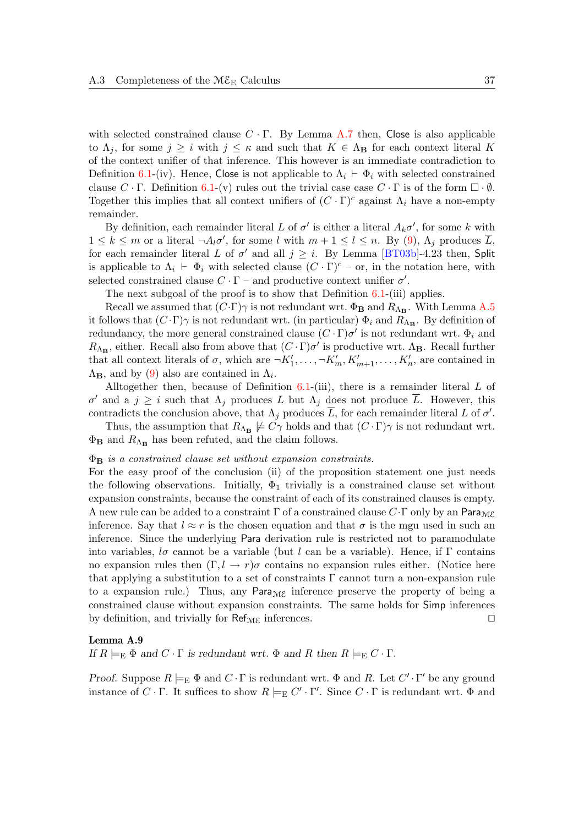with selected constrained clause  $C \cdot \Gamma$ . By Lemma [A.7](#page-32-1) then, Close is also applicable to  $\Lambda_j$ , for some  $j \geq i$  with  $j \leq \kappa$  and such that  $K \in \Lambda_B$  for each context literal K of the context unifier of that inference. This however is an immediate contradiction to Definition [6.1-](#page-21-2)(iv). Hence, Close is not applicable to  $\Lambda_i \vdash \Phi_i$  with selected constrained clause  $C \cdot \Gamma$ . Definition [6.1-](#page-21-2)(v) rules out the trivial case case  $C \cdot \Gamma$  is of the form  $\Box \cdot \emptyset$ . Together this implies that all context unifiers of  $(C \cdot \Gamma)^c$  against  $\Lambda_i$  have a non-empty remainder.

By definition, each remainder literal L of  $\sigma'$  is either a literal  $A_k \sigma'$ , for some k with  $1 \leq k \leq m$  or a literal  $\neg A_l \sigma'$ , for some l with  $m+1 \leq l \leq n$ . By [\(9\)](#page-35-1),  $\Lambda_j$  produces  $\overline{L}$ , for each remainder literal L of  $\sigma'$  and all  $j \geq i$ . By Lemma [\[BT03b\]](#page-24-6)-4.23 then, Split is applicable to  $\Lambda_i \vdash \Phi_i$  with selected clause  $(C \cdot \Gamma)^c$  – or, in the notation here, with selected constrained clause  $C \cdot \Gamma$  – and productive context unifier  $\sigma'$ .

The next subgoal of the proof is to show that Definition  $6.1$ -(iii) applies.

Recall we assumed that  $(C \cdot \Gamma) \gamma$  is not redundant wrt.  $\Phi_B$  and  $R_{\Lambda_B}$ . With Lemma [A.5](#page-31-3) it follows that  $(C \cdot \Gamma)$  is not redundant wrt. (in particular)  $\Phi_i$  and  $R_{\Lambda_B}$ . By definition of redundancy, the more general constrained clause  $(C \cdot \Gamma) \sigma'$  is not redundant wrt.  $\Phi_i$  and  $R_{\Lambda_{\bf B}}$ , either. Recall also from above that  $(C \cdot \Gamma) \sigma'$  is productive wrt.  $\Lambda_{\bf B}$ . Recall further that all context literals of  $\sigma$ , which are  $\neg K'_1, \dots, \neg K'_m, K'_{m+1}, \dots, K'_n$ , are contained in  $\Lambda_{\mathbf{B}}$ , and by [\(9\)](#page-35-1) also are contained in  $\Lambda_i$ .

Alltogether then, because of Definition  $6.1$ -(iii), there is a remainder literal L of  $\sigma'$  and a  $j \geq i$  such that  $\Lambda_j$  produces L but  $\Lambda_j$  does not produce  $\overline{L}$ . However, this contradicts the conclusion above, that  $\Lambda_j$  produces  $\overline{L}$ , for each remainder literal L of  $\sigma'$ .

Thus, the assumption that  $R_{\Lambda_B} \not\models C\gamma$  holds and that  $(C \cdot \Gamma)\gamma$  is not redundant wrt.  $\Phi_{\mathbf{B}}$  and  $R_{\Lambda_{\mathbf{B}}}$  has been refuted, and the claim follows.

#### $\Phi_{\bf B}$  is a constrained clause set without expansion constraints.

For the easy proof of the conclusion (ii) of the proposition statement one just needs the following observations. Initially,  $\Phi_1$  trivially is a constrained clause set without expansion constraints, because the constraint of each of its constrained clauses is empty. A new rule can be added to a constraint  $\Gamma$  of a constrained clause  $C\cdot\Gamma$  only by an Para<sub>ME</sub> inference. Say that  $l \approx r$  is the chosen equation and that  $\sigma$  is the mgu used in such an inference. Since the underlying Para derivation rule is restricted not to paramodulate into variables,  $l\sigma$  cannot be a variable (but l can be a variable). Hence, if  $\Gamma$  contains no expansion rules then  $(\Gamma, l \to r)\sigma$  contains no expansion rules either. (Notice here that applying a substitution to a set of constraints Γ cannot turn a non-expansion rule to a expansion rule.) Thus, any Para $_{M\&}$  inference preserve the property of being a constrained clause without expansion constraints. The same holds for Simp inferences by definition, and trivially for  $\mathsf{Ref}_{\mathcal{M}\mathcal{E}}$  inferences.

#### <span id="page-36-0"></span>Lemma A.9

If  $R \models_{\mathbb{E}} \Phi$  and  $C \cdot \Gamma$  is redundant wrt.  $\Phi$  and  $R$  then  $R \models_{\mathbb{E}} C \cdot \Gamma$ .

Proof. Suppose  $R \models_{\text{E}} \Phi$  and  $C \cdot \Gamma$  is redundant wrt.  $\Phi$  and R. Let  $C' \cdot \Gamma'$  be any ground instance of  $C \cdot \Gamma$ . It suffices to show  $R \models_{\mathcal{E}} C' \cdot \Gamma'$ . Since  $C \cdot \Gamma$  is redundant wrt.  $\Phi$  and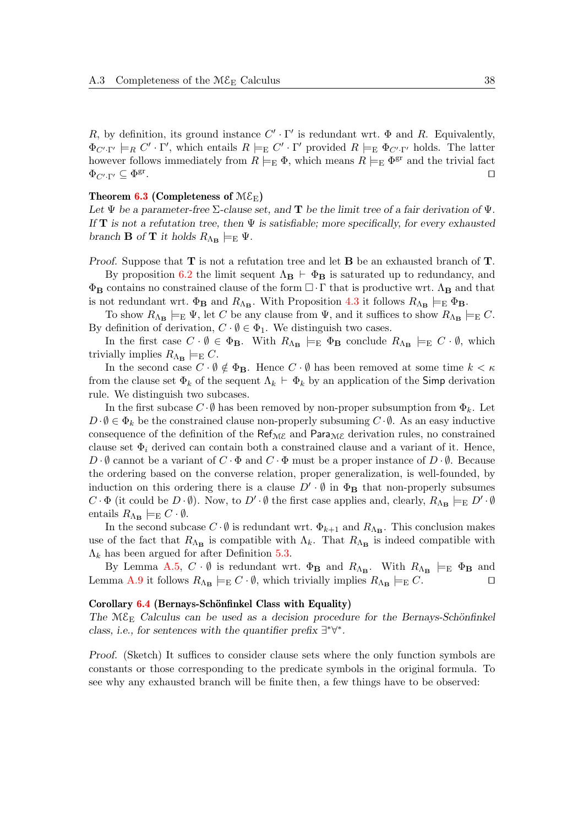R, by definition, its ground instance  $C' \cdot \Gamma'$  is redundant wrt.  $\Phi$  and R. Equivalently,  $\Phi_{C'\cdot\Gamma'} \models_R C' \cdot \Gamma'$ , which entails  $R \models_{\mathrm{E}} C' \cdot \Gamma'$  provided  $R \models_{\mathrm{E}} \Phi_{C'\cdot\Gamma'}$  holds. The latter however follows immediately from  $R \models_{\text{E}} \Phi$ , which means  $R \models_{\text{E}} \Phi^{\text{gr}}$  and the trivial fact  $\Phi_{C'\cdot \Gamma'}\subseteq \Phi^{\rm gr}$ . The contract of the contract of the contract of the contract of  $\Box$ 

#### Theorem [6.3](#page-22-1) (Completeness of  $M\mathcal{E}_{\mathrm{E}}$ )

Let  $\Psi$  be a parameter-free  $\Sigma$ -clause set, and **T** be the limit tree of a fair derivation of  $\Psi$ . If T is not a refutation tree, then  $\Psi$  is satisfiable; more specifically, for every exhausted branch **B** of **T** it holds  $R_{\Lambda_B} \models_E \Psi$ .

Proof. Suppose that **T** is not a refutation tree and let **B** be an exhausted branch of **T**.

By proposition [6.2](#page-22-0) the limit sequent  $\Lambda_{\mathbf{B}} \vdash \Phi_{\mathbf{B}}$  is saturated up to redundancy, and  $\Phi_{\mathbf{B}}$  contains no constrained clause of the form  $\Box \cdot \Gamma$  that is productive wrt.  $\Lambda_{\mathbf{B}}$  and that is not redundant wrt.  $\Phi_B$  and  $R_{\Lambda_B}$ . With Proposition [4.3](#page-13-1) it follows  $R_{\Lambda_B} \models_E \Phi_B$ .

To show  $R_{\Lambda_{\mathbf{B}}} \models_{\mathbb{E}} \Psi$ , let C be any clause from  $\Psi$ , and it suffices to show  $R_{\Lambda_{\mathbf{B}}} \models_{\mathbb{E}} C$ . By definition of derivation,  $C \cdot \emptyset \in \Phi_1$ . We distinguish two cases.

In the first case  $C \cdot \emptyset \in \Phi_B$ . With  $R_{\Lambda_B} \models_{\mathbb{E}} \Phi_B$  conclude  $R_{\Lambda_B} \models_{\mathbb{E}} C \cdot \emptyset$ , which trivially implies  $R_{\Lambda_{\mathbf{B}}} \models_{\mathcal{E}} C$ .

In the second case  $C \cdot \emptyset \notin \Phi_B$ . Hence  $C \cdot \emptyset$  has been removed at some time  $k < \kappa$ from the clause set  $\Phi_k$  of the sequent  $\Lambda_k \vdash \Phi_k$  by an application of the Simp derivation rule. We distinguish two subcases.

In the first subcase  $C \cdot \emptyset$  has been removed by non-proper subsumption from  $\Phi_k$ . Let  $D \cdot \emptyset \in \Phi_k$  be the constrained clause non-properly subsuming  $C \cdot \emptyset$ . As an easy inductive consequence of the definition of the Ref<sub>ME</sub> and Para<sub>ME</sub> derivation rules, no constrained clause set  $\Phi_i$  derived can contain both a constrained clause and a variant of it. Hence,  $D \cdot \emptyset$  cannot be a variant of  $C \cdot \Phi$  and  $C \cdot \Phi$  must be a proper instance of  $D \cdot \emptyset$ . Because the ordering based on the converse relation, proper generalization, is well-founded, by induction on this ordering there is a clause  $D' \cdot \emptyset$  in  $\Phi_{\mathbf{B}}$  that non-properly subsumes  $C \cdot \Phi$  (it could be  $D \cdot \emptyset$ ). Now, to  $D' \cdot \emptyset$  the first case applies and, clearly,  $R_{\Lambda_B} \models_{\mathcal{E}} D' \cdot \emptyset$ entails  $R_{\Lambda_{\mathbf{B}}} \models_{\mathbf{E}} C \cdot \emptyset$ .

In the second subcase  $C \cdot \emptyset$  is redundant wrt.  $\Phi_{k+1}$  and  $R_{\Lambda_{\mathbf{B}}}.$  This conclusion makes use of the fact that  $R_{\Lambda_B}$  is compatible with  $\Lambda_k$ . That  $R_{\Lambda_B}$  is indeed compatible with  $\Lambda_k$  has been argued for after Definition [5.3.](#page-17-0)

By Lemma [A.5,](#page-31-3)  $C \cdot \emptyset$  is redundant wrt.  $\Phi_B$  and  $R_{\Lambda_B}$ . With  $R_{\Lambda_B} \models_E \Phi_B$  and Lemma [A.9](#page-36-0) it follows  $R_{\Lambda_{\mathbf{B}}} \models_{\mathbf{E}} C \cdot \emptyset$ , which trivially implies  $R_{\Lambda_{\mathbf{B}}} \models_{\mathbf{E}} C$ .

### Corollary [6.4](#page-22-2) (Bernays-Schönfinkel Class with Equality)

The  $M\mathcal{E}_E$  Calculus can be used as a decision procedure for the Bernays-Schönfinkel class, i.e., for sentences with the quantifier prefix  $\exists^*\forall^*$ .

Proof. (Sketch) It suffices to consider clause sets where the only function symbols are constants or those corresponding to the predicate symbols in the original formula. To see why any exhausted branch will be finite then, a few things have to be observed: